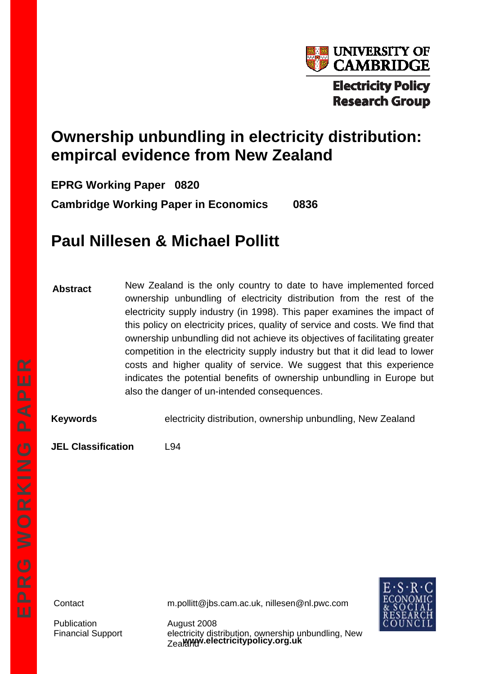

# **Ownership unbundling in electricity distribution: empircal evidence from New Zealand**

**EPRG Working Paper 0820 Cambridge Working Paper in Economics 0836** 

# **Paul Nillesen & Michael Pollitt**

**Abstract**  New Zealand is the only country to date to have implemented forced ownership unbundling of electricity distribution from the rest of the electricity supply industry (in 1998). This paper examines the impact of this policy on electricity prices, quality of service and costs. We find that ownership unbundling did not achieve its objectives of facilitating greater competition in the electricity supply industry but that it did lead to lower costs and higher quality of service. We suggest that this experience indicates the potential benefits of ownership unbundling in Europe but also the danger of un-intended consequences.

**Keywords** electricity distribution, ownership unbundling, New Zealand

**JEL Classification** L94

Publication August 2008

Contact m.pollitt@jbs.cam.ac.uk, nillesen@nl.pwc.com



**www.electricitypolicy.org.uk**  Financial Support electricity distribution, ownership unbundling, New Zealama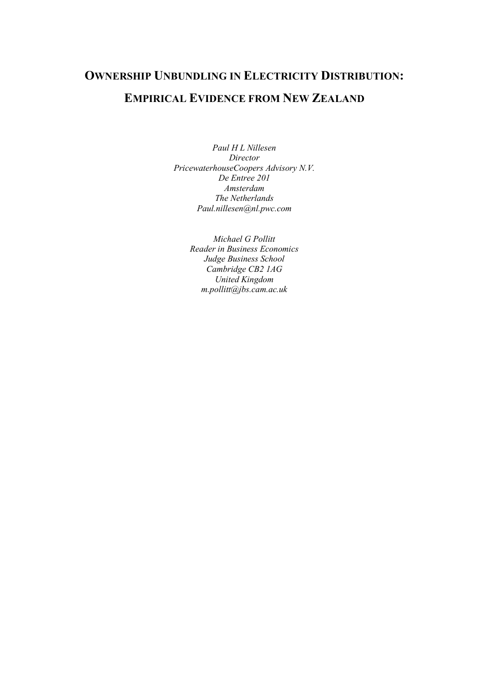# **OWNERSHIP UNBUNDLING IN ELECTRICITY DISTRIBUTION: EMPIRICAL EVIDENCE FROM NEW ZEALAND**

*Paul H L Nillesen Director PricewaterhouseCoopers Advisory N.V. De Entree 201 Amsterdam The Netherlands Paul.nillesen@nl.pwc.com*

> *Michael G Pollitt Reader in Business Economics Judge Business School Cambridge CB2 1AG United Kingdom m.pollitt@jbs.cam.ac.uk*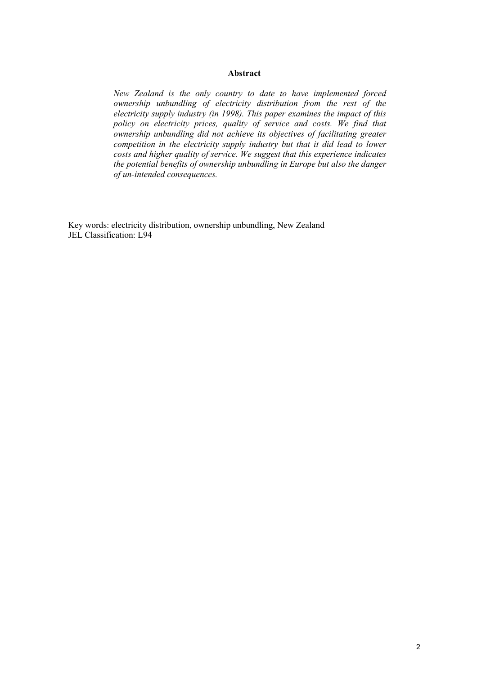## **Abstract**

*New Zealand is the only country to date to have implemented forced ownership unbundling of electricity distribution from the rest of the electricity supply industry (in 1998). This paper examines the impact of this policy on electricity prices, quality of service and costs. We find that ownership unbundling did not achieve its objectives of facilitating greater competition in the electricity supply industry but that it did lead to lower costs and higher quality of service. We suggest that this experience indicates the potential benefits of ownership unbundling in Europe but also the danger of un-intended consequences.*

Key words: electricity distribution, ownership unbundling, New Zealand JEL Classification: L94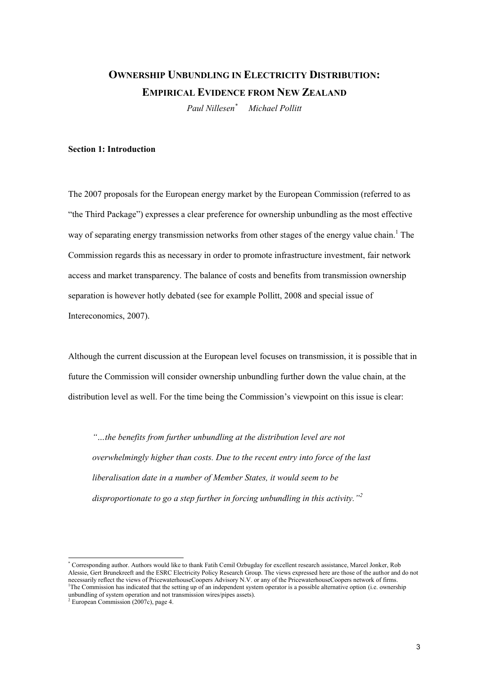# **OWNERSHIP UNBUNDLING IN ELECTRICITY DISTRIBUTION: EMPIRICAL EVIDENCE FROM NEW ZEALAND**

*Paul Nillesen\* Michael Pollitt*

# **Section 1: Introduction**

The 2007 proposals for the European energy market by the European Commission (referred to as "the Third Package") expresses a clear preference for ownership unbundling as the most effective way of separating energy transmission networks from other stages of the energy value chain.<sup>1</sup> The Commission regards this as necessary in order to promote infrastructure investment, fair network access and market transparency. The balance of costs and benefits from transmission ownership separation is however hotly debated (see for example Pollitt, 2008 and special issue of Intereconomics, 2007).

Although the current discussion at the European level focuses on transmission, it is possible that in future the Commission will consider ownership unbundling further down the value chain, at the distribution level as well. For the time being the Commission's viewpoint on this issue is clear:

*"…the benefits from further unbundling at the distribution level are not overwhelmingly higher than costs. Due to the recent entry into force of the last liberalisation date in a number of Member States, it would seem to be disproportionate to go a step further in forcing unbundling in this activity."<sup>2</sup>*

<sup>\*</sup> Corresponding author. Authors would like to thank Fatih Cemil Ozbugday for excellent research assistance, Marcel Jonker, Rob Alessie, Gert Brunekreeft and the ESRC Electricity Policy Research Group. The views expressed here are those of the author and do not necessarily reflect the views of PricewaterhouseCoopers Advisory N.V. or any of the PricewaterhouseCoopers network of firms. <sup>1</sup>The Commission has indicated that the setting up of an independent system operator is a possible alternative option (i.e. ownership unbundling of system operation and not transmission wires/pipes assets).

European Commission (2007c), page 4.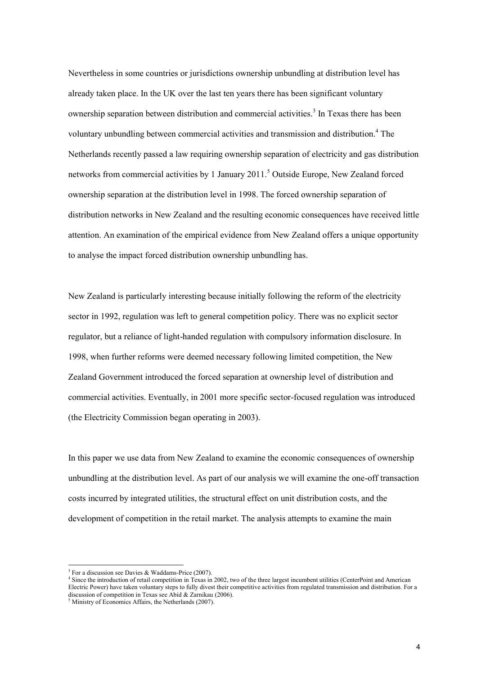Nevertheless in some countries or jurisdictions ownership unbundling at distribution level has already taken place. In the UK over the last ten years there has been significant voluntary ownership separation between distribution and commercial activities.<sup>3</sup> In Texas there has been voluntary unbundling between commercial activities and transmission and distribution.<sup>4</sup> The Netherlands recently passed a law requiring ownership separation of electricity and gas distribution networks from commercial activities by 1 January 2011.<sup>5</sup> Outside Europe, New Zealand forced ownership separation at the distribution level in 1998. The forced ownership separation of distribution networks in New Zealand and the resulting economic consequences have received little attention. An examination of the empirical evidence from New Zealand offers a unique opportunity to analyse the impact forced distribution ownership unbundling has.

New Zealand is particularly interesting because initially following the reform of the electricity sector in 1992, regulation was left to general competition policy. There was no explicit sector regulator, but a reliance of light-handed regulation with compulsory information disclosure. In 1998, when further reforms were deemed necessary following limited competition, the New Zealand Government introduced the forced separation at ownership level of distribution and commercial activities. Eventually, in 2001 more specific sector-focused regulation was introduced (the Electricity Commission began operating in 2003).

In this paper we use data from New Zealand to examine the economic consequences of ownership unbundling at the distribution level. As part of our analysis we will examine the one-off transaction costs incurred by integrated utilities, the structural effect on unit distribution costs, and the development of competition in the retail market. The analysis attempts to examine the main

<sup>3</sup> For a discussion see Davies & Waddams-Price (2007).

<sup>4</sup> Since the introduction of retail competition in Texas in 2002, two of the three largest incumbent utilities (CenterPoint and American Electric Power) have taken voluntary steps to fully divest their competitive activities from regulated transmission and distribution. For a discussion of competition in Texas see Abid & Zarnikau (2006).

<sup>&</sup>lt;sup>5</sup> Ministry of Economics Affairs, the Netherlands (2007).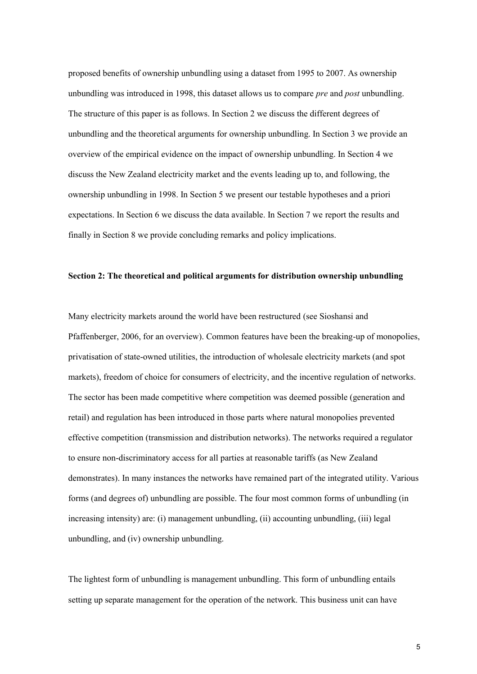proposed benefits of ownership unbundling using a dataset from 1995 to 2007. As ownership unbundling was introduced in 1998, this dataset allows us to compare *pre* and *post* unbundling. The structure of this paper is as follows. In Section 2 we discuss the different degrees of unbundling and the theoretical arguments for ownership unbundling. In Section 3 we provide an overview of the empirical evidence on the impact of ownership unbundling. In Section 4 we discuss the New Zealand electricity market and the events leading up to, and following, the ownership unbundling in 1998. In Section 5 we present our testable hypotheses and a priori expectations. In Section 6 we discuss the data available. In Section 7 we report the results and finally in Section 8 we provide concluding remarks and policy implications.

# **Section 2: The theoretical and political arguments for distribution ownership unbundling**

Many electricity markets around the world have been restructured (see Sioshansi and Pfaffenberger, 2006, for an overview). Common features have been the breaking-up of monopolies, privatisation of state-owned utilities, the introduction of wholesale electricity markets (and spot markets), freedom of choice for consumers of electricity, and the incentive regulation of networks. The sector has been made competitive where competition was deemed possible (generation and retail) and regulation has been introduced in those parts where natural monopolies prevented effective competition (transmission and distribution networks). The networks required a regulator to ensure non-discriminatory access for all parties at reasonable tariffs (as New Zealand demonstrates). In many instances the networks have remained part of the integrated utility. Various forms (and degrees of) unbundling are possible. The four most common forms of unbundling (in increasing intensity) are: (i) management unbundling, (ii) accounting unbundling, (iii) legal unbundling, and (iv) ownership unbundling.

The lightest form of unbundling is management unbundling. This form of unbundling entails setting up separate management for the operation of the network. This business unit can have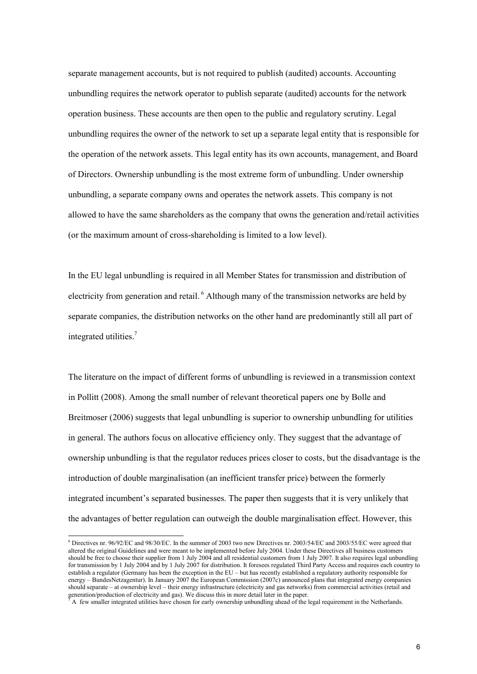separate management accounts, but is not required to publish (audited) accounts. Accounting unbundling requires the network operator to publish separate (audited) accounts for the network operation business. These accounts are then open to the public and regulatory scrutiny. Legal unbundling requires the owner of the network to set up a separate legal entity that is responsible for the operation of the network assets. This legal entity has its own accounts, management, and Board of Directors. Ownership unbundling is the most extreme form of unbundling. Under ownership unbundling, a separate company owns and operates the network assets. This company is not allowed to have the same shareholders as the company that owns the generation and/retail activities (or the maximum amount of cross-shareholding is limited to a low level).

In the EU legal unbundling is required in all Member States for transmission and distribution of electricity from generation and retail. <sup>6</sup> Although many of the transmission networks are held by separate companies, the distribution networks on the other hand are predominantly still all part of integrated utilities.<sup>7</sup>

The literature on the impact of different forms of unbundling is reviewed in a transmission context in Pollitt (2008). Among the small number of relevant theoretical papers one by Bolle and Breitmoser (2006) suggests that legal unbundling is superior to ownership unbundling for utilities in general. The authors focus on allocative efficiency only. They suggest that the advantage of ownership unbundling is that the regulator reduces prices closer to costs, but the disadvantage is the introduction of double marginalisation (an inefficient transfer price) between the formerly integrated incumbent's separated businesses. The paper then suggests that it is very unlikely that the advantages of better regulation can outweigh the double marginalisation effect. However, this

<sup>6</sup> Directives nr. 96/92/EC and 98/30/EC. In the summer of 2003 two new Directives nr. 2003/54/EC and 2003/55/EC were agreed that altered the original Guidelines and were meant to be implemented before July 2004. Under these Directives all business customers should be free to choose their supplier from 1 July 2004 and all residential customers from 1 July 2007. It also requires legal unbundling for transmission by 1 July 2004 and by 1 July 2007 for distribution. It foresees regulated Third Party Access and requires each country to establish a regulator (Germany has been the exception in the EU – but has recently established a regulatory authority responsible for energy – BundesNetzagentur). In January 2007 the European Commission (2007c) announced plans that integrated energy companies should separate – at ownership level – their energy infrastructure (electricity and gas networks) from commercial activities (retail and generation/production of electricity and gas). We discuss this in more detail later in the paper.

<sup>7</sup> A few smaller integrated utilities have chosen for early ownership unbundling ahead of the legal requirement in the Netherlands.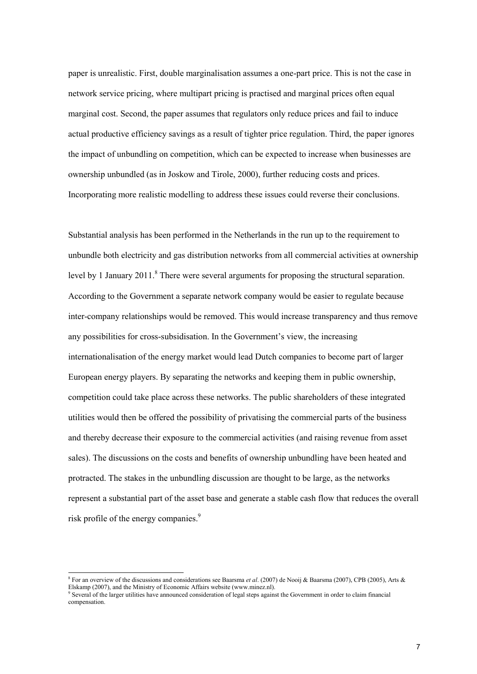paper is unrealistic. First, double marginalisation assumes a one-part price. This is not the case in network service pricing, where multipart pricing is practised and marginal prices often equal marginal cost. Second, the paper assumes that regulators only reduce prices and fail to induce actual productive efficiency savings as a result of tighter price regulation. Third, the paper ignores the impact of unbundling on competition, which can be expected to increase when businesses are ownership unbundled (as in Joskow and Tirole, 2000), further reducing costs and prices. Incorporating more realistic modelling to address these issues could reverse their conclusions.

Substantial analysis has been performed in the Netherlands in the run up to the requirement to unbundle both electricity and gas distribution networks from all commercial activities at ownership level by 1 January 2011.<sup>8</sup> There were several arguments for proposing the structural separation. According to the Government a separate network company would be easier to regulate because inter-company relationships would be removed. This would increase transparency and thus remove any possibilities for cross-subsidisation. In the Government's view, the increasing internationalisation of the energy market would lead Dutch companies to become part of larger European energy players. By separating the networks and keeping them in public ownership, competition could take place across these networks. The public shareholders of these integrated utilities would then be offered the possibility of privatising the commercial parts of the business and thereby decrease their exposure to the commercial activities (and raising revenue from asset sales). The discussions on the costs and benefits of ownership unbundling have been heated and protracted. The stakes in the unbundling discussion are thought to be large, as the networks represent a substantial part of the asset base and generate a stable cash flow that reduces the overall risk profile of the energy companies.<sup>9</sup>

<sup>8</sup> For an overview of the discussions and considerations see Baarsma *et al*. (2007) de Nooij & Baarsma (2007), CPB (2005), Arts & Elskamp (2007), and the Ministry of Economic Affairs website (www.minez.nl).

<sup>&</sup>lt;sup>9</sup> Several of the larger utilities have announced consideration of legal steps against the Government in order to claim financial compensation.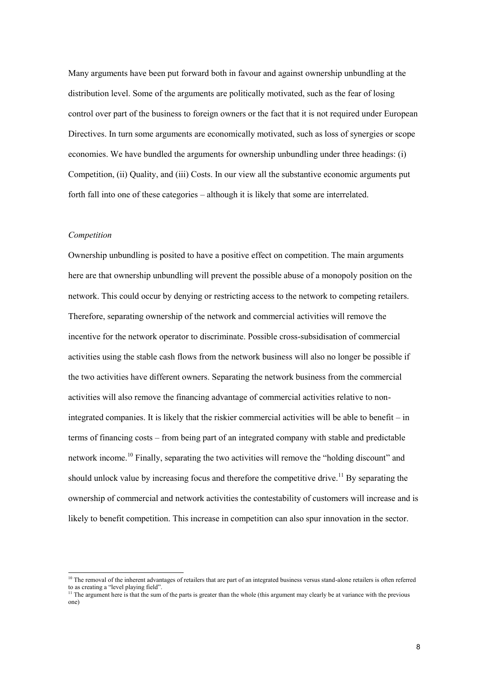Many arguments have been put forward both in favour and against ownership unbundling at the distribution level. Some of the arguments are politically motivated, such as the fear of losing control over part of the business to foreign owners or the fact that it is not required under European Directives. In turn some arguments are economically motivated, such as loss of synergies or scope economies. We have bundled the arguments for ownership unbundling under three headings: (i) Competition, (ii) Quality, and (iii) Costs. In our view all the substantive economic arguments put forth fall into one of these categories – although it is likely that some are interrelated.

#### *Competition*

Ownership unbundling is posited to have a positive effect on competition. The main arguments here are that ownership unbundling will prevent the possible abuse of a monopoly position on the network. This could occur by denying or restricting access to the network to competing retailers. Therefore, separating ownership of the network and commercial activities will remove the incentive for the network operator to discriminate. Possible cross-subsidisation of commercial activities using the stable cash flows from the network business will also no longer be possible if the two activities have different owners. Separating the network business from the commercial activities will also remove the financing advantage of commercial activities relative to nonintegrated companies. It is likely that the riskier commercial activities will be able to benefit – in terms of financing costs – from being part of an integrated company with stable and predictable network income.<sup>10</sup> Finally, separating the two activities will remove the "holding discount" and should unlock value by increasing focus and therefore the competitive drive.<sup>11</sup> By separating the ownership of commercial and network activities the contestability of customers will increase and is likely to benefit competition. This increase in competition can also spur innovation in the sector.

<sup>&</sup>lt;sup>10</sup> The removal of the inherent advantages of retailers that are part of an integrated business versus stand-alone retailers is often referred to as creating a "level playing field".

<sup>&</sup>lt;sup>11</sup> The argument here is that the sum of the parts is greater than the whole (this argument may clearly be at variance with the previous one)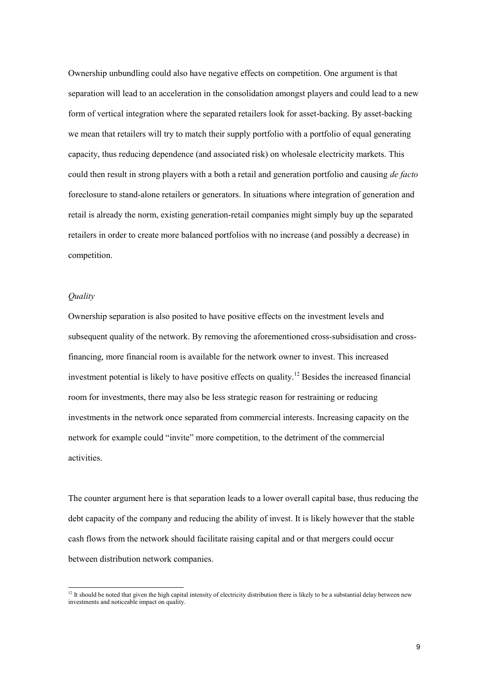Ownership unbundling could also have negative effects on competition. One argument is that separation will lead to an acceleration in the consolidation amongst players and could lead to a new form of vertical integration where the separated retailers look for asset-backing. By asset-backing we mean that retailers will try to match their supply portfolio with a portfolio of equal generating capacity, thus reducing dependence (and associated risk) on wholesale electricity markets. This could then result in strong players with a both a retail and generation portfolio and causing *de facto* foreclosure to stand-alone retailers or generators. In situations where integration of generation and retail is already the norm, existing generation-retail companies might simply buy up the separated retailers in order to create more balanced portfolios with no increase (and possibly a decrease) in competition.

# *Quality*

Ownership separation is also posited to have positive effects on the investment levels and subsequent quality of the network. By removing the aforementioned cross-subsidisation and crossfinancing, more financial room is available for the network owner to invest. This increased investment potential is likely to have positive effects on quality.<sup>12</sup> Besides the increased financial room for investments, there may also be less strategic reason for restraining or reducing investments in the network once separated from commercial interests. Increasing capacity on the network for example could "invite" more competition, to the detriment of the commercial activities.

The counter argument here is that separation leads to a lower overall capital base, thus reducing the debt capacity of the company and reducing the ability of invest. It is likely however that the stable cash flows from the network should facilitate raising capital and or that mergers could occur between distribution network companies.

<sup>&</sup>lt;sup>12</sup> It should be noted that given the high capital intensity of electricity distribution there is likely to be a substantial delay between new investments and noticeable impact on quality.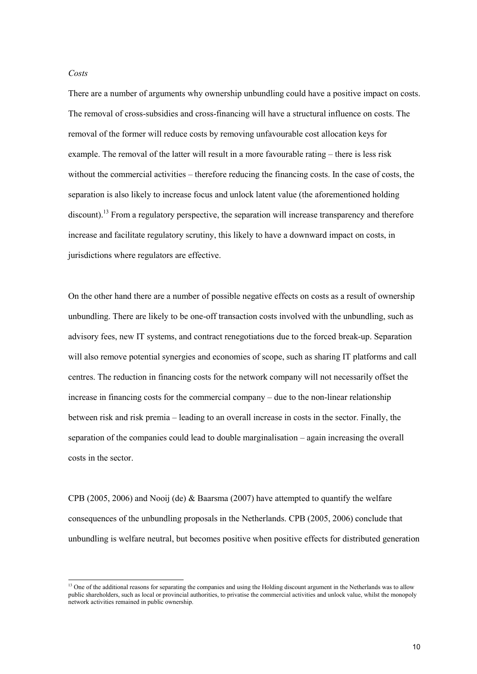#### *Costs*

There are a number of arguments why ownership unbundling could have a positive impact on costs. The removal of cross-subsidies and cross-financing will have a structural influence on costs. The removal of the former will reduce costs by removing unfavourable cost allocation keys for example. The removal of the latter will result in a more favourable rating – there is less risk without the commercial activities – therefore reducing the financing costs. In the case of costs, the separation is also likely to increase focus and unlock latent value (the aforementioned holding discount).<sup>13</sup> From a regulatory perspective, the separation will increase transparency and therefore increase and facilitate regulatory scrutiny, this likely to have a downward impact on costs, in jurisdictions where regulators are effective.

On the other hand there are a number of possible negative effects on costs as a result of ownership unbundling. There are likely to be one-off transaction costs involved with the unbundling, such as advisory fees, new IT systems, and contract renegotiations due to the forced break-up. Separation will also remove potential synergies and economies of scope, such as sharing IT platforms and call centres. The reduction in financing costs for the network company will not necessarily offset the increase in financing costs for the commercial company – due to the non-linear relationship between risk and risk premia – leading to an overall increase in costs in the sector. Finally, the separation of the companies could lead to double marginalisation – again increasing the overall costs in the sector.

CPB (2005, 2006) and Nooij (de) & Baarsma (2007) have attempted to quantify the welfare consequences of the unbundling proposals in the Netherlands. CPB (2005, 2006) conclude that unbundling is welfare neutral, but becomes positive when positive effects for distributed generation

<sup>&</sup>lt;sup>13</sup> One of the additional reasons for separating the companies and using the Holding discount argument in the Netherlands was to allow public shareholders, such as local or provincial authorities, to privatise the commercial activities and unlock value, whilst the monopoly network activities remained in public ownership.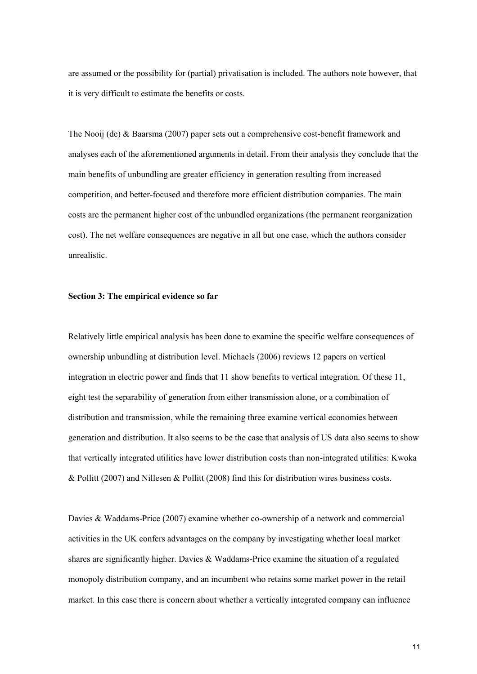are assumed or the possibility for (partial) privatisation is included. The authors note however, that it is very difficult to estimate the benefits or costs.

The Nooij (de) & Baarsma (2007) paper sets out a comprehensive cost-benefit framework and analyses each of the aforementioned arguments in detail. From their analysis they conclude that the main benefits of unbundling are greater efficiency in generation resulting from increased competition, and better-focused and therefore more efficient distribution companies. The main costs are the permanent higher cost of the unbundled organizations (the permanent reorganization cost). The net welfare consequences are negative in all but one case, which the authors consider unrealistic.

### **Section 3: The empirical evidence so far**

Relatively little empirical analysis has been done to examine the specific welfare consequences of ownership unbundling at distribution level. Michaels (2006) reviews 12 papers on vertical integration in electric power and finds that 11 show benefits to vertical integration. Of these 11, eight test the separability of generation from either transmission alone, or a combination of distribution and transmission, while the remaining three examine vertical economies between generation and distribution. It also seems to be the case that analysis of US data also seems to show that vertically integrated utilities have lower distribution costs than non-integrated utilities: Kwoka & Pollitt (2007) and Nillesen & Pollitt (2008) find this for distribution wires business costs.

Davies & Waddams-Price (2007) examine whether co-ownership of a network and commercial activities in the UK confers advantages on the company by investigating whether local market shares are significantly higher. Davies & Waddams-Price examine the situation of a regulated monopoly distribution company, and an incumbent who retains some market power in the retail market. In this case there is concern about whether a vertically integrated company can influence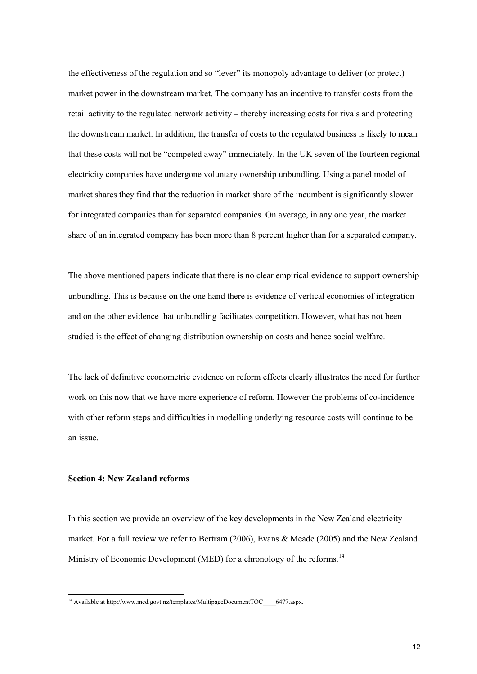the effectiveness of the regulation and so "lever" its monopoly advantage to deliver (or protect) market power in the downstream market. The company has an incentive to transfer costs from the retail activity to the regulated network activity – thereby increasing costs for rivals and protecting the downstream market. In addition, the transfer of costs to the regulated business is likely to mean that these costs will not be "competed away" immediately. In the UK seven of the fourteen regional electricity companies have undergone voluntary ownership unbundling. Using a panel model of market shares they find that the reduction in market share of the incumbent is significantly slower for integrated companies than for separated companies. On average, in any one year, the market share of an integrated company has been more than 8 percent higher than for a separated company.

The above mentioned papers indicate that there is no clear empirical evidence to support ownership unbundling. This is because on the one hand there is evidence of vertical economies of integration and on the other evidence that unbundling facilitates competition. However, what has not been studied is the effect of changing distribution ownership on costs and hence social welfare.

The lack of definitive econometric evidence on reform effects clearly illustrates the need for further work on this now that we have more experience of reform. However the problems of co-incidence with other reform steps and difficulties in modelling underlying resource costs will continue to be an issue.

# **Section 4: New Zealand reforms**

In this section we provide an overview of the key developments in the New Zealand electricity market. For a full review we refer to Bertram (2006), Evans & Meade (2005) and the New Zealand Ministry of Economic Development (MED) for a chronology of the reforms.<sup>14</sup>

<sup>&</sup>lt;sup>14</sup> Available at http://www.med.govt.nz/templates/MultipageDocumentTOC\_\_\_\_6477.aspx.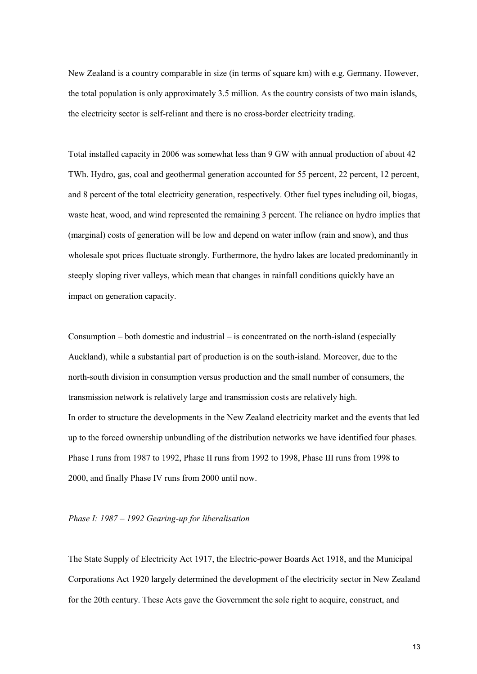New Zealand is a country comparable in size (in terms of square km) with e.g. Germany. However, the total population is only approximately 3.5 million. As the country consists of two main islands, the electricity sector is self-reliant and there is no cross-border electricity trading.

Total installed capacity in 2006 was somewhat less than 9 GW with annual production of about 42 TWh. Hydro, gas, coal and geothermal generation accounted for 55 percent, 22 percent, 12 percent, and 8 percent of the total electricity generation, respectively. Other fuel types including oil, biogas, waste heat, wood, and wind represented the remaining 3 percent. The reliance on hydro implies that (marginal) costs of generation will be low and depend on water inflow (rain and snow), and thus wholesale spot prices fluctuate strongly. Furthermore, the hydro lakes are located predominantly in steeply sloping river valleys, which mean that changes in rainfall conditions quickly have an impact on generation capacity.

Consumption – both domestic and industrial – is concentrated on the north-island (especially Auckland), while a substantial part of production is on the south-island. Moreover, due to the north-south division in consumption versus production and the small number of consumers, the transmission network is relatively large and transmission costs are relatively high. In order to structure the developments in the New Zealand electricity market and the events that led up to the forced ownership unbundling of the distribution networks we have identified four phases. Phase I runs from 1987 to 1992, Phase II runs from 1992 to 1998, Phase III runs from 1998 to 2000, and finally Phase IV runs from 2000 until now.

#### *Phase I: 1987 – 1992 Gearing-up for liberalisation*

The State Supply of Electricity Act 1917, the Electric-power Boards Act 1918, and the Municipal Corporations Act 1920 largely determined the development of the electricity sector in New Zealand for the 20th century. These Acts gave the Government the sole right to acquire, construct, and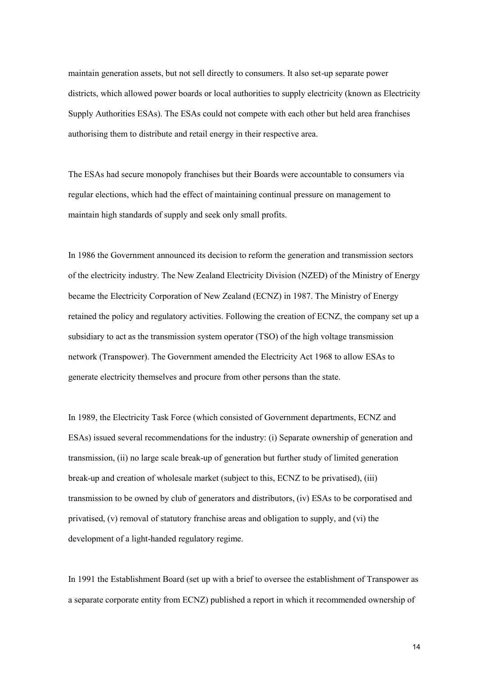maintain generation assets, but not sell directly to consumers. It also set-up separate power districts, which allowed power boards or local authorities to supply electricity (known as Electricity Supply Authorities ESAs). The ESAs could not compete with each other but held area franchises authorising them to distribute and retail energy in their respective area.

The ESAs had secure monopoly franchises but their Boards were accountable to consumers via regular elections, which had the effect of maintaining continual pressure on management to maintain high standards of supply and seek only small profits.

In 1986 the Government announced its decision to reform the generation and transmission sectors of the electricity industry. The New Zealand Electricity Division (NZED) of the Ministry of Energy became the Electricity Corporation of New Zealand (ECNZ) in 1987. The Ministry of Energy retained the policy and regulatory activities. Following the creation of ECNZ, the company set up a subsidiary to act as the transmission system operator (TSO) of the high voltage transmission network (Transpower). The Government amended the Electricity Act 1968 to allow ESAs to generate electricity themselves and procure from other persons than the state.

In 1989, the Electricity Task Force (which consisted of Government departments, ECNZ and ESAs) issued several recommendations for the industry: (i) Separate ownership of generation and transmission, (ii) no large scale break-up of generation but further study of limited generation break-up and creation of wholesale market (subject to this, ECNZ to be privatised), (iii) transmission to be owned by club of generators and distributors, (iv) ESAs to be corporatised and privatised, (v) removal of statutory franchise areas and obligation to supply, and (vi) the development of a light-handed regulatory regime.

In 1991 the Establishment Board (set up with a brief to oversee the establishment of Transpower as a separate corporate entity from ECNZ) published a report in which it recommended ownership of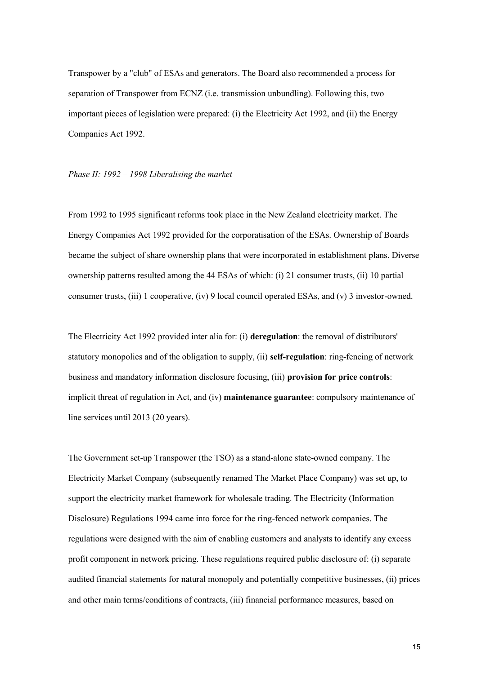Transpower by a "club" of ESAs and generators. The Board also recommended a process for separation of Transpower from ECNZ (i.e. transmission unbundling). Following this, two important pieces of legislation were prepared: (i) the Electricity Act 1992, and (ii) the Energy Companies Act 1992.

### *Phase II: 1992 – 1998 Liberalising the market*

From 1992 to 1995 significant reforms took place in the New Zealand electricity market. The Energy Companies Act 1992 provided for the corporatisation of the ESAs. Ownership of Boards became the subject of share ownership plans that were incorporated in establishment plans. Diverse ownership patterns resulted among the 44 ESAs of which: (i) 21 consumer trusts, (ii) 10 partial consumer trusts, (iii) 1 cooperative, (iv) 9 local council operated ESAs, and (v) 3 investor-owned.

The Electricity Act 1992 provided inter alia for: (i) **deregulation**: the removal of distributors' statutory monopolies and of the obligation to supply, (ii) **self-regulation**: ring-fencing of network business and mandatory information disclosure focusing, (iii) **provision for price controls**: implicit threat of regulation in Act, and (iv) **maintenance guarantee**: compulsory maintenance of line services until 2013 (20 years).

The Government set-up Transpower (the TSO) as a stand-alone state-owned company. The Electricity Market Company (subsequently renamed The Market Place Company) was set up, to support the electricity market framework for wholesale trading. The Electricity (Information Disclosure) Regulations 1994 came into force for the ring-fenced network companies. The regulations were designed with the aim of enabling customers and analysts to identify any excess profit component in network pricing. These regulations required public disclosure of: (i) separate audited financial statements for natural monopoly and potentially competitive businesses, (ii) prices and other main terms/conditions of contracts, (iii) financial performance measures, based on

15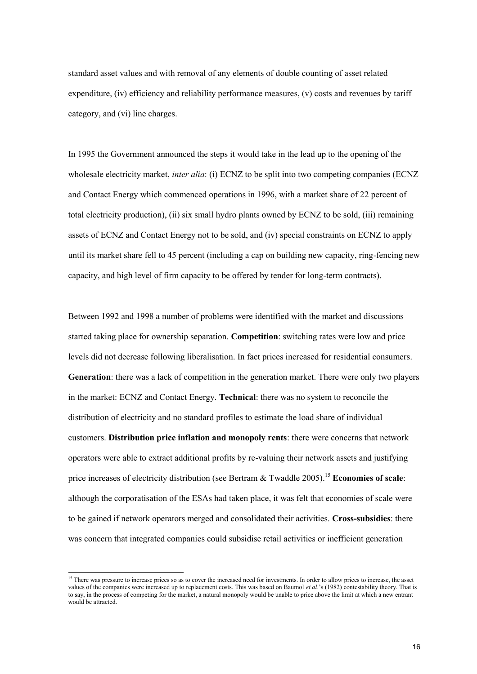standard asset values and with removal of any elements of double counting of asset related expenditure, (iv) efficiency and reliability performance measures, (v) costs and revenues by tariff category, and (vi) line charges.

In 1995 the Government announced the steps it would take in the lead up to the opening of the wholesale electricity market, *inter alia*: (i) ECNZ to be split into two competing companies (ECNZ and Contact Energy which commenced operations in 1996, with a market share of 22 percent of total electricity production), (ii) six small hydro plants owned by ECNZ to be sold, (iii) remaining assets of ECNZ and Contact Energy not to be sold, and (iv) special constraints on ECNZ to apply until its market share fell to 45 percent (including a cap on building new capacity, ring-fencing new capacity, and high level of firm capacity to be offered by tender for long-term contracts).

Between 1992 and 1998 a number of problems were identified with the market and discussions started taking place for ownership separation. **Competition**: switching rates were low and price levels did not decrease following liberalisation. In fact prices increased for residential consumers. **Generation**: there was a lack of competition in the generation market. There were only two players in the market: ECNZ and Contact Energy. **Technical**: there was no system to reconcile the distribution of electricity and no standard profiles to estimate the load share of individual customers. **Distribution price inflation and monopoly rents**: there were concerns that network operators were able to extract additional profits by re-valuing their network assets and justifying price increases of electricity distribution (see Bertram & Twaddle 2005).<sup>15</sup> **Economies of scale**: although the corporatisation of the ESAs had taken place, it was felt that economies of scale were to be gained if network operators merged and consolidated their activities. **Cross-subsidies**: there was concern that integrated companies could subsidise retail activities or inefficient generation

<sup>&</sup>lt;sup>15</sup> There was pressure to increase prices so as to cover the increased need for investments. In order to allow prices to increase, the asset values of the companies were increased up to replacement costs. This was based on Baumol *et al*.'s (1982) contestability theory. That is to say, in the process of competing for the market, a natural monopoly would be unable to price above the limit at which a new entrant would be attracted.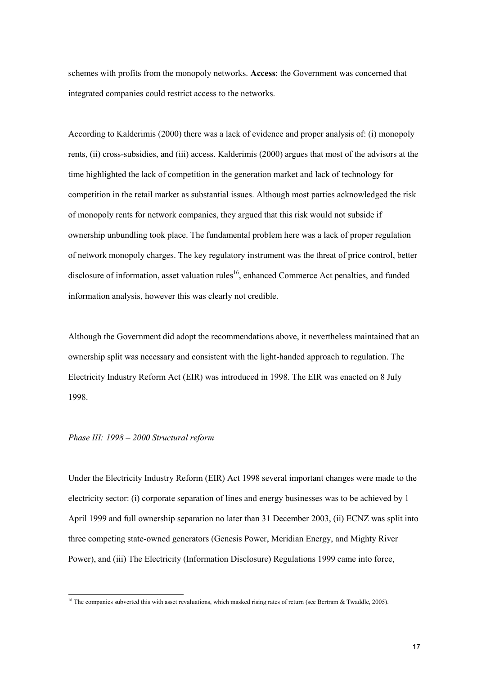schemes with profits from the monopoly networks. **Access**: the Government was concerned that integrated companies could restrict access to the networks.

According to Kalderimis (2000) there was a lack of evidence and proper analysis of: (i) monopoly rents, (ii) cross-subsidies, and (iii) access. Kalderimis (2000) argues that most of the advisors at the time highlighted the lack of competition in the generation market and lack of technology for competition in the retail market as substantial issues. Although most parties acknowledged the risk of monopoly rents for network companies, they argued that this risk would not subside if ownership unbundling took place. The fundamental problem here was a lack of proper regulation of network monopoly charges. The key regulatory instrument was the threat of price control, better disclosure of information, asset valuation rules<sup>16</sup>, enhanced Commerce Act penalties, and funded information analysis, however this was clearly not credible.

Although the Government did adopt the recommendations above, it nevertheless maintained that an ownership split was necessary and consistent with the light-handed approach to regulation. The Electricity Industry Reform Act (EIR) was introduced in 1998. The EIR was enacted on 8 July 1998.

#### *Phase III: 1998 – 2000 Structural reform*

Under the Electricity Industry Reform (EIR) Act 1998 several important changes were made to the electricity sector: (i) corporate separation of lines and energy businesses was to be achieved by 1 April 1999 and full ownership separation no later than 31 December 2003, (ii) ECNZ was split into three competing state-owned generators (Genesis Power, Meridian Energy, and Mighty River Power), and (iii) The Electricity (Information Disclosure) Regulations 1999 came into force,

<sup>&</sup>lt;sup>16</sup> The companies subverted this with asset revaluations, which masked rising rates of return (see Bertram & Twaddle, 2005).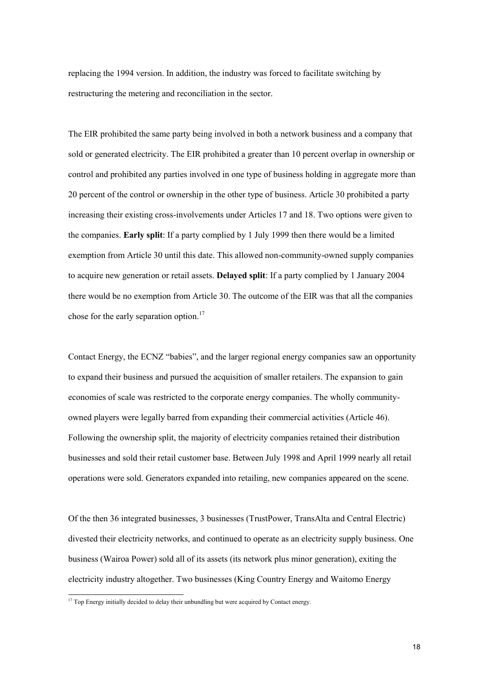replacing the 1994 version. In addition, the industry was forced to facilitate switching by restructuring the metering and reconciliation in the sector.

The EIR prohibited the same party being involved in both a network business and a company that sold or generated electricity. The EIR prohibited a greater than 10 percent overlap in ownership or control and prohibited any parties involved in one type of business holding in aggregate more than 20 percent of the control or ownership in the other type of business. Article 30 prohibited a party increasing their existing cross-involvements under Articles 17 and 18. Two options were given to the companies. **Early split**: If a party complied by 1 July 1999 then there would be a limited exemption from Article 30 until this date. This allowed non-community-owned supply companies to acquire new generation or retail assets. **Delayed split**: If a party complied by 1 January 2004 there would be no exemption from Article 30. The outcome of the EIR was that all the companies chose for the early separation option.<sup>17</sup>

Contact Energy, the ECNZ "babies", and the larger regional energy companies saw an opportunity to expand their business and pursued the acquisition of smaller retailers. The expansion to gain economies of scale was restricted to the corporate energy companies. The wholly communityowned players were legally barred from expanding their commercial activities (Article 46). Following the ownership split, the majority of electricity companies retained their distribution businesses and sold their retail customer base. Between July 1998 and April 1999 nearly all retail operations were sold. Generators expanded into retailing, new companies appeared on the scene.

Of the then 36 integrated businesses, 3 businesses (TrustPower, TransAlta and Central Electric) divested their electricity networks, and continued to operate as an electricity supply business. One business (Wairoa Power) sold all of its assets (its network plus minor generation), exiting the electricity industry altogether. Two businesses (King Country Energy and Waitomo Energy

<sup>&</sup>lt;sup>17</sup> Top Energy initially decided to delay their unbundling but were acquired by Contact energy.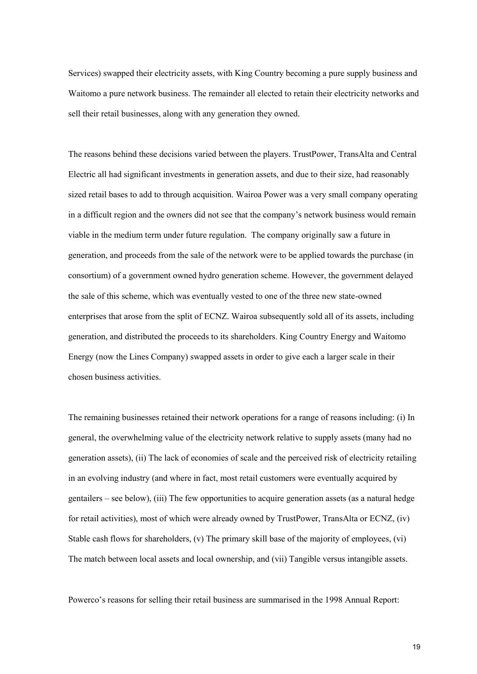Services) swapped their electricity assets, with King Country becoming a pure supply business and Waitomo a pure network business. The remainder all elected to retain their electricity networks and sell their retail businesses, along with any generation they owned.

The reasons behind these decisions varied between the players. TrustPower, TransAlta and Central Electric all had significant investments in generation assets, and due to their size, had reasonably sized retail bases to add to through acquisition. Wairoa Power was a very small company operating in a difficult region and the owners did not see that the company's network business would remain viable in the medium term under future regulation. The company originally saw a future in generation, and proceeds from the sale of the network were to be applied towards the purchase (in consortium) of a government owned hydro generation scheme. However, the government delayed the sale of this scheme, which was eventually vested to one of the three new state-owned enterprises that arose from the split of ECNZ. Wairoa subsequently sold all of its assets, including generation, and distributed the proceeds to its shareholders. King Country Energy and Waitomo Energy (now the Lines Company) swapped assets in order to give each a larger scale in their chosen business activities.

The remaining businesses retained their network operations for a range of reasons including: (i) In general, the overwhelming value of the electricity network relative to supply assets (many had no generation assets), (ii) The lack of economies of scale and the perceived risk of electricity retailing in an evolving industry (and where in fact, most retail customers were eventually acquired by gentailers – see below), (iii) The few opportunities to acquire generation assets (as a natural hedge for retail activities), most of which were already owned by TrustPower, TransAlta or ECNZ, (iv) Stable cash flows for shareholders, (v) The primary skill base of the majority of employees, (vi) The match between local assets and local ownership, and (vii) Tangible versus intangible assets.

Powerco's reasons for selling their retail business are summarised in the 1998 Annual Report: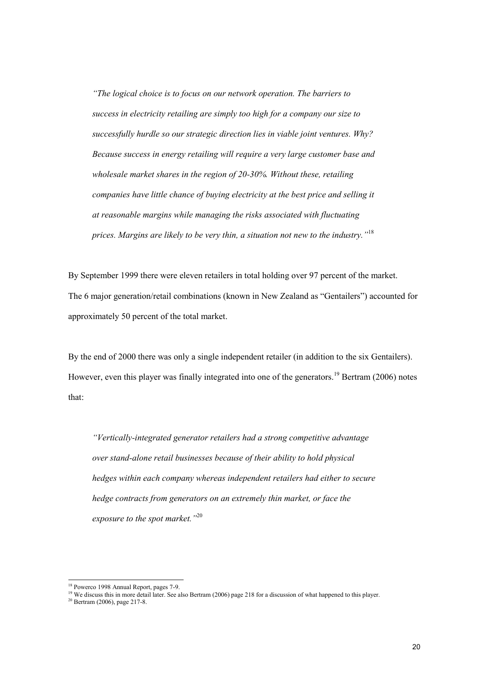*"The logical choice is to focus on our network operation. The barriers to success in electricity retailing are simply too high for a company our size to successfully hurdle so our strategic direction lies in viable joint ventures. Why? Because success in energy retailing will require a very large customer base and wholesale market shares in the region of 20-30%. Without these, retailing companies have little chance of buying electricity at the best price and selling it at reasonable margins while managing the risks associated with fluctuating prices. Margins are likely to be very thin, a situation not new to the industry."*<sup>18</sup>

By September 1999 there were eleven retailers in total holding over 97 percent of the market. The 6 major generation/retail combinations (known in New Zealand as "Gentailers") accounted for approximately 50 percent of the total market.

By the end of 2000 there was only a single independent retailer (in addition to the six Gentailers). However, even this player was finally integrated into one of the generators.<sup>19</sup> Bertram (2006) notes that:

*"Vertically-integrated generator retailers had a strong competitive advantage over stand-alone retail businesses because of their ability to hold physical hedges within each company whereas independent retailers had either to secure hedge contracts from generators on an extremely thin market, or face the exposure to the spot market."*<sup>20</sup>

<sup>18</sup> Powerco 1998 Annual Report, pages 7-9.

<sup>&</sup>lt;sup>19</sup> We discuss this in more detail later. See also Bertram (2006) page 218 for a discussion of what happened to this player.

 $20$  Bertram (2006), page 217-8.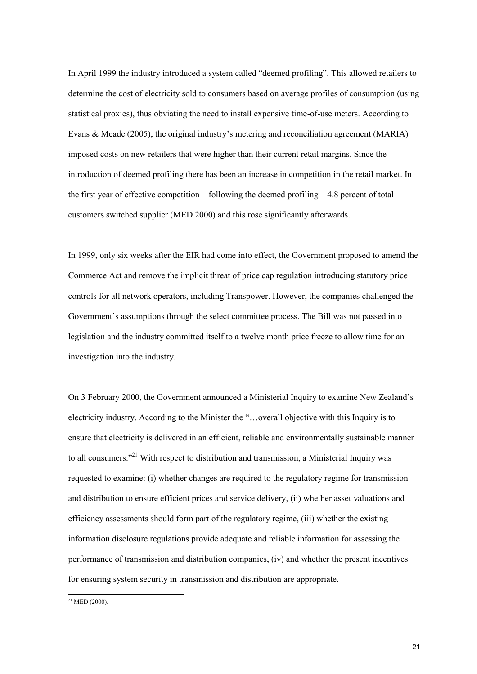In April 1999 the industry introduced a system called "deemed profiling". This allowed retailers to determine the cost of electricity sold to consumers based on average profiles of consumption (using statistical proxies), thus obviating the need to install expensive time-of-use meters. According to Evans & Meade (2005), the original industry's metering and reconciliation agreement (MARIA) imposed costs on new retailers that were higher than their current retail margins. Since the introduction of deemed profiling there has been an increase in competition in the retail market. In the first year of effective competition – following the deemed profiling  $-4.8$  percent of total customers switched supplier (MED 2000) and this rose significantly afterwards.

In 1999, only six weeks after the EIR had come into effect, the Government proposed to amend the Commerce Act and remove the implicit threat of price cap regulation introducing statutory price controls for all network operators, including Transpower. However, the companies challenged the Government's assumptions through the select committee process. The Bill was not passed into legislation and the industry committed itself to a twelve month price freeze to allow time for an investigation into the industry.

On 3 February 2000, the Government announced a Ministerial Inquiry to examine New Zealand's electricity industry. According to the Minister the "…overall objective with this Inquiry is to ensure that electricity is delivered in an efficient, reliable and environmentally sustainable manner to all consumers."<sup>21</sup> With respect to distribution and transmission, a Ministerial Inquiry was requested to examine: (i) whether changes are required to the regulatory regime for transmission and distribution to ensure efficient prices and service delivery, (ii) whether asset valuations and efficiency assessments should form part of the regulatory regime, (iii) whether the existing information disclosure regulations provide adequate and reliable information for assessing the performance of transmission and distribution companies, (iv) and whether the present incentives for ensuring system security in transmission and distribution are appropriate.

 $21$  MED (2000).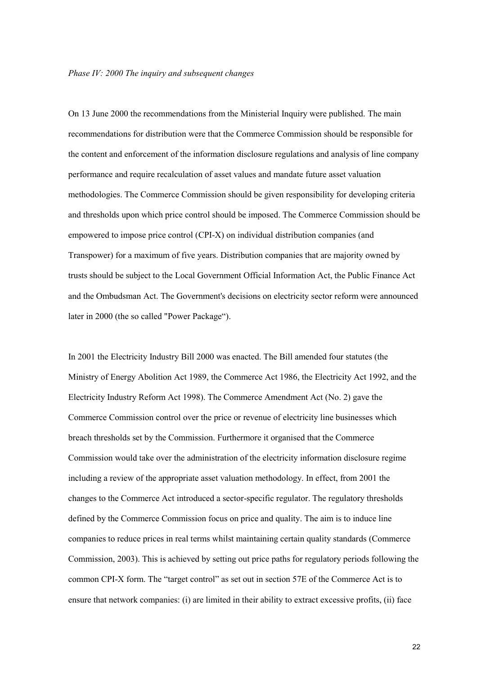On 13 June 2000 the recommendations from the Ministerial Inquiry were published. The main recommendations for distribution were that the Commerce Commission should be responsible for the content and enforcement of the information disclosure regulations and analysis of line company performance and require recalculation of asset values and mandate future asset valuation methodologies. The Commerce Commission should be given responsibility for developing criteria and thresholds upon which price control should be imposed. The Commerce Commission should be empowered to impose price control (CPI-X) on individual distribution companies (and Transpower) for a maximum of five years. Distribution companies that are majority owned by trusts should be subject to the Local Government Official Information Act, the Public Finance Act and the Ombudsman Act. The Government's decisions on electricity sector reform were announced later in 2000 (the so called "Power Package").

In 2001 the Electricity Industry Bill 2000 was enacted. The Bill amended four statutes (the Ministry of Energy Abolition Act 1989, the Commerce Act 1986, the Electricity Act 1992, and the Electricity Industry Reform Act 1998). The Commerce Amendment Act (No. 2) gave the Commerce Commission control over the price or revenue of electricity line businesses which breach thresholds set by the Commission. Furthermore it organised that the Commerce Commission would take over the administration of the electricity information disclosure regime including a review of the appropriate asset valuation methodology. In effect, from 2001 the changes to the Commerce Act introduced a sector-specific regulator. The regulatory thresholds defined by the Commerce Commission focus on price and quality. The aim is to induce line companies to reduce prices in real terms whilst maintaining certain quality standards (Commerce Commission, 2003). This is achieved by setting out price paths for regulatory periods following the common CPI-X form. The "target control" as set out in section 57E of the Commerce Act is to ensure that network companies: (i) are limited in their ability to extract excessive profits, (ii) face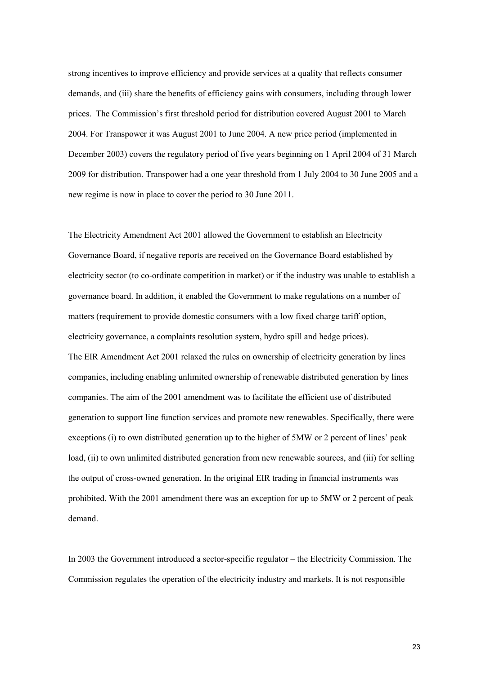strong incentives to improve efficiency and provide services at a quality that reflects consumer demands, and (iii) share the benefits of efficiency gains with consumers, including through lower prices. The Commission's first threshold period for distribution covered August 2001 to March 2004. For Transpower it was August 2001 to June 2004. A new price period (implemented in December 2003) covers the regulatory period of five years beginning on 1 April 2004 of 31 March 2009 for distribution. Transpower had a one year threshold from 1 July 2004 to 30 June 2005 and a new regime is now in place to cover the period to 30 June 2011.

The Electricity Amendment Act 2001 allowed the Government to establish an Electricity Governance Board, if negative reports are received on the Governance Board established by electricity sector (to co-ordinate competition in market) or if the industry was unable to establish a governance board. In addition, it enabled the Government to make regulations on a number of matters (requirement to provide domestic consumers with a low fixed charge tariff option, electricity governance, a complaints resolution system, hydro spill and hedge prices). The EIR Amendment Act 2001 relaxed the rules on ownership of electricity generation by lines companies, including enabling unlimited ownership of renewable distributed generation by lines companies. The aim of the 2001 amendment was to facilitate the efficient use of distributed generation to support line function services and promote new renewables. Specifically, there were exceptions (i) to own distributed generation up to the higher of 5MW or 2 percent of lines' peak load, (ii) to own unlimited distributed generation from new renewable sources, and (iii) for selling the output of cross-owned generation. In the original EIR trading in financial instruments was prohibited. With the 2001 amendment there was an exception for up to 5MW or 2 percent of peak demand.

In 2003 the Government introduced a sector-specific regulator – the Electricity Commission. The Commission regulates the operation of the electricity industry and markets. It is not responsible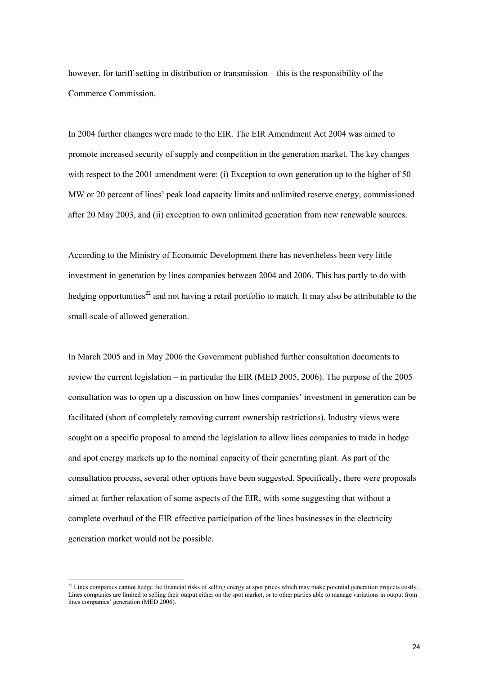however, for tariff-setting in distribution or transmission – this is the responsibility of the Commerce Commission.

In 2004 further changes were made to the EIR. The EIR Amendment Act 2004 was aimed to promote increased security of supply and competition in the generation market. The key changes with respect to the 2001 amendment were: (i) Exception to own generation up to the higher of 50 MW or 20 percent of lines' peak load capacity limits and unlimited reserve energy, commissioned after 20 May 2003, and (ii) exception to own unlimited generation from new renewable sources.

According to the Ministry of Economic Development there has nevertheless been very little investment in generation by lines companies between 2004 and 2006. This has partly to do with hedging opportunities<sup>22</sup> and not having a retail portfolio to match. It may also be attributable to the small-scale of allowed generation.

In March 2005 and in May 2006 the Government published further consultation documents to review the current legislation – in particular the EIR (MED 2005, 2006). The purpose of the 2005 consultation was to open up a discussion on how lines companies' investment in generation can be facilitated (short of completely removing current ownership restrictions). Industry views were sought on a specific proposal to amend the legislation to allow lines companies to trade in hedge and spot energy markets up to the nominal capacity of their generating plant. As part of the consultation process, several other options have been suggested. Specifically, there were proposals aimed at further relaxation of some aspects of the EIR, with some suggesting that without a complete overhaul of the EIR effective participation of the lines businesses in the electricity generation market would not be possible.

<sup>&</sup>lt;sup>22</sup> Lines companies cannot hedge the financial risks of selling energy at spot prices which may make potential generation projects costly. Lines companies are limited to selling their output either on the spot market, or to other parties able to manage variations in output from lines companies' generation (MED 2006).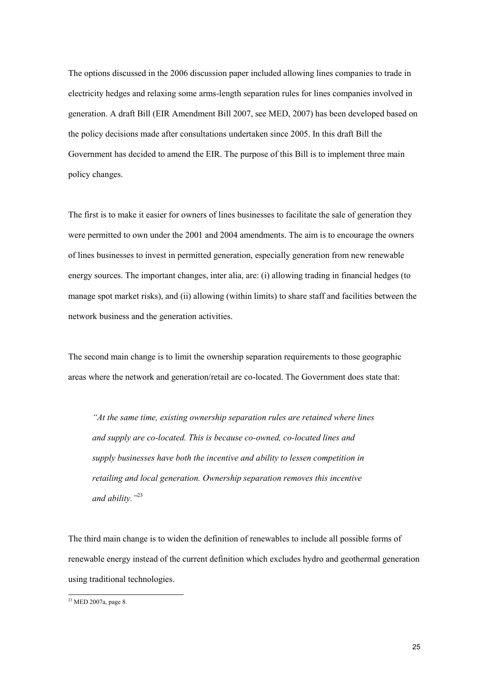The options discussed in the 2006 discussion paper included allowing lines companies to trade in electricity hedges and relaxing some arms-length separation rules for lines companies involved in generation. A draft Bill (EIR Amendment Bill 2007, see MED, 2007) has been developed based on the policy decisions made after consultations undertaken since 2005. In this draft Bill the Government has decided to amend the EIR. The purpose of this Bill is to implement three main policy changes.

The first is to make it easier for owners of lines businesses to facilitate the sale of generation they were permitted to own under the 2001 and 2004 amendments. The aim is to encourage the owners of lines businesses to invest in permitted generation, especially generation from new renewable energy sources. The important changes, inter alia, are: (i) allowing trading in financial hedges (to manage spot market risks), and (ii) allowing (within limits) to share staff and facilities between the network business and the generation activities.

The second main change is to limit the ownership separation requirements to those geographic areas where the network and generation/retail are co-located. The Government does state that:

*"At the same time, existing ownership separation rules are retained where lines and supply are co-located. This is because co-owned, co-located lines and supply businesses have both the incentive and ability to lessen competition in retailing and local generation. Ownership separation removes this incentive and ability."*<sup>23</sup>

The third main change is to widen the definition of renewables to include all possible forms of renewable energy instead of the current definition which excludes hydro and geothermal generation using traditional technologies.

<sup>23</sup> MED 2007a, page 8.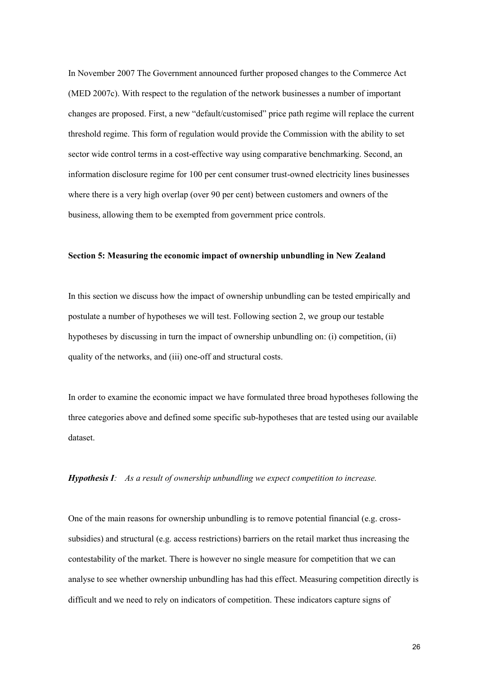In November 2007 The Government announced further proposed changes to the Commerce Act (MED 2007c). With respect to the regulation of the network businesses a number of important changes are proposed. First, a new "default/customised" price path regime will replace the current threshold regime. This form of regulation would provide the Commission with the ability to set sector wide control terms in a cost-effective way using comparative benchmarking. Second, an information disclosure regime for 100 per cent consumer trust-owned electricity lines businesses where there is a very high overlap (over 90 per cent) between customers and owners of the business, allowing them to be exempted from government price controls.

## **Section 5: Measuring the economic impact of ownership unbundling in New Zealand**

In this section we discuss how the impact of ownership unbundling can be tested empirically and postulate a number of hypotheses we will test. Following section 2, we group our testable hypotheses by discussing in turn the impact of ownership unbundling on: (i) competition, (ii) quality of the networks, and (iii) one-off and structural costs.

In order to examine the economic impact we have formulated three broad hypotheses following the three categories above and defined some specific sub-hypotheses that are tested using our available dataset.

*Hypothesis I: As a result of ownership unbundling we expect competition to increase.*

One of the main reasons for ownership unbundling is to remove potential financial (e.g. crosssubsidies) and structural (e.g. access restrictions) barriers on the retail market thus increasing the contestability of the market. There is however no single measure for competition that we can analyse to see whether ownership unbundling has had this effect. Measuring competition directly is difficult and we need to rely on indicators of competition. These indicators capture signs of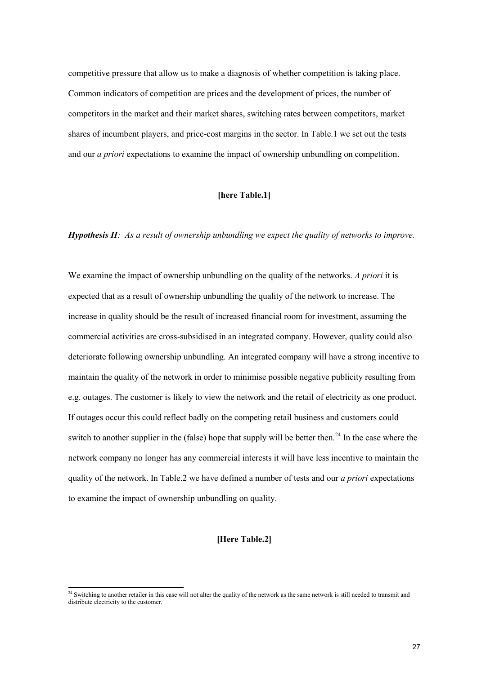competitive pressure that allow us to make a diagnosis of whether competition is taking place. Common indicators of competition are prices and the development of prices, the number of competitors in the market and their market shares, switching rates between competitors, market shares of incumbent players, and price-cost margins in the sector. In Table.1 we set out the tests and our *a priori* expectations to examine the impact of ownership unbundling on competition.

## **[here Table.1]**

# *Hypothesis II: As a result of ownership unbundling we expect the quality of networks to improve.*

We examine the impact of ownership unbundling on the quality of the networks. *A priori* it is expected that as a result of ownership unbundling the quality of the network to increase. The increase in quality should be the result of increased financial room for investment, assuming the commercial activities are cross-subsidised in an integrated company. However, quality could also deteriorate following ownership unbundling. An integrated company will have a strong incentive to maintain the quality of the network in order to minimise possible negative publicity resulting from e.g. outages. The customer is likely to view the network and the retail of electricity as one product. If outages occur this could reflect badly on the competing retail business and customers could switch to another supplier in the (false) hope that supply will be better then.<sup>24</sup> In the case where the network company no longer has any commercial interests it will have less incentive to maintain the quality of the network. In Table.2 we have defined a number of tests and our *a priori* expectations to examine the impact of ownership unbundling on quality.

# **[Here Table.2]**

<sup>&</sup>lt;sup>24</sup> Switching to another retailer in this case will not alter the quality of the network as the same network is still needed to transmit and distribute electricity to the customer.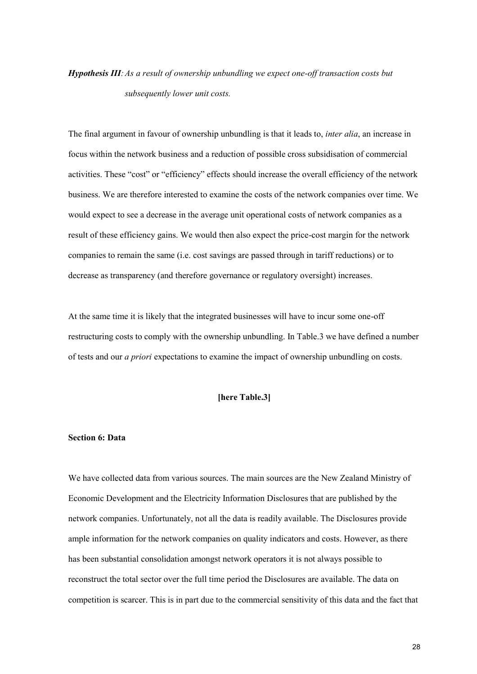# *Hypothesis III:As a result of ownership unbundling we expect one-off transaction costs but subsequently lower unit costs.*

The final argument in favour of ownership unbundling is that it leads to, *inter alia*, an increase in focus within the network business and a reduction of possible cross subsidisation of commercial activities. These "cost" or "efficiency" effects should increase the overall efficiency of the network business. We are therefore interested to examine the costs of the network companies over time. We would expect to see a decrease in the average unit operational costs of network companies as a result of these efficiency gains. We would then also expect the price-cost margin for the network companies to remain the same (i.e. cost savings are passed through in tariff reductions) or to decrease as transparency (and therefore governance or regulatory oversight) increases.

At the same time it is likely that the integrated businesses will have to incur some one-off restructuring costs to comply with the ownership unbundling. In Table.3 we have defined a number of tests and our *a priori* expectations to examine the impact of ownership unbundling on costs.

# **[here Table.3]**

## **Section 6: Data**

We have collected data from various sources. The main sources are the New Zealand Ministry of Economic Development and the Electricity Information Disclosures that are published by the network companies. Unfortunately, not all the data is readily available. The Disclosures provide ample information for the network companies on quality indicators and costs. However, as there has been substantial consolidation amongst network operators it is not always possible to reconstruct the total sector over the full time period the Disclosures are available. The data on competition is scarcer. This is in part due to the commercial sensitivity of this data and the fact that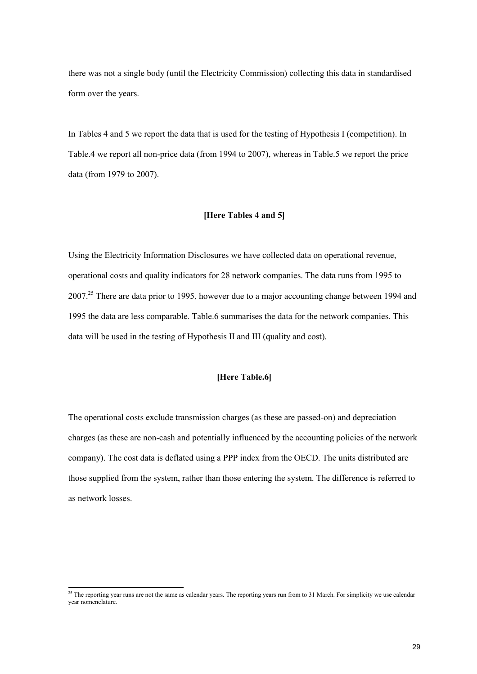there was not a single body (until the Electricity Commission) collecting this data in standardised form over the years.

In Tables 4 and 5 we report the data that is used for the testing of Hypothesis I (competition). In Table.4 we report all non-price data (from 1994 to 2007), whereas in Table.5 we report the price data (from 1979 to 2007).

# **[Here Tables 4 and 5]**

Using the Electricity Information Disclosures we have collected data on operational revenue, operational costs and quality indicators for 28 network companies. The data runs from 1995 to  $2007<sup>25</sup>$  There are data prior to 1995, however due to a major accounting change between 1994 and 1995 the data are less comparable. Table.6 summarises the data for the network companies. This data will be used in the testing of Hypothesis II and III (quality and cost).

#### **[Here Table.6]**

The operational costs exclude transmission charges (as these are passed-on) and depreciation charges (as these are non-cash and potentially influenced by the accounting policies of the network company). The cost data is deflated using a PPP index from the OECD. The units distributed are those supplied from the system, rather than those entering the system. The difference is referred to as network losses.

<sup>&</sup>lt;sup>25</sup> The reporting year runs are not the same as calendar years. The reporting years run from to 31 March. For simplicity we use calendar year nomenclature.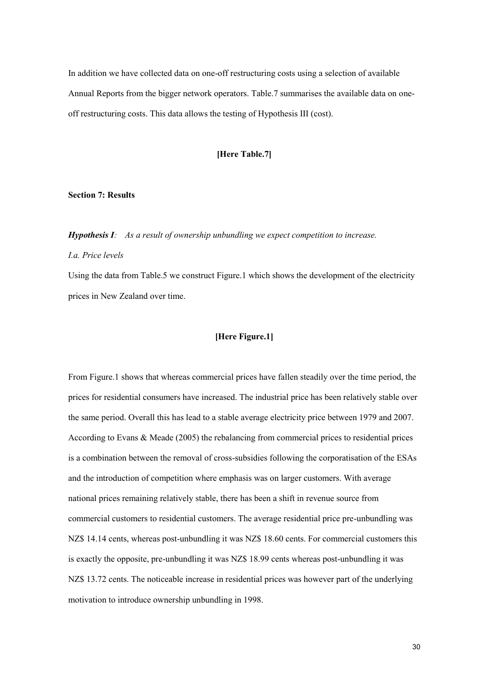In addition we have collected data on one-off restructuring costs using a selection of available Annual Reports from the bigger network operators. Table.7 summarises the available data on oneoff restructuring costs. This data allows the testing of Hypothesis III (cost).

# **[Here Table.7]**

#### **Section 7: Results**

*Hypothesis I: As a result of ownership unbundling we expect competition to increase. I.a. Price levels*

Using the data from Table.5 we construct Figure.1 which shows the development of the electricity prices in New Zealand over time.

# **[Here Figure.1]**

From Figure.1 shows that whereas commercial prices have fallen steadily over the time period, the prices for residential consumers have increased. The industrial price has been relatively stable over the same period. Overall this has lead to a stable average electricity price between 1979 and 2007. According to Evans & Meade (2005) the rebalancing from commercial prices to residential prices is a combination between the removal of cross-subsidies following the corporatisation of the ESAs and the introduction of competition where emphasis was on larger customers. With average national prices remaining relatively stable, there has been a shift in revenue source from commercial customers to residential customers. The average residential price pre-unbundling was NZ\$ 14.14 cents, whereas post-unbundling it was NZ\$ 18.60 cents. For commercial customers this is exactly the opposite, pre-unbundling it was NZ\$ 18.99 cents whereas post-unbundling it was NZ\$ 13.72 cents. The noticeable increase in residential prices was however part of the underlying motivation to introduce ownership unbundling in 1998.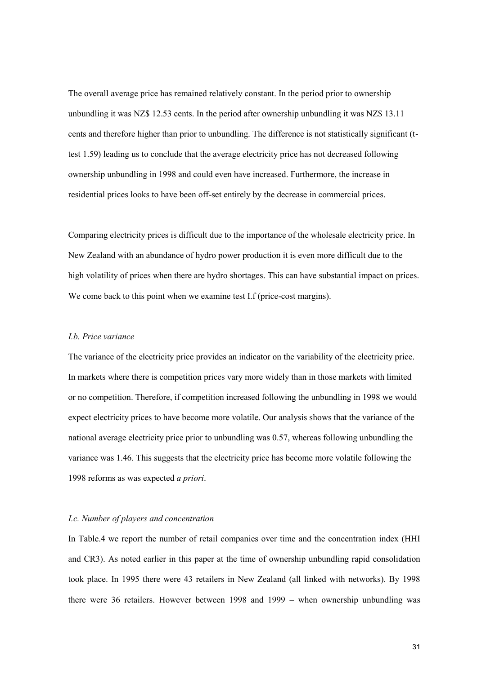The overall average price has remained relatively constant. In the period prior to ownership unbundling it was NZ\$ 12.53 cents. In the period after ownership unbundling it was NZ\$ 13.11 cents and therefore higher than prior to unbundling. The difference is not statistically significant (ttest 1.59) leading us to conclude that the average electricity price has not decreased following ownership unbundling in 1998 and could even have increased. Furthermore, the increase in residential prices looks to have been off-set entirely by the decrease in commercial prices.

Comparing electricity prices is difficult due to the importance of the wholesale electricity price. In New Zealand with an abundance of hydro power production it is even more difficult due to the high volatility of prices when there are hydro shortages. This can have substantial impact on prices. We come back to this point when we examine test I.f (price-cost margins).

#### *I.b. Price variance*

The variance of the electricity price provides an indicator on the variability of the electricity price. In markets where there is competition prices vary more widely than in those markets with limited or no competition. Therefore, if competition increased following the unbundling in 1998 we would expect electricity prices to have become more volatile. Our analysis shows that the variance of the national average electricity price prior to unbundling was 0.57, whereas following unbundling the variance was 1.46. This suggests that the electricity price has become more volatile following the 1998 reforms as was expected *a priori*.

#### *I.c. Number of players and concentration*

In Table.4 we report the number of retail companies over time and the concentration index (HHI and CR3). As noted earlier in this paper at the time of ownership unbundling rapid consolidation took place. In 1995 there were 43 retailers in New Zealand (all linked with networks). By 1998 there were 36 retailers. However between 1998 and 1999 – when ownership unbundling was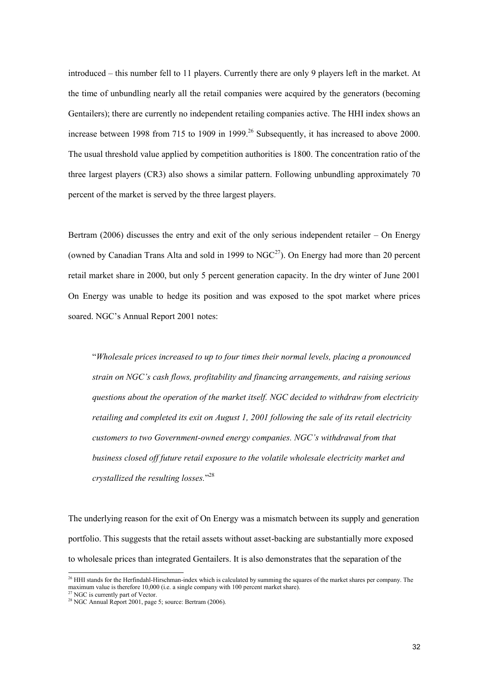introduced – this number fell to 11 players. Currently there are only 9 players left in the market. At the time of unbundling nearly all the retail companies were acquired by the generators (becoming Gentailers); there are currently no independent retailing companies active. The HHI index shows an increase between 1998 from 715 to 1909 in 1999.<sup>26</sup> Subsequently, it has increased to above 2000. The usual threshold value applied by competition authorities is 1800. The concentration ratio of the three largest players (CR3) also shows a similar pattern. Following unbundling approximately 70 percent of the market is served by the three largest players.

Bertram (2006) discusses the entry and exit of the only serious independent retailer – On Energy (owned by Canadian Trans Alta and sold in 1999 to  $NGC<sup>27</sup>$ ). On Energy had more than 20 percent retail market share in 2000, but only 5 percent generation capacity. In the dry winter of June 2001 On Energy was unable to hedge its position and was exposed to the spot market where prices soared. NGC's Annual Report 2001 notes:

"*Wholesale prices increased to up to four times their normal levels, placing a pronounced strain on NGC's cash flows, profitability and financing arrangements, and raising serious questions about the operation of the market itself. NGC decided to withdraw from electricity retailing and completed its exit on August 1, 2001 following the sale of its retail electricity customers to two Government-owned energy companies. NGC's withdrawal from that business closed off future retail exposure to the volatile wholesale electricity market and crystallized the resulting losses.*" 28

The underlying reason for the exit of On Energy was a mismatch between its supply and generation portfolio. This suggests that the retail assets without asset-backing are substantially more exposed to wholesale prices than integrated Gentailers. It is also demonstrates that the separation of the

<sup>&</sup>lt;sup>26</sup> HHI stands for the Herfindahl-Hirschman-index which is calculated by summing the squares of the market shares per company. The maximum value is therefore 10,000 (i.e. a single company with 100 percent market share).

<sup>&</sup>lt;sup>27</sup> NGC is currently part of Vector.

 $28$  NGC Annual Report 2001, page 5; source: Bertram (2006).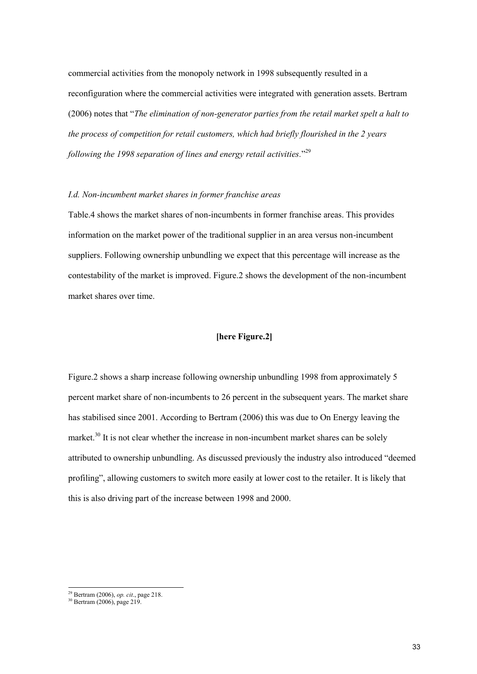commercial activities from the monopoly network in 1998 subsequently resulted in a reconfiguration where the commercial activities were integrated with generation assets. Bertram (2006) notes that "*The elimination of non-generator parties from the retail market spelt a halt to the process of competition for retail customers, which had briefly flourished in the 2 years following the 1998 separation of lines and energy retail activities.*" 29

#### *I.d. Non-incumbent market shares in former franchise areas*

Table.4 shows the market shares of non-incumbents in former franchise areas. This provides information on the market power of the traditional supplier in an area versus non-incumbent suppliers. Following ownership unbundling we expect that this percentage will increase as the contestability of the market is improved. Figure.2 shows the development of the non-incumbent market shares over time.

# **[here Figure.2]**

Figure.2 shows a sharp increase following ownership unbundling 1998 from approximately 5 percent market share of non-incumbents to 26 percent in the subsequent years. The market share has stabilised since 2001. According to Bertram (2006) this was due to On Energy leaving the market.<sup>30</sup> It is not clear whether the increase in non-incumbent market shares can be solely attributed to ownership unbundling. As discussed previously the industry also introduced "deemed profiling", allowing customers to switch more easily at lower cost to the retailer. It is likely that this is also driving part of the increase between 1998 and 2000.

<sup>29</sup> Bertram (2006), *op. cit*., page 218.

<sup>30</sup> Bertram (2006), page 219.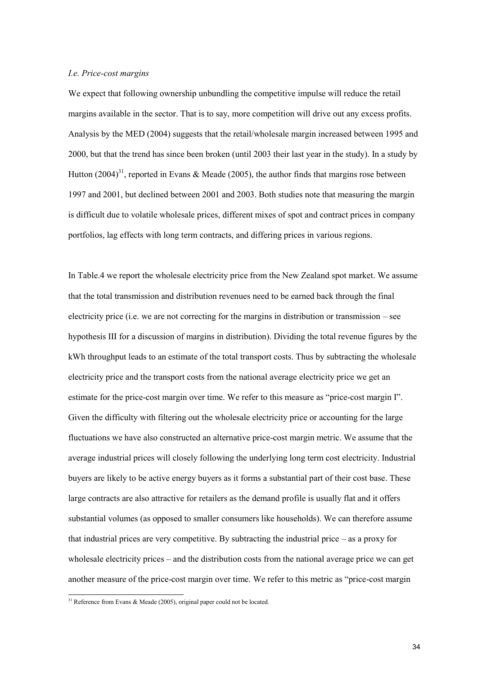### *I.e. Price-cost margins*

We expect that following ownership unbundling the competitive impulse will reduce the retail margins available in the sector. That is to say, more competition will drive out any excess profits. Analysis by the MED (2004) suggests that the retail/wholesale margin increased between 1995 and 2000, but that the trend has since been broken (until 2003 their last year in the study). In a study by Hutton  $(2004)^{31}$ , reported in Evans & Meade (2005), the author finds that margins rose between 1997 and 2001, but declined between 2001 and 2003. Both studies note that measuring the margin is difficult due to volatile wholesale prices, different mixes of spot and contract prices in company portfolios, lag effects with long term contracts, and differing prices in various regions.

In Table.4 we report the wholesale electricity price from the New Zealand spot market. We assume that the total transmission and distribution revenues need to be earned back through the final electricity price (i.e. we are not correcting for the margins in distribution or transmission – see hypothesis III for a discussion of margins in distribution). Dividing the total revenue figures by the kWh throughput leads to an estimate of the total transport costs. Thus by subtracting the wholesale electricity price and the transport costs from the national average electricity price we get an estimate for the price-cost margin over time. We refer to this measure as "price-cost margin I". Given the difficulty with filtering out the wholesale electricity price or accounting for the large fluctuations we have also constructed an alternative price-cost margin metric. We assume that the average industrial prices will closely following the underlying long term cost electricity. Industrial buyers are likely to be active energy buyers as it forms a substantial part of their cost base. These large contracts are also attractive for retailers as the demand profile is usually flat and it offers substantial volumes (as opposed to smaller consumers like households). We can therefore assume that industrial prices are very competitive. By subtracting the industrial price – as a proxy for wholesale electricity prices – and the distribution costs from the national average price we can get another measure of the price-cost margin over time. We refer to this metric as "price-cost margin

<sup>&</sup>lt;sup>31</sup> Reference from Evans & Meade (2005), original paper could not be located.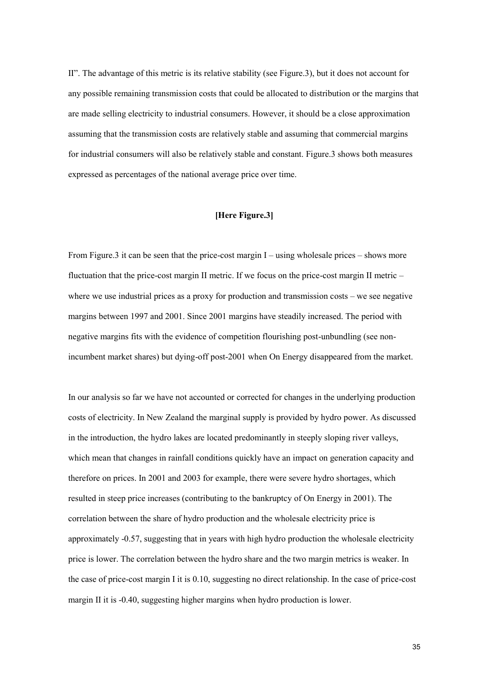II". The advantage of this metric is its relative stability (see Figure.3), but it does not account for any possible remaining transmission costs that could be allocated to distribution or the margins that are made selling electricity to industrial consumers. However, it should be a close approximation assuming that the transmission costs are relatively stable and assuming that commercial margins for industrial consumers will also be relatively stable and constant. Figure.3 shows both measures expressed as percentages of the national average price over time.

# **[Here Figure.3]**

From Figure.3 it can be seen that the price-cost margin I – using wholesale prices – shows more fluctuation that the price-cost margin II metric. If we focus on the price-cost margin II metric – where we use industrial prices as a proxy for production and transmission costs – we see negative margins between 1997 and 2001. Since 2001 margins have steadily increased. The period with negative margins fits with the evidence of competition flourishing post-unbundling (see nonincumbent market shares) but dying-off post-2001 when On Energy disappeared from the market.

In our analysis so far we have not accounted or corrected for changes in the underlying production costs of electricity. In New Zealand the marginal supply is provided by hydro power. As discussed in the introduction, the hydro lakes are located predominantly in steeply sloping river valleys, which mean that changes in rainfall conditions quickly have an impact on generation capacity and therefore on prices. In 2001 and 2003 for example, there were severe hydro shortages, which resulted in steep price increases (contributing to the bankruptcy of On Energy in 2001). The correlation between the share of hydro production and the wholesale electricity price is approximately -0.57, suggesting that in years with high hydro production the wholesale electricity price is lower. The correlation between the hydro share and the two margin metrics is weaker. In the case of price-cost margin I it is 0.10, suggesting no direct relationship. In the case of price-cost margin II it is -0.40, suggesting higher margins when hydro production is lower.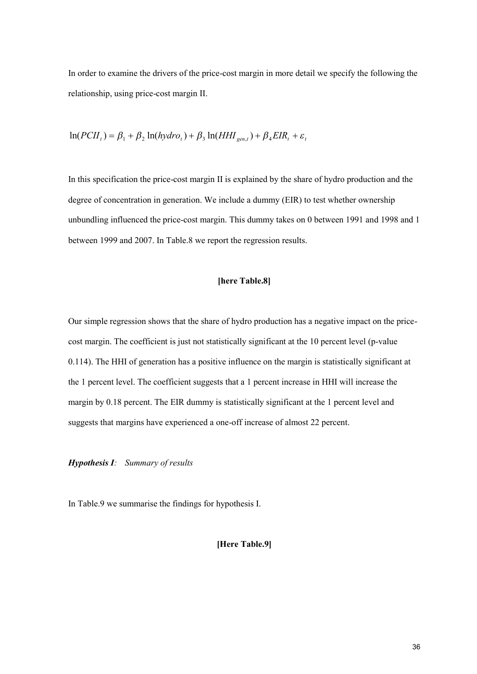In order to examine the drivers of the price-cost margin in more detail we specify the following the relationship, using price-cost margin II.

$$
\ln(PCH_t) = \beta_1 + \beta_2 \ln(hydro_t) + \beta_3 \ln(HHI_{gen,t}) + \beta_4 EIR_t + \varepsilon_t
$$

In this specification the price-cost margin II is explained by the share of hydro production and the degree of concentration in generation. We include a dummy (EIR) to test whether ownership unbundling influenced the price-cost margin. This dummy takes on 0 between 1991 and 1998 and 1 between 1999 and 2007. In Table.8 we report the regression results.

# **[here Table.8]**

Our simple regression shows that the share of hydro production has a negative impact on the pricecost margin. The coefficient is just not statistically significant at the 10 percent level (p-value 0.114). The HHI of generation has a positive influence on the margin is statistically significant at the 1 percent level. The coefficient suggests that a 1 percent increase in HHI will increase the margin by 0.18 percent. The EIR dummy is statistically significant at the 1 percent level and suggests that margins have experienced a one-off increase of almost 22 percent.

*Hypothesis I: Summary of results*

In Table.9 we summarise the findings for hypothesis I.

# **[Here Table.9]**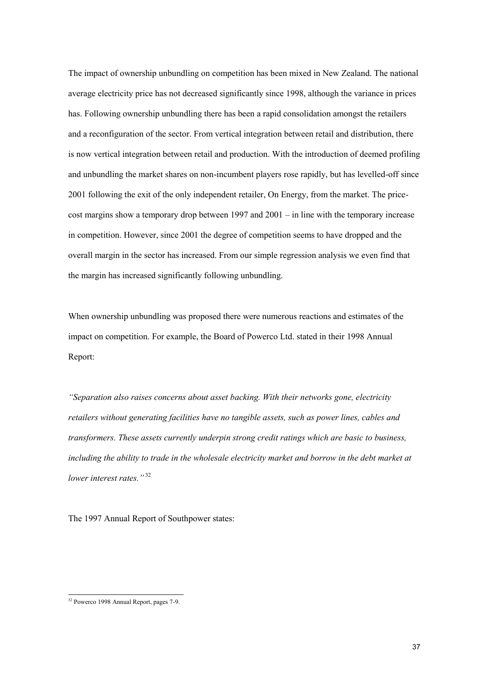The impact of ownership unbundling on competition has been mixed in New Zealand. The national average electricity price has not decreased significantly since 1998, although the variance in prices has. Following ownership unbundling there has been a rapid consolidation amongst the retailers and a reconfiguration of the sector. From vertical integration between retail and distribution, there is now vertical integration between retail and production. With the introduction of deemed profiling and unbundling the market shares on non-incumbent players rose rapidly, but has levelled-off since 2001 following the exit of the only independent retailer, On Energy, from the market. The pricecost margins show a temporary drop between 1997 and 2001 – in line with the temporary increase in competition. However, since 2001 the degree of competition seems to have dropped and the overall margin in the sector has increased. From our simple regression analysis we even find that the margin has increased significantly following unbundling.

When ownership unbundling was proposed there were numerous reactions and estimates of the impact on competition. For example, the Board of Powerco Ltd. stated in their 1998 Annual Report:

*"Separation also raises concerns about asset backing. With their networks gone, electricity retailers without generating facilities have no tangible assets, such as power lines, cables and transformers. These assets currently underpin strong credit ratings which are basic to business, including the ability to trade in the wholesale electricity market and borrow in the debt market at lower interest rates."* <sup>32</sup>

The 1997 Annual Report of Southpower states:

<sup>32</sup> Powerco 1998 Annual Report, pages 7-9.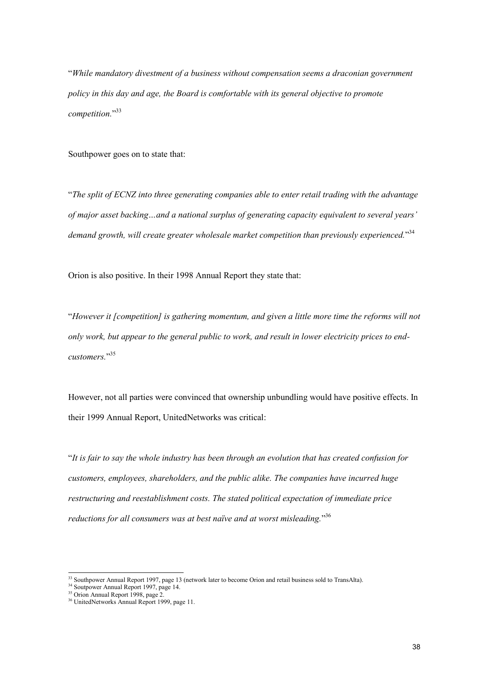"*While mandatory divestment of a business without compensation seems a draconian government policy in this day and age, the Board is comfortable with its general objective to promote competition.*" 33

Southpower goes on to state that:

"*The split of ECNZ into three generating companies able to enter retail trading with the advantage of major asset backing…and a national surplus of generating capacity equivalent to several years' demand growth, will create greater wholesale market competition than previously experienced.*" 34

Orion is also positive. In their 1998 Annual Report they state that:

"*However it [competition] is gathering momentum, and given a little more time the reforms will not only work, but appear to the general public to work, and result in lower electricity prices to endcustomers.*" 35

However, not all parties were convinced that ownership unbundling would have positive effects. In their 1999 Annual Report, UnitedNetworks was critical:

"*It is fair to say the whole industry has been through an evolution that has created confusion for customers, employees, shareholders, and the public alike. The companies have incurred huge restructuring and reestablishment costs. The stated political expectation of immediate price reductions for all consumers was at best naïve and at worst misleading.*" 36

 $33$  Southpower Annual Report 1997, page 13 (network later to become Orion and retail business sold to TransAlta).

<sup>&</sup>lt;sup>34</sup> Soutpower Annual Report 1997, page 14.

<sup>&</sup>lt;sup>35</sup> Orion Annual Report 1998, page 2.

<sup>&</sup>lt;sup>36</sup> UnitedNetworks Annual Report 1999, page 11.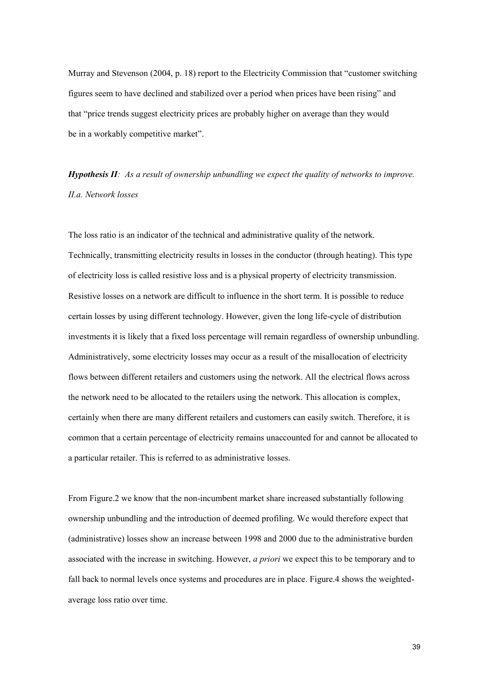Murray and Stevenson (2004, p. 18) report to the Electricity Commission that "customer switching figures seem to have declined and stabilized over a period when prices have been rising" and that "price trends suggest electricity prices are probably higher on average than they would be in a workably competitive market".

*Hypothesis II: As a result of ownership unbundling we expect the quality of networks to improve. II.a. Network losses*

The loss ratio is an indicator of the technical and administrative quality of the network. Technically, transmitting electricity results in losses in the conductor (through heating). This type of electricity loss is called resistive loss and is a physical property of electricity transmission. Resistive losses on a network are difficult to influence in the short term. It is possible to reduce certain losses by using different technology. However, given the long life-cycle of distribution investments it is likely that a fixed loss percentage will remain regardless of ownership unbundling. Administratively, some electricity losses may occur as a result of the misallocation of electricity flows between different retailers and customers using the network. All the electrical flows across the network need to be allocated to the retailers using the network. This allocation is complex, certainly when there are many different retailers and customers can easily switch. Therefore, it is common that a certain percentage of electricity remains unaccounted for and cannot be allocated to a particular retailer. This is referred to as administrative losses.

From Figure.2 we know that the non-incumbent market share increased substantially following ownership unbundling and the introduction of deemed profiling. We would therefore expect that (administrative) losses show an increase between 1998 and 2000 due to the administrative burden associated with the increase in switching. However, *a priori* we expect this to be temporary and to fall back to normal levels once systems and procedures are in place. Figure.4 shows the weightedaverage loss ratio over time.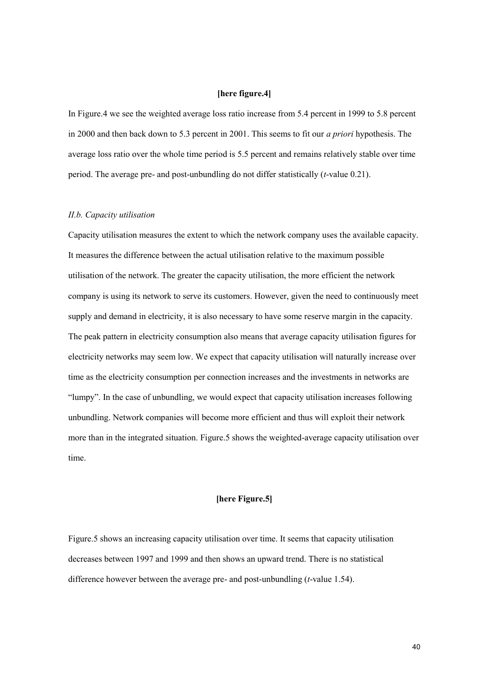# **[here figure.4]**

In Figure.4 we see the weighted average loss ratio increase from 5.4 percent in 1999 to 5.8 percent in 2000 and then back down to 5.3 percent in 2001. This seems to fit our *a priori* hypothesis. The average loss ratio over the whole time period is 5.5 percent and remains relatively stable over time period. The average pre- and post-unbundling do not differ statistically (*t*-value 0.21).

#### *II.b. Capacity utilisation*

Capacity utilisation measures the extent to which the network company uses the available capacity. It measures the difference between the actual utilisation relative to the maximum possible utilisation of the network. The greater the capacity utilisation, the more efficient the network company is using its network to serve its customers. However, given the need to continuously meet supply and demand in electricity, it is also necessary to have some reserve margin in the capacity. The peak pattern in electricity consumption also means that average capacity utilisation figures for electricity networks may seem low. We expect that capacity utilisation will naturally increase over time as the electricity consumption per connection increases and the investments in networks are "lumpy". In the case of unbundling, we would expect that capacity utilisation increases following unbundling. Network companies will become more efficient and thus will exploit their network more than in the integrated situation. Figure.5 shows the weighted-average capacity utilisation over time.

## **[here Figure.5]**

Figure.5 shows an increasing capacity utilisation over time. It seems that capacity utilisation decreases between 1997 and 1999 and then shows an upward trend. There is no statistical difference however between the average pre- and post-unbundling (*t*-value 1.54).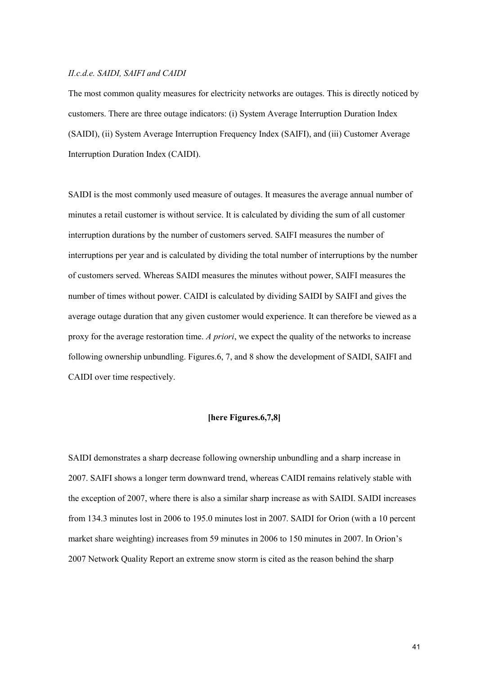#### *II.c.d.e. SAIDI, SAIFI and CAIDI*

The most common quality measures for electricity networks are outages. This is directly noticed by customers. There are three outage indicators: (i) System Average Interruption Duration Index (SAIDI), (ii) System Average Interruption Frequency Index (SAIFI), and (iii) Customer Average Interruption Duration Index (CAIDI).

SAIDI is the most commonly used measure of outages. It measures the average annual number of minutes a retail customer is without service. It is calculated by dividing the sum of all customer interruption durations by the number of customers served. SAIFI measures the number of interruptions per year and is calculated by dividing the total number of interruptions by the number of customers served. Whereas SAIDI measures the minutes without power, SAIFI measures the number of times without power. CAIDI is calculated by dividing SAIDI by SAIFI and gives the average outage duration that any given customer would experience. It can therefore be viewed as a proxy for the average restoration time. *A priori*, we expect the quality of the networks to increase following ownership unbundling. Figures.6, 7, and 8 show the development of SAIDI, SAIFI and CAIDI over time respectively.

# **[here Figures.6,7,8]**

SAIDI demonstrates a sharp decrease following ownership unbundling and a sharp increase in 2007. SAIFI shows a longer term downward trend, whereas CAIDI remains relatively stable with the exception of 2007, where there is also a similar sharp increase as with SAIDI. SAIDI increases from 134.3 minutes lost in 2006 to 195.0 minutes lost in 2007. SAIDI for Orion (with a 10 percent market share weighting) increases from 59 minutes in 2006 to 150 minutes in 2007. In Orion's 2007 Network Quality Report an extreme snow storm is cited as the reason behind the sharp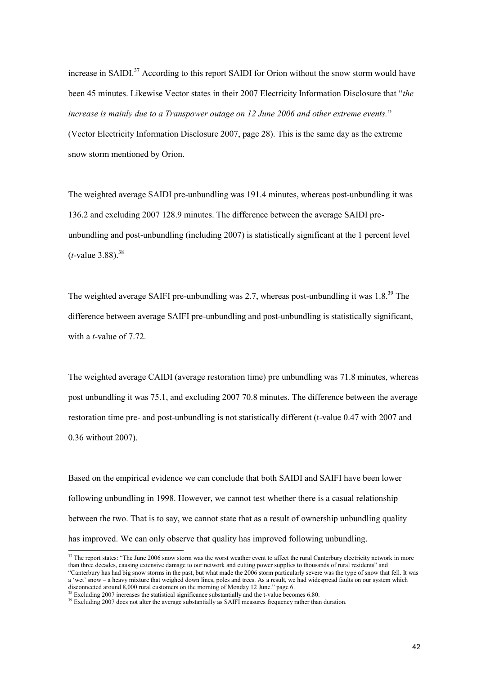increase in SAIDI.<sup>37</sup> According to this report SAIDI for Orion without the snow storm would have been 45 minutes. Likewise Vector states in their 2007 Electricity Information Disclosure that "*the increase is mainly due to a Transpower outage on 12 June 2006 and other extreme events.*" (Vector Electricity Information Disclosure 2007, page 28). This is the same day as the extreme snow storm mentioned by Orion.

The weighted average SAIDI pre-unbundling was 191.4 minutes, whereas post-unbundling it was 136.2 and excluding 2007 128.9 minutes. The difference between the average SAIDI preunbundling and post-unbundling (including 2007) is statistically significant at the 1 percent level  $(t$ -value 3.88).<sup>38</sup>

The weighted average SAIFI pre-unbundling was 2.7, whereas post-unbundling it was  $1.8<sup>39</sup>$  The difference between average SAIFI pre-unbundling and post-unbundling is statistically significant, with a *t*-value of 7.72.

The weighted average CAIDI (average restoration time) pre unbundling was 71.8 minutes, whereas post unbundling it was 75.1, and excluding 2007 70.8 minutes. The difference between the average restoration time pre- and post-unbundling is not statistically different (t-value 0.47 with 2007 and 0.36 without 2007).

Based on the empirical evidence we can conclude that both SAIDI and SAIFI have been lower following unbundling in 1998. However, we cannot test whether there is a casual relationship between the two. That is to say, we cannot state that as a result of ownership unbundling quality has improved. We can only observe that quality has improved following unbundling.

<sup>&</sup>lt;sup>37</sup> The report states: "The June 2006 snow storm was the worst weather event to affect the rural Canterbury electricity network in more than three decades, causing extensive damage to our network and cutting power supplies to thousands of rural residents" and "Canterbury has had big snow storms in the past, but what made the 2006 storm particularly severe was the type of snow that fell. It was a 'wet' snow – a heavy mixture that weighed down lines, poles and trees. As a result, we had widespread faults on our system which disconnected around 8,000 rural customers on the morning of Monday 12 June." page 6.

<sup>&</sup>lt;sup>38</sup> Excluding 2007 increases the statistical significance substantially and the t-value becomes 6.80.

<sup>&</sup>lt;sup>39</sup> Excluding 2007 does not alter the average substantially as SAIFI measures frequency rather than duration.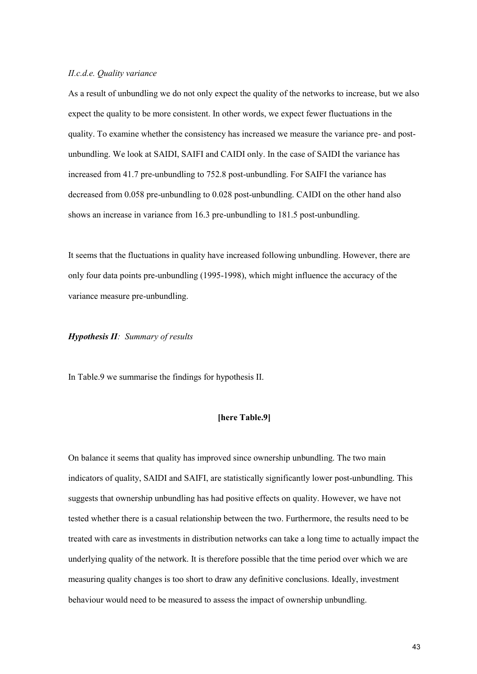#### *II.c.d.e. Quality variance*

As a result of unbundling we do not only expect the quality of the networks to increase, but we also expect the quality to be more consistent. In other words, we expect fewer fluctuations in the quality. To examine whether the consistency has increased we measure the variance pre- and postunbundling. We look at SAIDI, SAIFI and CAIDI only. In the case of SAIDI the variance has increased from 41.7 pre-unbundling to 752.8 post-unbundling. For SAIFI the variance has decreased from 0.058 pre-unbundling to 0.028 post-unbundling. CAIDI on the other hand also shows an increase in variance from 16.3 pre-unbundling to 181.5 post-unbundling.

It seems that the fluctuations in quality have increased following unbundling. However, there are only four data points pre-unbundling (1995-1998), which might influence the accuracy of the variance measure pre-unbundling.

#### *Hypothesis II: Summary of results*

In Table.9 we summarise the findings for hypothesis II.

## **[here Table.9]**

On balance it seems that quality has improved since ownership unbundling. The two main indicators of quality, SAIDI and SAIFI, are statistically significantly lower post-unbundling. This suggests that ownership unbundling has had positive effects on quality. However, we have not tested whether there is a casual relationship between the two. Furthermore, the results need to be treated with care as investments in distribution networks can take a long time to actually impact the underlying quality of the network. It is therefore possible that the time period over which we are measuring quality changes is too short to draw any definitive conclusions. Ideally, investment behaviour would need to be measured to assess the impact of ownership unbundling.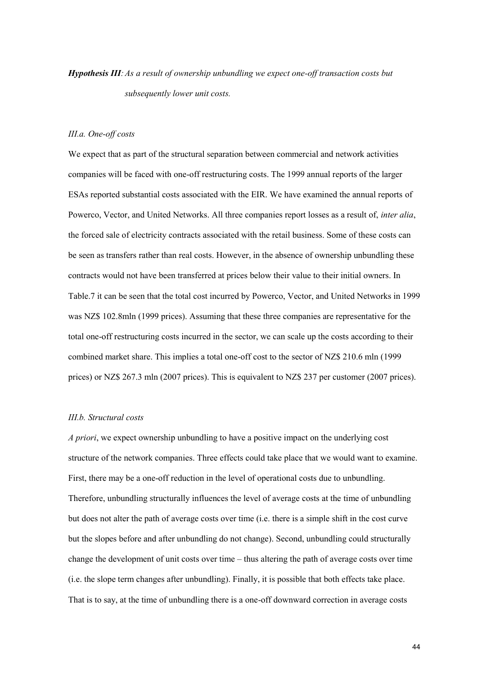# *Hypothesis III:As a result of ownership unbundling we expect one-off transaction costs but subsequently lower unit costs.*

#### *III.a. One-off costs*

We expect that as part of the structural separation between commercial and network activities companies will be faced with one-off restructuring costs. The 1999 annual reports of the larger ESAs reported substantial costs associated with the EIR. We have examined the annual reports of Powerco, Vector, and United Networks. All three companies report losses as a result of, *inter alia*, the forced sale of electricity contracts associated with the retail business. Some of these costs can be seen as transfers rather than real costs. However, in the absence of ownership unbundling these contracts would not have been transferred at prices below their value to their initial owners. In Table.7 it can be seen that the total cost incurred by Powerco, Vector, and United Networks in 1999 was NZ\$ 102.8mln (1999 prices). Assuming that these three companies are representative for the total one-off restructuring costs incurred in the sector, we can scale up the costs according to their combined market share. This implies a total one-off cost to the sector of NZ\$ 210.6 mln (1999 prices) or NZ\$ 267.3 mln (2007 prices). This is equivalent to NZ\$ 237 per customer (2007 prices).

## *III.b. Structural costs*

*A priori*, we expect ownership unbundling to have a positive impact on the underlying cost structure of the network companies. Three effects could take place that we would want to examine. First, there may be a one-off reduction in the level of operational costs due to unbundling. Therefore, unbundling structurally influences the level of average costs at the time of unbundling but does not alter the path of average costs over time (i.e. there is a simple shift in the cost curve but the slopes before and after unbundling do not change). Second, unbundling could structurally change the development of unit costs over time – thus altering the path of average costs over time (i.e. the slope term changes after unbundling). Finally, it is possible that both effects take place. That is to say, at the time of unbundling there is a one-off downward correction in average costs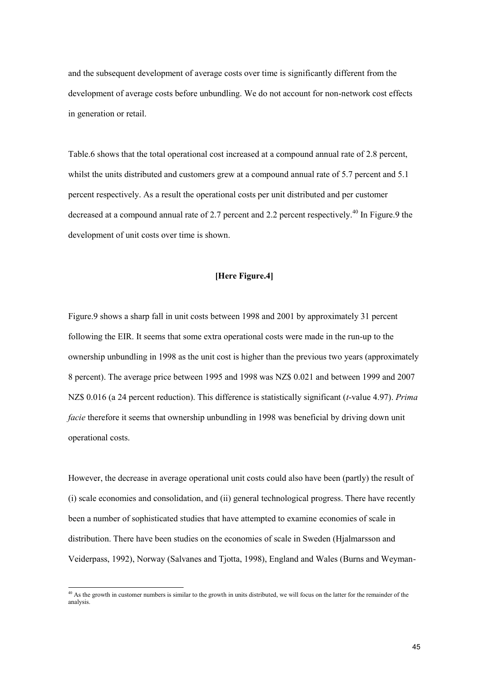and the subsequent development of average costs over time is significantly different from the development of average costs before unbundling. We do not account for non-network cost effects in generation or retail.

Table.6 shows that the total operational cost increased at a compound annual rate of 2.8 percent, whilst the units distributed and customers grew at a compound annual rate of 5.7 percent and 5.1 percent respectively. As a result the operational costs per unit distributed and per customer decreased at a compound annual rate of 2.7 percent and 2.2 percent respectively.<sup>40</sup> In Figure.9 the development of unit costs over time is shown.

## **[Here Figure.4]**

Figure.9 shows a sharp fall in unit costs between 1998 and 2001 by approximately 31 percent following the EIR. It seems that some extra operational costs were made in the run-up to the ownership unbundling in 1998 as the unit cost is higher than the previous two years (approximately 8 percent). The average price between 1995 and 1998 was NZ\$ 0.021 and between 1999 and 2007 NZ\$ 0.016 (a 24 percent reduction). This difference is statistically significant (*t*-value 4.97). *Prima facie* therefore it seems that ownership unbundling in 1998 was beneficial by driving down unit operational costs.

However, the decrease in average operational unit costs could also have been (partly) the result of (i) scale economies and consolidation, and (ii) general technological progress. There have recently been a number of sophisticated studies that have attempted to examine economies of scale in distribution. There have been studies on the economies of scale in Sweden (Hjalmarsson and Veiderpass, 1992), Norway (Salvanes and Tjotta, 1998), England and Wales (Burns and Weyman-

<sup>&</sup>lt;sup>40</sup> As the growth in customer numbers is similar to the growth in units distributed, we will focus on the latter for the remainder of the analysis.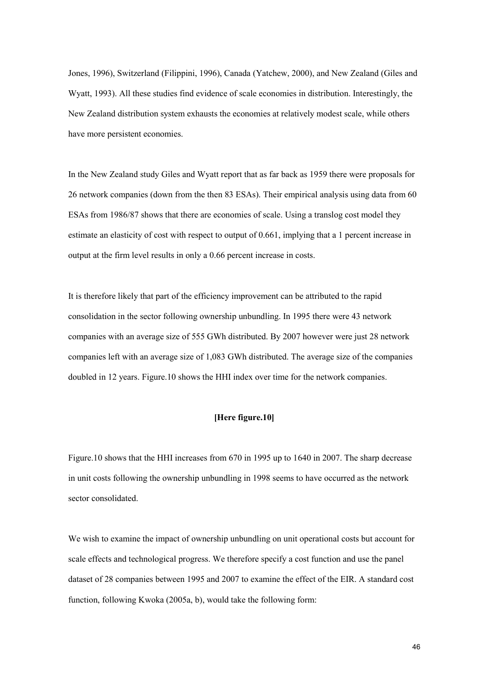Jones, 1996), Switzerland (Filippini, 1996), Canada (Yatchew, 2000), and New Zealand (Giles and Wyatt, 1993). All these studies find evidence of scale economies in distribution. Interestingly, the New Zealand distribution system exhausts the economies at relatively modest scale, while others have more persistent economies.

In the New Zealand study Giles and Wyatt report that as far back as 1959 there were proposals for 26 network companies (down from the then 83 ESAs). Their empirical analysis using data from 60 ESAs from 1986/87 shows that there are economies of scale. Using a translog cost model they estimate an elasticity of cost with respect to output of 0.661, implying that a 1 percent increase in output at the firm level results in only a 0.66 percent increase in costs.

It is therefore likely that part of the efficiency improvement can be attributed to the rapid consolidation in the sector following ownership unbundling. In 1995 there were 43 network companies with an average size of 555 GWh distributed. By 2007 however were just 28 network companies left with an average size of 1,083 GWh distributed. The average size of the companies doubled in 12 years. Figure.10 shows the HHI index over time for the network companies.

## **[Here figure.10]**

Figure.10 shows that the HHI increases from 670 in 1995 up to 1640 in 2007. The sharp decrease in unit costs following the ownership unbundling in 1998 seems to have occurred as the network sector consolidated.

We wish to examine the impact of ownership unbundling on unit operational costs but account for scale effects and technological progress. We therefore specify a cost function and use the panel dataset of 28 companies between 1995 and 2007 to examine the effect of the EIR. A standard cost function, following Kwoka (2005a, b), would take the following form: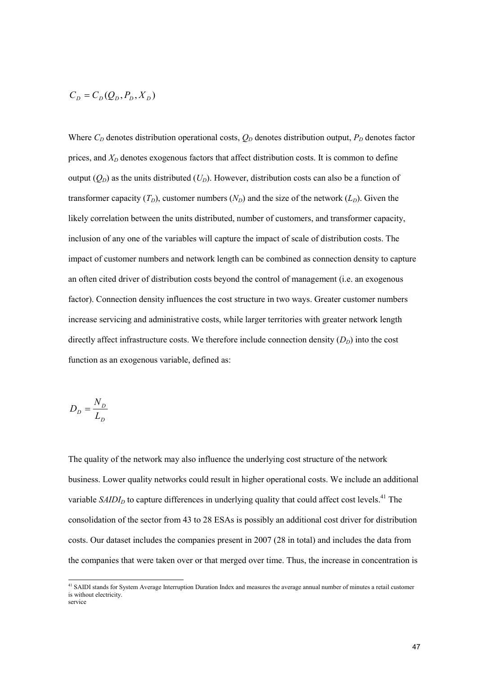$$
C_D=C_D(Q_D,P_D,X_D)
$$

Where  $C_D$  denotes distribution operational costs,  $Q_D$  denotes distribution output,  $P_D$  denotes factor prices, and  $X_D$  denotes exogenous factors that affect distribution costs. It is common to define output  $(Q_D)$  as the units distributed  $(U_D)$ . However, distribution costs can also be a function of transformer capacity  $(T_D)$ , customer numbers  $(N_D)$  and the size of the network  $(L_D)$ . Given the likely correlation between the units distributed, number of customers, and transformer capacity, inclusion of any one of the variables will capture the impact of scale of distribution costs. The impact of customer numbers and network length can be combined as connection density to capture an often cited driver of distribution costs beyond the control of management (i.e. an exogenous factor). Connection density influences the cost structure in two ways. Greater customer numbers increase servicing and administrative costs, while larger territories with greater network length directly affect infrastructure costs. We therefore include connection density  $(D_D)$  into the cost function as an exogenous variable, defined as:

$$
D_D = \frac{N_D}{L_D}
$$

The quality of the network may also influence the underlying cost structure of the network business. Lower quality networks could result in higher operational costs. We include an additional variable  $SAIDI<sub>D</sub>$  to capture differences in underlying quality that could affect cost levels.<sup>41</sup> The consolidation of the sector from 43 to 28 ESAs is possibly an additional cost driver for distribution costs. Our dataset includes the companies present in 2007 (28 in total) and includes the data from the companies that were taken over or that merged over time. Thus, the increase in concentration is

<sup>&</sup>lt;sup>41</sup> SAIDI stands for System Average Interruption Duration Index and measures the average annual number of minutes a retail customer is without electricity. service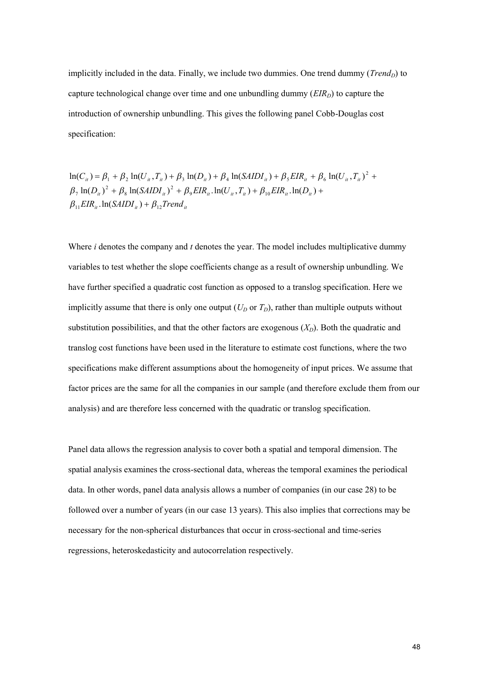implicitly included in the data. Finally, we include two dummies. One trend dummy (*Trend<sub>D</sub>*) to capture technological change over time and one unbundling dummy  $(EIR<sub>D</sub>)$  to capture the introduction of ownership unbundling. This gives the following panel Cobb-Douglas cost specification:

 $\beta_{11} EIR_{ii}$ .  $ln(SAIDI_{ii}) + \beta_{12} Trend_{ii}$  $\beta_7 \ln(D_{ii})^2 + \beta_8 \ln(SAIDI_{ii})^2 + \beta_9 EIR_{ii}. \ln(U_{ii}. T_{ii}) + \beta_{10} EIR_{ii}. \ln(D_{ii}) +$  $\ln(C_{ii}) = \beta_1 + \beta_2 \ln(U_{ii}, T_{ii}) + \beta_3 \ln(D_{ii}) + \beta_4 \ln(SAIDI_{ii}) + \beta_5 EIR_{ii} + \beta_6 \ln(U_{ii}, T_{ii})^2 +$ 

Where *i* denotes the company and *t* denotes the year. The model includes multiplicative dummy variables to test whether the slope coefficients change as a result of ownership unbundling. We have further specified a quadratic cost function as opposed to a translog specification. Here we implicitly assume that there is only one output  $(U_D \text{ or } T_D)$ , rather than multiple outputs without substitution possibilities, and that the other factors are exogenous  $(X_D)$ . Both the quadratic and translog cost functions have been used in the literature to estimate cost functions, where the two specifications make different assumptions about the homogeneity of input prices. We assume that factor prices are the same for all the companies in our sample (and therefore exclude them from our analysis) and are therefore less concerned with the quadratic or translog specification.

Panel data allows the regression analysis to cover both a spatial and temporal dimension. The spatial analysis examines the cross-sectional data, whereas the temporal examines the periodical data. In other words, panel data analysis allows a number of companies (in our case 28) to be followed over a number of years (in our case 13 years). This also implies that corrections may be necessary for the non-spherical disturbances that occur in cross-sectional and time-series regressions, heteroskedasticity and autocorrelation respectively.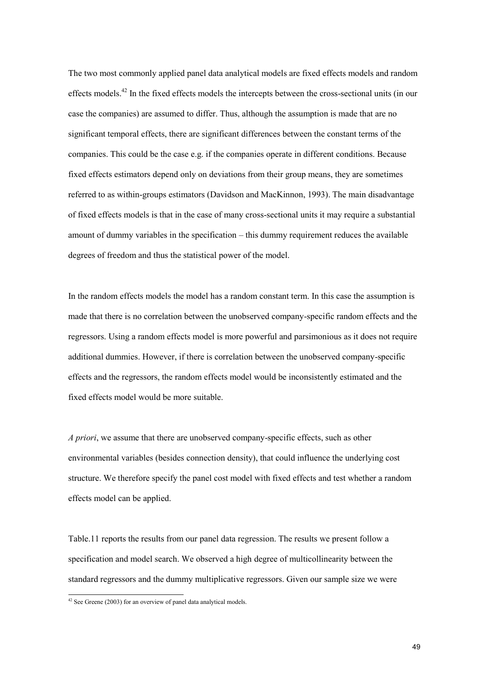The two most commonly applied panel data analytical models are fixed effects models and random effects models.<sup>42</sup> In the fixed effects models the intercepts between the cross-sectional units (in our case the companies) are assumed to differ. Thus, although the assumption is made that are no significant temporal effects, there are significant differences between the constant terms of the companies. This could be the case e.g. if the companies operate in different conditions. Because fixed effects estimators depend only on deviations from their group means, they are sometimes referred to as within-groups estimators (Davidson and MacKinnon, 1993). The main disadvantage of fixed effects models is that in the case of many cross-sectional units it may require a substantial amount of dummy variables in the specification – this dummy requirement reduces the available degrees of freedom and thus the statistical power of the model.

In the random effects models the model has a random constant term. In this case the assumption is made that there is no correlation between the unobserved company-specific random effects and the regressors. Using a random effects model is more powerful and parsimonious as it does not require additional dummies. However, if there is correlation between the unobserved company-specific effects and the regressors, the random effects model would be inconsistently estimated and the fixed effects model would be more suitable.

*A priori*, we assume that there are unobserved company-specific effects, such as other environmental variables (besides connection density), that could influence the underlying cost structure. We therefore specify the panel cost model with fixed effects and test whether a random effects model can be applied.

Table.11 reports the results from our panel data regression. The results we present follow a specification and model search. We observed a high degree of multicollinearity between the standard regressors and the dummy multiplicative regressors. Given our sample size we were

 $42$  See Greene (2003) for an overview of panel data analytical models.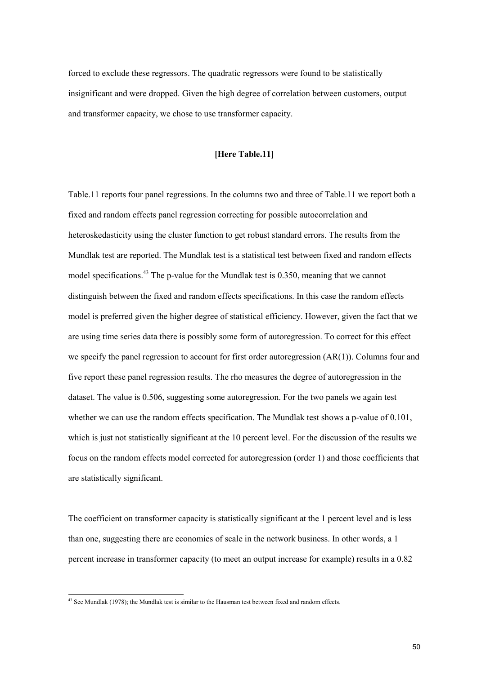forced to exclude these regressors. The quadratic regressors were found to be statistically insignificant and were dropped. Given the high degree of correlation between customers, output and transformer capacity, we chose to use transformer capacity.

## **[Here Table.11]**

Table.11 reports four panel regressions. In the columns two and three of Table.11 we report both a fixed and random effects panel regression correcting for possible autocorrelation and heteroskedasticity using the cluster function to get robust standard errors. The results from the Mundlak test are reported. The Mundlak test is a statistical test between fixed and random effects model specifications.<sup>43</sup> The p-value for the Mundlak test is 0.350, meaning that we cannot distinguish between the fixed and random effects specifications. In this case the random effects model is preferred given the higher degree of statistical efficiency. However, given the fact that we are using time series data there is possibly some form of autoregression. To correct for this effect we specify the panel regression to account for first order autoregression (AR(1)). Columns four and five report these panel regression results. The rho measures the degree of autoregression in the dataset. The value is 0.506, suggesting some autoregression. For the two panels we again test whether we can use the random effects specification. The Mundlak test shows a p-value of 0.101, which is just not statistically significant at the 10 percent level. For the discussion of the results we focus on the random effects model corrected for autoregression (order 1) and those coefficients that are statistically significant.

The coefficient on transformer capacity is statistically significant at the 1 percent level and is less than one, suggesting there are economies of scale in the network business. In other words, a 1 percent increase in transformer capacity (to meet an output increase for example) results in a 0.82

<sup>&</sup>lt;sup>43</sup> See Mundlak (1978); the Mundlak test is similar to the Hausman test between fixed and random effects.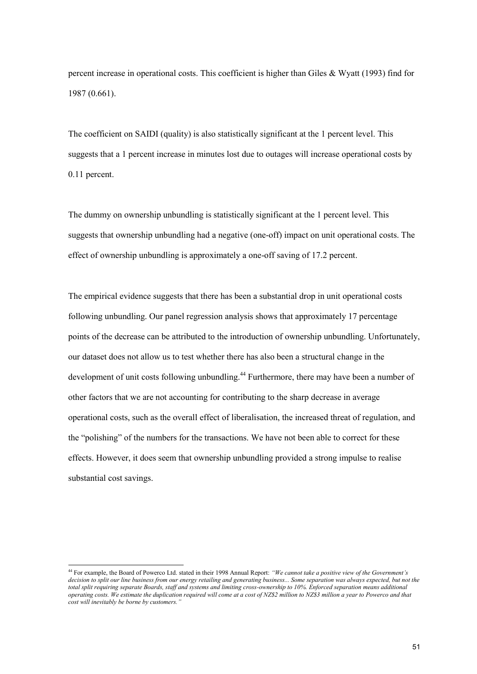percent increase in operational costs. This coefficient is higher than Giles & Wyatt (1993) find for 1987 (0.661).

The coefficient on SAIDI (quality) is also statistically significant at the 1 percent level. This suggests that a 1 percent increase in minutes lost due to outages will increase operational costs by 0.11 percent.

The dummy on ownership unbundling is statistically significant at the 1 percent level. This suggests that ownership unbundling had a negative (one-off) impact on unit operational costs. The effect of ownership unbundling is approximately a one-off saving of 17.2 percent.

The empirical evidence suggests that there has been a substantial drop in unit operational costs following unbundling. Our panel regression analysis shows that approximately 17 percentage points of the decrease can be attributed to the introduction of ownership unbundling. Unfortunately, our dataset does not allow us to test whether there has also been a structural change in the development of unit costs following unbundling.<sup>44</sup> Furthermore, there may have been a number of other factors that we are not accounting for contributing to the sharp decrease in average operational costs, such as the overall effect of liberalisation, the increased threat of regulation, and the "polishing" of the numbers for the transactions. We have not been able to correct for these effects. However, it does seem that ownership unbundling provided a strong impulse to realise substantial cost savings.

<sup>44</sup> For example, the Board of Powerco Ltd. stated in their 1998 Annual Report: *"We cannot take a positive view of the Government's decision to split our line business from our energy retailing and generating business... Some separation was always expected, but not the total split requiring separate Boards, staff and systems and limiting cross-ownership to 10%. Enforced separation means additional operating costs. We estimate the duplication required will come at a cost of NZ\$2 million to NZ\$3 million a year to Powerco and that cost will inevitably be borne by customers."*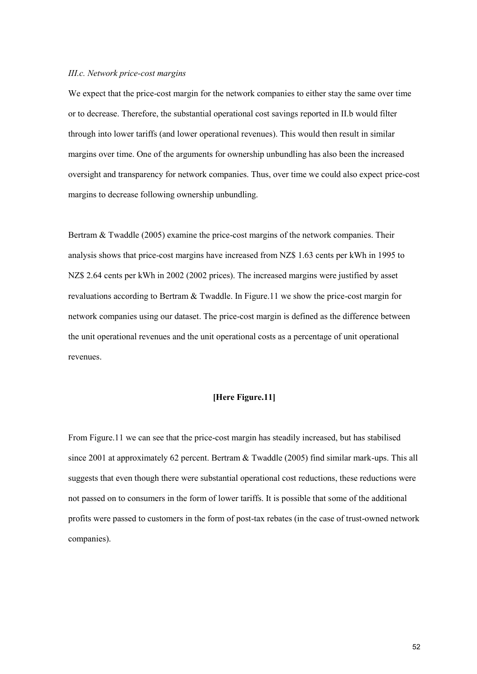#### *III.c. Network price-cost margins*

We expect that the price-cost margin for the network companies to either stay the same over time or to decrease. Therefore, the substantial operational cost savings reported in II.b would filter through into lower tariffs (and lower operational revenues). This would then result in similar margins over time. One of the arguments for ownership unbundling has also been the increased oversight and transparency for network companies. Thus, over time we could also expect price-cost margins to decrease following ownership unbundling.

Bertram & Twaddle (2005) examine the price-cost margins of the network companies. Their analysis shows that price-cost margins have increased from NZ\$ 1.63 cents per kWh in 1995 to NZ\$ 2.64 cents per kWh in 2002 (2002 prices). The increased margins were justified by asset revaluations according to Bertram & Twaddle. In Figure.11 we show the price-cost margin for network companies using our dataset. The price-cost margin is defined as the difference between the unit operational revenues and the unit operational costs as a percentage of unit operational revenues.

## **[Here Figure.11]**

From Figure.11 we can see that the price-cost margin has steadily increased, but has stabilised since 2001 at approximately 62 percent. Bertram & Twaddle (2005) find similar mark-ups. This all suggests that even though there were substantial operational cost reductions, these reductions were not passed on to consumers in the form of lower tariffs. It is possible that some of the additional profits were passed to customers in the form of post-tax rebates (in the case of trust-owned network companies).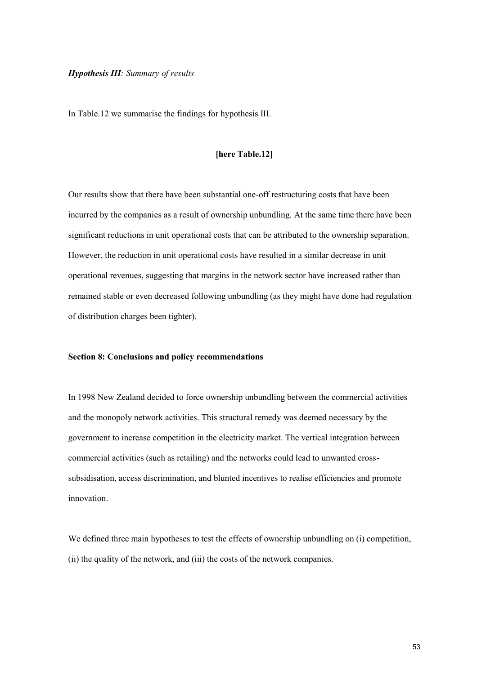#### *Hypothesis III: Summary of results*

In Table.12 we summarise the findings for hypothesis III.

## **[here Table.12]**

Our results show that there have been substantial one-off restructuring costs that have been incurred by the companies as a result of ownership unbundling. At the same time there have been significant reductions in unit operational costs that can be attributed to the ownership separation. However, the reduction in unit operational costs have resulted in a similar decrease in unit operational revenues, suggesting that margins in the network sector have increased rather than remained stable or even decreased following unbundling (as they might have done had regulation of distribution charges been tighter).

#### **Section 8: Conclusions and policy recommendations**

In 1998 New Zealand decided to force ownership unbundling between the commercial activities and the monopoly network activities. This structural remedy was deemed necessary by the government to increase competition in the electricity market. The vertical integration between commercial activities (such as retailing) and the networks could lead to unwanted crosssubsidisation, access discrimination, and blunted incentives to realise efficiencies and promote innovation.

We defined three main hypotheses to test the effects of ownership unbundling on (i) competition, (ii) the quality of the network, and (iii) the costs of the network companies.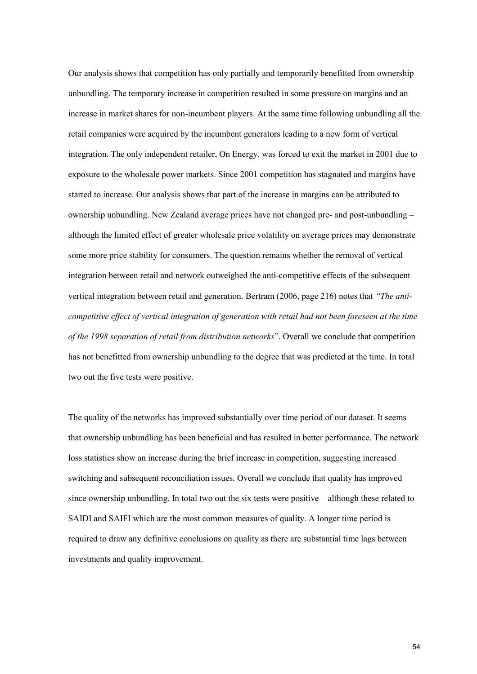Our analysis shows that competition has only partially and temporarily benefitted from ownership unbundling. The temporary increase in competition resulted in some pressure on margins and an increase in market shares for non-incumbent players. At the same time following unbundling all the retail companies were acquired by the incumbent generators leading to a new form of vertical integration. The only independent retailer, On Energy, was forced to exit the market in 2001 due to exposure to the wholesale power markets. Since 2001 competition has stagnated and margins have started to increase. Our analysis shows that part of the increase in margins can be attributed to ownership unbundling. New Zealand average prices have not changed pre- and post-unbundling – although the limited effect of greater wholesale price volatility on average prices may demonstrate some more price stability for consumers. The question remains whether the removal of vertical integration between retail and network outweighed the anti-competitive effects of the subsequent vertical integration between retail and generation. Bertram (2006, page 216) notes that *"The anticompetitive effect of vertical integration of generation with retail had not been foreseen at the time of the 1998 separation of retail from distribution networks*". Overall we conclude that competition has not benefitted from ownership unbundling to the degree that was predicted at the time. In total two out the five tests were positive.

The quality of the networks has improved substantially over time period of our dataset. It seems that ownership unbundling has been beneficial and has resulted in better performance. The network loss statistics show an increase during the brief increase in competition, suggesting increased switching and subsequent reconciliation issues. Overall we conclude that quality has improved since ownership unbundling. In total two out the six tests were positive – although these related to SAIDI and SAIFI which are the most common measures of quality. A longer time period is required to draw any definitive conclusions on quality as there are substantial time lags between investments and quality improvement.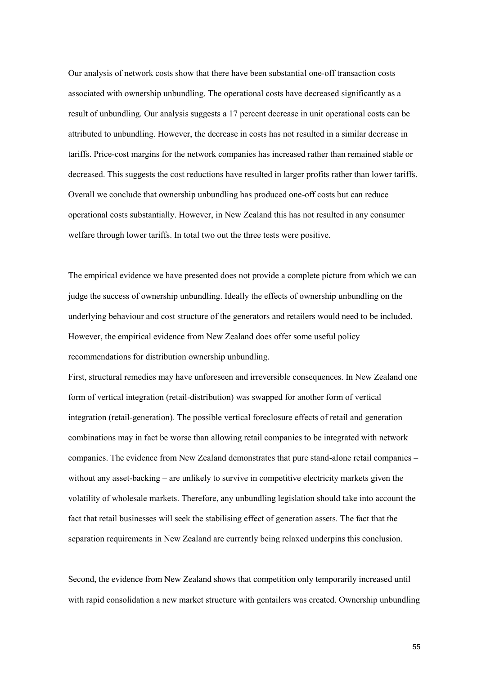Our analysis of network costs show that there have been substantial one-off transaction costs associated with ownership unbundling. The operational costs have decreased significantly as a result of unbundling. Our analysis suggests a 17 percent decrease in unit operational costs can be attributed to unbundling. However, the decrease in costs has not resulted in a similar decrease in tariffs. Price-cost margins for the network companies has increased rather than remained stable or decreased. This suggests the cost reductions have resulted in larger profits rather than lower tariffs. Overall we conclude that ownership unbundling has produced one-off costs but can reduce operational costs substantially. However, in New Zealand this has not resulted in any consumer welfare through lower tariffs. In total two out the three tests were positive.

The empirical evidence we have presented does not provide a complete picture from which we can judge the success of ownership unbundling. Ideally the effects of ownership unbundling on the underlying behaviour and cost structure of the generators and retailers would need to be included. However, the empirical evidence from New Zealand does offer some useful policy recommendations for distribution ownership unbundling.

First, structural remedies may have unforeseen and irreversible consequences. In New Zealand one form of vertical integration (retail-distribution) was swapped for another form of vertical integration (retail-generation). The possible vertical foreclosure effects of retail and generation combinations may in fact be worse than allowing retail companies to be integrated with network companies. The evidence from New Zealand demonstrates that pure stand-alone retail companies – without any asset-backing – are unlikely to survive in competitive electricity markets given the volatility of wholesale markets. Therefore, any unbundling legislation should take into account the fact that retail businesses will seek the stabilising effect of generation assets. The fact that the separation requirements in New Zealand are currently being relaxed underpins this conclusion.

Second, the evidence from New Zealand shows that competition only temporarily increased until with rapid consolidation a new market structure with gentailers was created. Ownership unbundling

55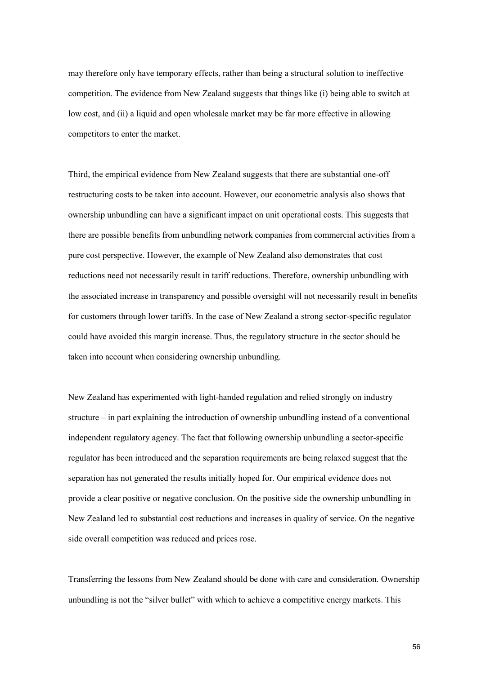may therefore only have temporary effects, rather than being a structural solution to ineffective competition. The evidence from New Zealand suggests that things like (i) being able to switch at low cost, and (ii) a liquid and open wholesale market may be far more effective in allowing competitors to enter the market.

Third, the empirical evidence from New Zealand suggests that there are substantial one-off restructuring costs to be taken into account. However, our econometric analysis also shows that ownership unbundling can have a significant impact on unit operational costs. This suggests that there are possible benefits from unbundling network companies from commercial activities from a pure cost perspective. However, the example of New Zealand also demonstrates that cost reductions need not necessarily result in tariff reductions. Therefore, ownership unbundling with the associated increase in transparency and possible oversight will not necessarily result in benefits for customers through lower tariffs. In the case of New Zealand a strong sector-specific regulator could have avoided this margin increase. Thus, the regulatory structure in the sector should be taken into account when considering ownership unbundling.

New Zealand has experimented with light-handed regulation and relied strongly on industry structure – in part explaining the introduction of ownership unbundling instead of a conventional independent regulatory agency. The fact that following ownership unbundling a sector-specific regulator has been introduced and the separation requirements are being relaxed suggest that the separation has not generated the results initially hoped for. Our empirical evidence does not provide a clear positive or negative conclusion. On the positive side the ownership unbundling in New Zealand led to substantial cost reductions and increases in quality of service. On the negative side overall competition was reduced and prices rose.

Transferring the lessons from New Zealand should be done with care and consideration. Ownership unbundling is not the "silver bullet" with which to achieve a competitive energy markets. This

56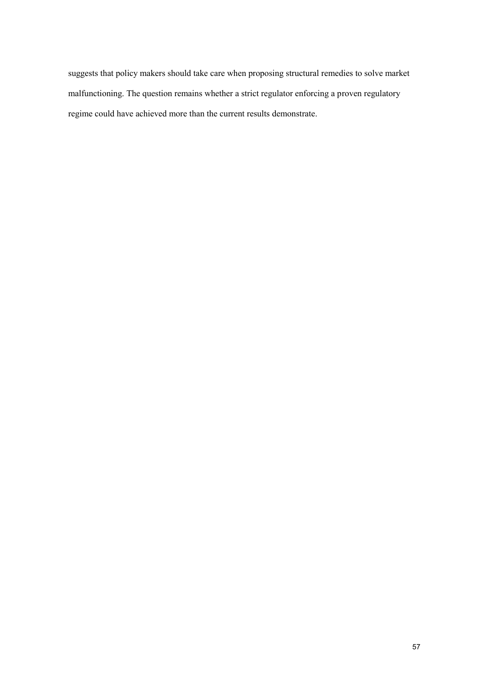suggests that policy makers should take care when proposing structural remedies to solve market malfunctioning. The question remains whether a strict regulator enforcing a proven regulatory regime could have achieved more than the current results demonstrate.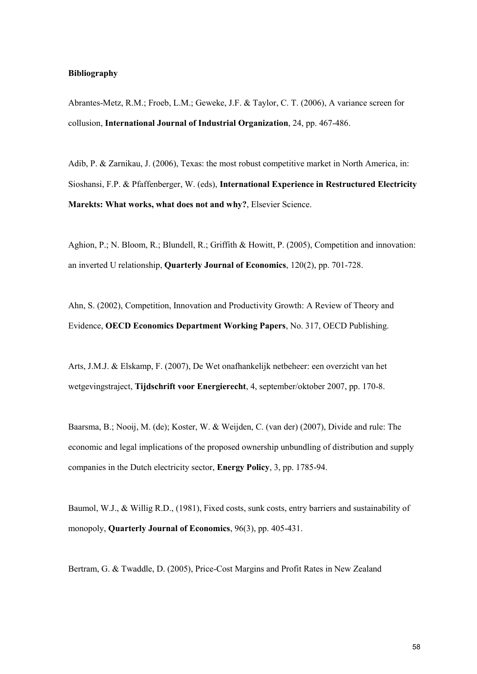#### **Bibliography**

Abrantes-Metz, R.M.; Froeb, L.M.; Geweke, J.F. & Taylor, C. T. (2006), A variance screen for collusion, **International Journal of Industrial Organization**, 24, pp. 467-486.

Adib, P. & Zarnikau, J. (2006), Texas: the most robust competitive market in North America, in: Sioshansi, F.P. & Pfaffenberger, W. (eds), **International Experience in Restructured Electricity Marekts: What works, what does not and why?**, Elsevier Science.

Aghion, P.; N. Bloom, R.; Blundell, R.; Griffith & Howitt, P. (2005), Competition and innovation: an inverted U relationship, **Quarterly Journal of Economics**, 120(2), pp. 701-728.

Ahn, S. (2002), Competition, Innovation and Productivity Growth: A Review of Theory and Evidence, **OECD Economics Department Working Papers**, No. 317, OECD Publishing.

Arts, J.M.J. & Elskamp, F. (2007), De Wet onafhankelijk netbeheer: een overzicht van het wetgevingstraject, **Tijdschrift voor Energierecht**, 4, september/oktober 2007, pp. 170-8.

Baarsma, B.; Nooij, M. (de); Koster, W. & Weijden, C. (van der) (2007), Divide and rule: The economic and legal implications of the proposed ownership unbundling of distribution and supply companies in the Dutch electricity sector, **Energy Policy**, 3, pp. 1785-94.

Baumol, W.J., & Willig R.D., (1981), Fixed costs, sunk costs, entry barriers and sustainability of monopoly, **Quarterly Journal of Economics**, 96(3), pp. 405-431.

Bertram, G. & Twaddle, D. (2005), Price-Cost Margins and Profit Rates in New Zealand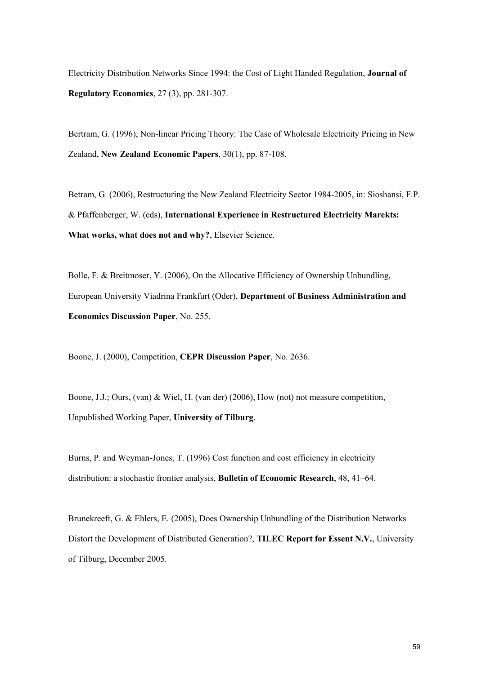Electricity Distribution Networks Since 1994: the Cost of Light Handed Regulation, **Journal of Regulatory Economics**, 27 (3), pp. 281-307.

Bertram, G. (1996), Non-linear Pricing Theory: The Case of Wholesale Electricity Pricing in New Zealand, **New Zealand Economic Papers**, 30(1), pp. 87-108.

Betram, G. (2006), Restructuring the New Zealand Electricity Sector 1984-2005, in: Sioshansi, F.P. & Pfaffenberger, W. (eds), **International Experience in Restructured Electricity Marekts: What works, what does not and why?**, Elsevier Science.

Bolle, F. & Breitmoser, Y. (2006), On the Allocative Efficiency of Ownership Unbundling, European University Viadrina Frankfurt (Oder), **Department of Business Administration and Economics Discussion Paper**, No. 255.

Boone, J. (2000), Competition, **CEPR Discussion Paper**, No. 2636.

Boone, J.J.; Ours, (van) & Wiel, H. (van der) (2006), How (not) not measure competition, Unpublished Working Paper, **University of Tilburg**.

Burns, P. and Weyman-Jones, T. (1996) Cost function and cost efficiency in electricity distribution: a stochastic frontier analysis, **Bulletin of Economic Research**, 48, 41–64.

Brunekreeft, G. & Ehlers, E. (2005), Does Ownership Unbundling of the Distribution Networks Distort the Development of Distributed Generation?, **TILEC Report for Essent N.V.**, University of Tilburg, December 2005.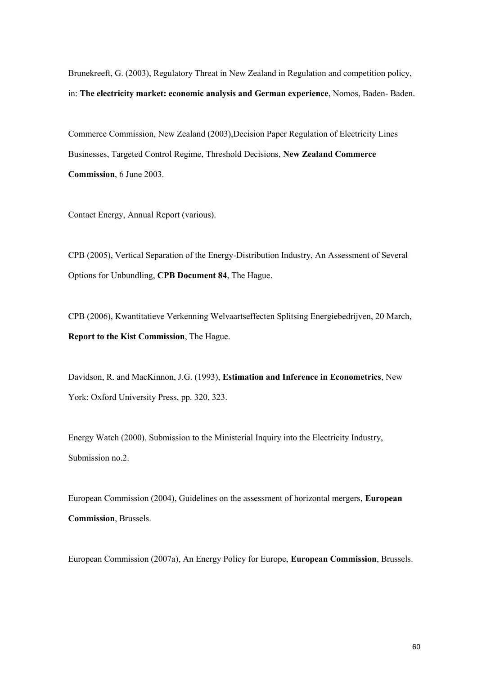Brunekreeft, G. (2003), Regulatory Threat in New Zealand in Regulation and competition policy, in: **The electricity market: economic analysis and German experience**, Nomos, Baden- Baden.

Commerce Commission, New Zealand (2003),Decision Paper Regulation of Electricity Lines Businesses, Targeted Control Regime, Threshold Decisions, **New Zealand Commerce Commission**, 6 June 2003.

Contact Energy, Annual Report (various).

CPB (2005), Vertical Separation of the Energy-Distribution Industry, An Assessment of Several Options for Unbundling, **CPB Document 84**, The Hague.

CPB (2006), Kwantitatieve Verkenning Welvaartseffecten Splitsing Energiebedrijven, 20 March, **Report to the Kist Commission**, The Hague.

Davidson, R. and MacKinnon, J.G. (1993), **Estimation and Inference in Econometrics**, New York: Oxford University Press, pp. 320, 323.

Energy Watch (2000). Submission to the Ministerial Inquiry into the Electricity Industry, Submission no.2.

European Commission (2004), Guidelines on the assessment of horizontal mergers, **European Commission**, Brussels.

European Commission (2007a), An Energy Policy for Europe, **European Commission**, Brussels.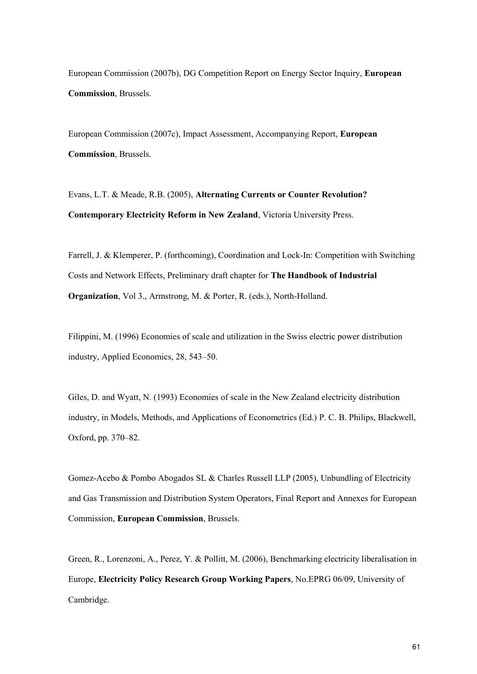European Commission (2007b), DG Competition Report on Energy Sector Inquiry, **European Commission**, Brussels.

European Commission (2007c), Impact Assessment, Accompanying Report, **European Commission**, Brussels.

Evans, L.T. & Meade, R.B. (2005), **Alternating Currents or Counter Revolution? Contemporary Electricity Reform in New Zealand**, Victoria University Press.

Farrell, J. & Klemperer, P. (forthcoming), Coordination and Lock-In: Competition with Switching Costs and Network Effects, Preliminary draft chapter for **The Handbook of Industrial Organization**, Vol 3., Armstrong, M. & Porter, R. (eds.), North-Holland.

Filippini, M. (1996) Economies of scale and utilization in the Swiss electric power distribution industry, Applied Economics, 28, 543–50.

Giles, D. and Wyatt, N. (1993) Economies of scale in the New Zealand electricity distribution industry, in Models, Methods, and Applications of Econometrics (Ed.) P. C. B. Philips, Blackwell, Oxford, pp. 370–82.

Gomez-Acebo & Pombo Abogados SL & Charles Russell LLP (2005), Unbundling of Electricity and Gas Transmission and Distribution System Operators, Final Report and Annexes for European Commission, **European Commission**, Brussels.

Green, R., Lorenzoni, A., Perez, Y. & Pollitt, M. (2006), Benchmarking electricity liberalisation in Europe, **Electricity Policy Research Group Working Papers**, No.EPRG 06/09, University of Cambridge.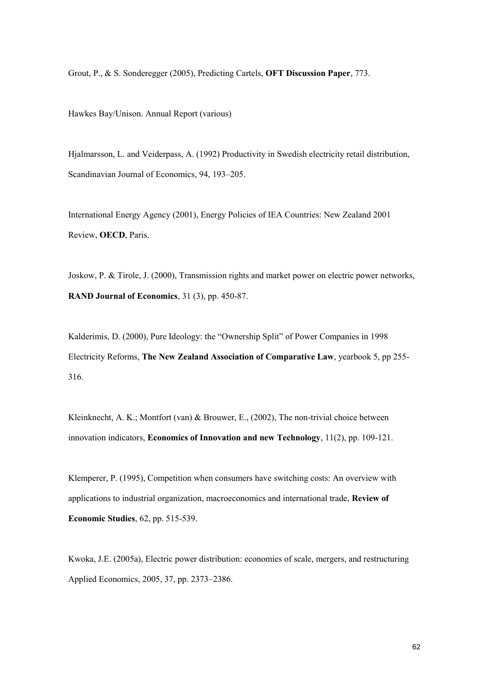Grout, P., & S. Sonderegger (2005), Predicting Cartels, **OFT Discussion Paper**, 773.

Hawkes Bay/Unison. Annual Report (various)

Hjalmarsson, L. and Veiderpass, A. (1992) Productivity in Swedish electricity retail distribution, Scandinavian Journal of Economics, 94, 193–205.

International Energy Agency (2001), Energy Policies of IEA Countries: New Zealand 2001 Review, **OECD**, Paris.

Joskow, P. & Tirole, J. (2000), Transmission rights and market power on electric power networks, **RAND Journal of Economics**, 31 (3), pp. 450-87.

Kalderimis, D. (2000), Pure Ideology: the "Ownership Split" of Power Companies in 1998 Electricity Reforms, **The New Zealand Association of Comparative Law**, yearbook 5, pp 255- 316.

Kleinknecht, A. K.; Montfort (van) & Brouwer, E., (2002), The non-trivial choice between innovation indicators, **Economics of Innovation and new Technology**, 11(2), pp. 109-121.

Klemperer, P. (1995), Competition when consumers have switching costs: An overview with applications to industrial organization, macroeconomics and international trade, **Review of Economic Studies**, 62, pp. 515-539.

Kwoka, J.E. (2005a), Electric power distribution: economies of scale, mergers, and restructuring Applied Economics, 2005, 37, pp. 2373–2386.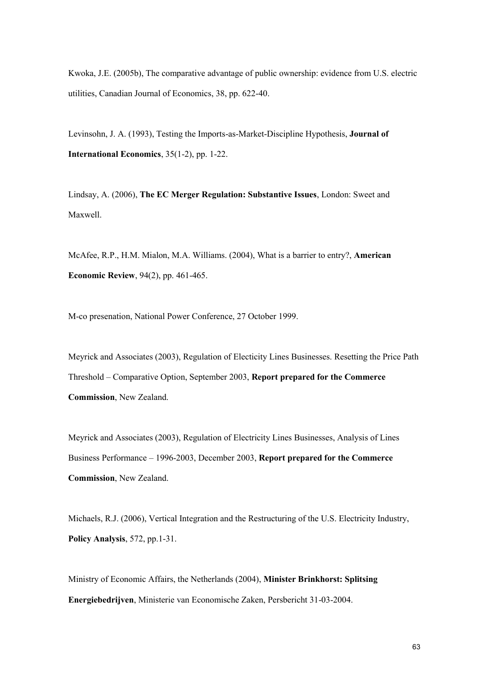Kwoka, J.E. (2005b), The comparative advantage of public ownership: evidence from U.S. electric utilities, Canadian Journal of Economics, 38, pp. 622-40.

Levinsohn, J. A. (1993), Testing the Imports-as-Market-Discipline Hypothesis, **Journal of International Economics**, 35(1-2), pp. 1-22.

Lindsay, A. (2006), **The EC Merger Regulation: Substantive Issues**, London: Sweet and Maxwell.

McAfee, R.P., H.M. Mialon, M.A. Williams. (2004), What is a barrier to entry?, **American Economic Review**, 94(2), pp. 461-465.

M-co presenation, National Power Conference, 27 October 1999.

Meyrick and Associates (2003), Regulation of Electicity Lines Businesses. Resetting the Price Path Threshold – Comparative Option, September 2003, **Report prepared for the Commerce Commission**, New Zealand.

Meyrick and Associates (2003), Regulation of Electricity Lines Businesses, Analysis of Lines Business Performance – 1996-2003, December 2003, **Report prepared for the Commerce Commission**, New Zealand.

Michaels, R.J. (2006), Vertical Integration and the Restructuring of the U.S. Electricity Industry, **Policy Analysis**, 572, pp.1-31.

Ministry of Economic Affairs, the Netherlands (2004), **Minister Brinkhorst: Splitsing Energiebedrijven**, Ministerie van Economische Zaken, Persbericht 31-03-2004.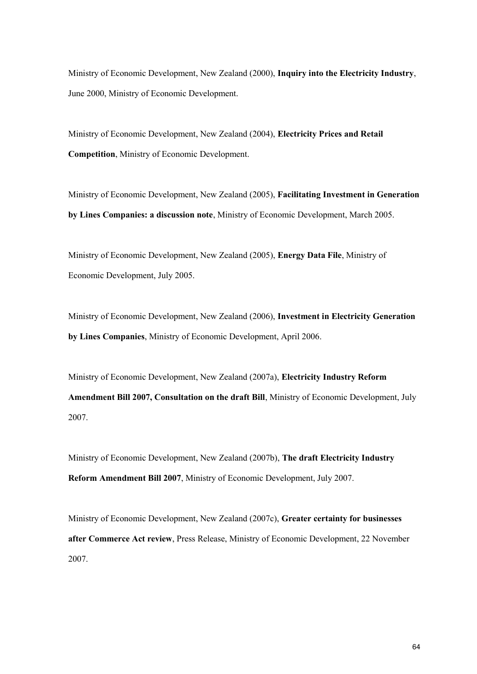Ministry of Economic Development, New Zealand (2000), **Inquiry into the Electricity Industry**, June 2000, Ministry of Economic Development.

Ministry of Economic Development, New Zealand (2004), **Electricity Prices and Retail Competition**, Ministry of Economic Development.

Ministry of Economic Development, New Zealand (2005), **Facilitating Investment in Generation by Lines Companies: a discussion note**, Ministry of Economic Development, March 2005.

Ministry of Economic Development, New Zealand (2005), **Energy Data File**, Ministry of Economic Development, July 2005.

Ministry of Economic Development, New Zealand (2006), **Investment in Electricity Generation by Lines Companies**, Ministry of Economic Development, April 2006.

Ministry of Economic Development, New Zealand (2007a), **Electricity Industry Reform Amendment Bill 2007, Consultation on the draft Bill**, Ministry of Economic Development, July 2007.

Ministry of Economic Development, New Zealand (2007b), **The draft Electricity Industry Reform Amendment Bill 2007**, Ministry of Economic Development, July 2007.

Ministry of Economic Development, New Zealand (2007c), **Greater certainty for businesses after Commerce Act review**, Press Release, Ministry of Economic Development, 22 November 2007.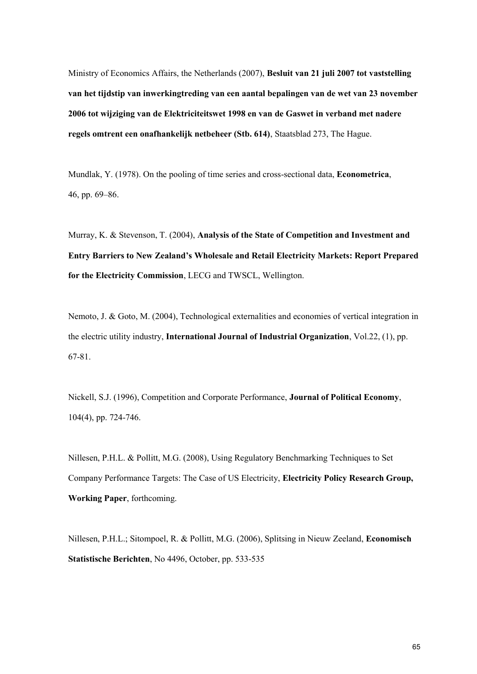Ministry of Economics Affairs, the Netherlands (2007), **Besluit van 21 juli 2007 tot vaststelling van het tijdstip van inwerkingtreding van een aantal bepalingen van de wet van 23 november 2006 tot wijziging van de Elektriciteitswet 1998 en van de Gaswet in verband met nadere regels omtrent een onafhankelijk netbeheer (Stb. 614)**, Staatsblad 273, The Hague.

Mundlak, Y. (1978). On the pooling of time series and cross-sectional data, **Econometrica**, 46, pp. 69–86.

Murray, K. & Stevenson, T. (2004), **Analysis of the State of Competition and Investment and Entry Barriers to New Zealand's Wholesale and Retail Electricity Markets: Report Prepared for the Electricity Commission**, LECG and TWSCL, Wellington.

Nemoto, J. & Goto, M. (2004), Technological externalities and economies of vertical integration in the electric utility industry, **International Journal of Industrial Organization**, Vol.22, (1), pp. 67-81.

Nickell, S.J. (1996), Competition and Corporate Performance, **Journal of Political Economy**, 104(4), pp. 724-746.

Nillesen, P.H.L. & Pollitt, M.G. (2008), Using Regulatory Benchmarking Techniques to Set Company Performance Targets: The Case of US Electricity, **Electricity Policy Research Group, Working Paper**, forthcoming.

Nillesen, P.H.L.; Sitompoel, R. & Pollitt, M.G. (2006), Splitsing in Nieuw Zeeland, **Economisch Statistische Berichten**, No 4496, October, pp. 533-535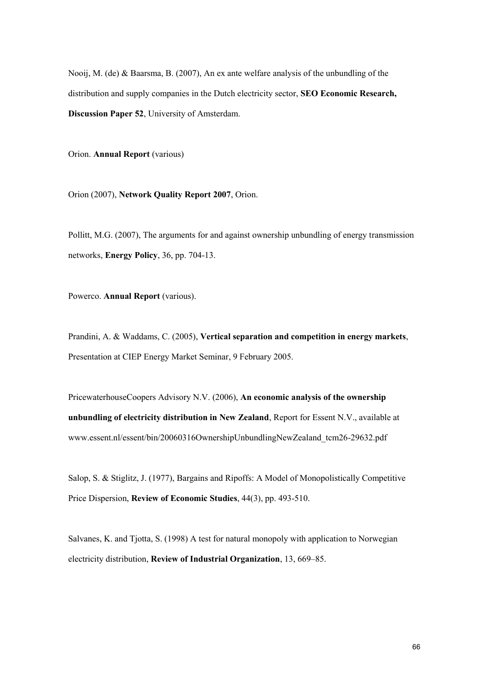Nooij, M. (de) & Baarsma, B. (2007), An ex ante welfare analysis of the unbundling of the distribution and supply companies in the Dutch electricity sector, **SEO Economic Research, Discussion Paper 52**, University of Amsterdam.

Orion. **Annual Report** (various)

Orion (2007), **Network Quality Report 2007**, Orion.

Pollitt, M.G. (2007), The arguments for and against ownership unbundling of energy transmission networks, **Energy Policy**, 36, pp. 704-13.

Powerco. **Annual Report** (various).

Prandini, A. & Waddams, C. (2005), **Vertical separation and competition in energy markets**, Presentation at CIEP Energy Market Seminar, 9 February 2005.

PricewaterhouseCoopers Advisory N.V. (2006), **An economic analysis of the ownership unbundling of electricity distribution in New Zealand**, Report for Essent N.V., available at www.essent.nl/essent/bin/20060316OwnershipUnbundlingNewZealand\_tcm26-29632.pdf

Salop, S. & Stiglitz, J. (1977), Bargains and Ripoffs: A Model of Monopolistically Competitive Price Dispersion, **Review of Economic Studies**, 44(3), pp. 493-510.

Salvanes, K. and Tjotta, S. (1998) A test for natural monopoly with application to Norwegian electricity distribution, **Review of Industrial Organization**, 13, 669–85.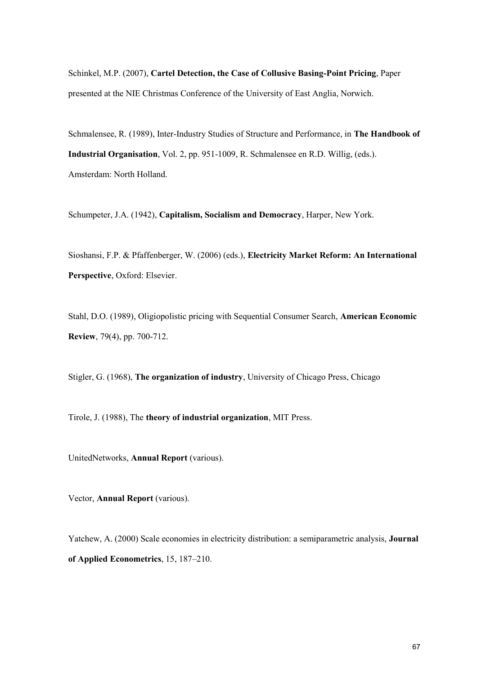Schinkel, M.P. (2007), **Cartel Detection, the Case of Collusive Basing-Point Pricing**, Paper presented at the NIE Christmas Conference of the University of East Anglia, Norwich.

Schmalensee, R. (1989), Inter-Industry Studies of Structure and Performance, in **The Handbook of Industrial Organisation**, Vol. 2, pp. 951-1009, R. Schmalensee en R.D. Willig, (eds.). Amsterdam: North Holland.

Schumpeter, J.A. (1942), **Capitalism, Socialism and Democracy**, Harper, New York.

Sioshansi, F.P. & Pfaffenberger, W. (2006) (eds.), **Electricity Market Reform: An International Perspective**, Oxford: Elsevier.

Stahl, D.O. (1989), Oligiopolistic pricing with Sequential Consumer Search, **American Economic Review**, 79(4), pp. 700-712.

Stigler, G. (1968), **The organization of industry**, University of Chicago Press, Chicago

Tirole, J. (1988), The **theory of industrial organization**, MIT Press.

UnitedNetworks, **Annual Report** (various).

Vector, **Annual Report** (various).

Yatchew, A. (2000) Scale economies in electricity distribution: a semiparametric analysis, **Journal of Applied Econometrics**, 15, 187–210.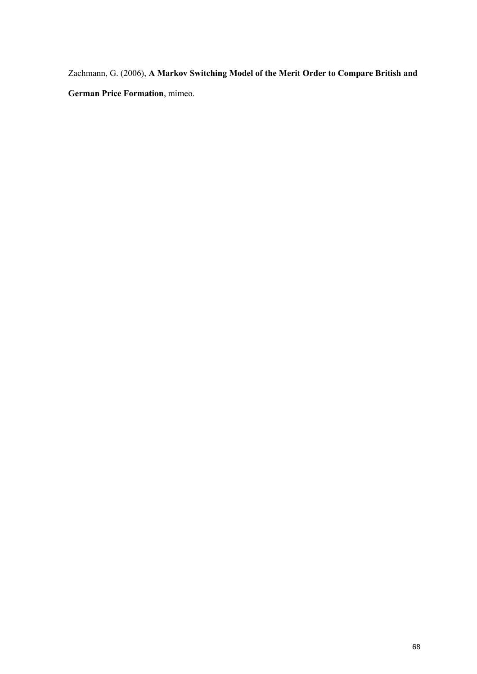Zachmann, G. (2006), **A Markov Switching Model of the Merit Order to Compare British and German Price Formation**, mimeo.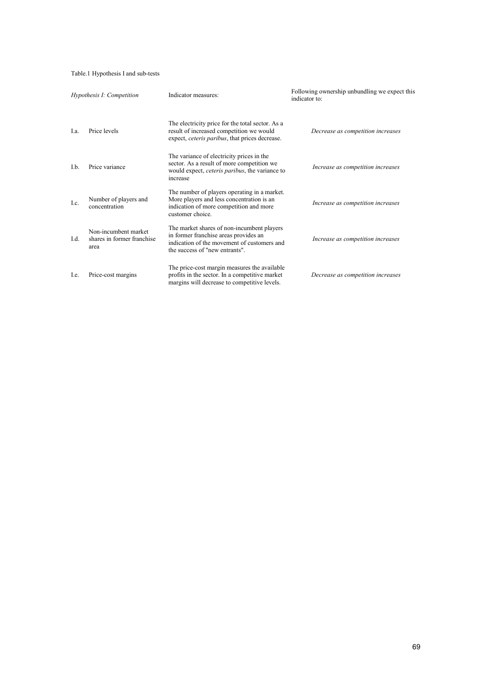## Table.1 Hypothesis I and sub-tests

| Hypothesis I: Competition |                                                            | Indicator measures:                                                                                                                                                  | Following ownership unbundling we expect this<br>indicator to: |  |
|---------------------------|------------------------------------------------------------|----------------------------------------------------------------------------------------------------------------------------------------------------------------------|----------------------------------------------------------------|--|
| I.a.                      | Price levels                                               | The electricity price for the total sector. As a<br>result of increased competition we would<br>expect, <i>ceteris paribus</i> , that prices decrease.               | Decrease as competition increases                              |  |
| I.b.                      | Price variance                                             | The variance of electricity prices in the<br>sector. As a result of more competition we<br>would expect, <i>ceteris paribus</i> , the variance to<br>increase        | Increase as competition increases                              |  |
| Lc.                       | Number of players and<br>concentration                     | The number of players operating in a market.<br>More players and less concentration is an<br>indication of more competition and more<br>customer choice.             | Increase as competition increases                              |  |
| $L_d$                     | Non-incumbent market<br>shares in former franchise<br>area | The market shares of non-incumbent players<br>in former franchise areas provides an<br>indication of the movement of customers and<br>the success of "new entrants". | Increase as competition increases                              |  |
| Le.                       | Price-cost margins                                         | The price-cost margin measures the available<br>profits in the sector. In a competitive market<br>margins will decrease to competitive levels.                       | Decrease as competition increases                              |  |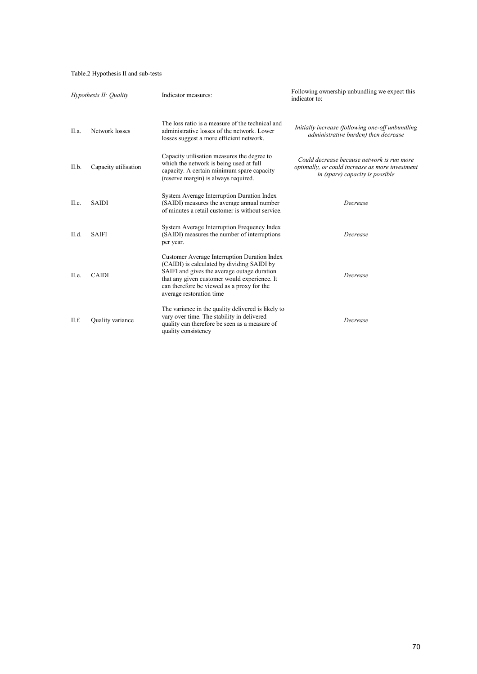# Table.2 Hypothesis II and sub-tests

| Hypothesis II: Ouality |                      | Indicator measures:                                                                                                                                                                                                                                                 | Following ownership unbundling we expect this<br>indicator to:                                                                   |
|------------------------|----------------------|---------------------------------------------------------------------------------------------------------------------------------------------------------------------------------------------------------------------------------------------------------------------|----------------------------------------------------------------------------------------------------------------------------------|
| II.a.                  | Network losses       | The loss ratio is a measure of the technical and<br>administrative losses of the network. Lower<br>losses suggest a more efficient network.                                                                                                                         | Initially increase (following one-off unbundling<br>administrative burden) then decrease                                         |
| II.b.                  | Capacity utilisation | Capacity utilisation measures the degree to<br>which the network is being used at full<br>capacity. A certain minimum spare capacity<br>(reserve margin) is always required.                                                                                        | Could decrease because network is run more<br>optimally, or could increase as more investment<br>in (spare) capacity is possible |
| II.c.                  | <b>SAIDI</b>         | System Average Interruption Duration Index<br>(SAIDI) measures the average annual number<br>of minutes a retail customer is without service.                                                                                                                        | Decrease                                                                                                                         |
| II.d.                  | <b>SAIFI</b>         | System Average Interruption Frequency Index<br>(SAIDI) measures the number of interruptions<br>per year.                                                                                                                                                            | Decrease                                                                                                                         |
| II.e.                  | <b>CAIDI</b>         | Customer Average Interruption Duration Index<br>(CAIDI) is calculated by dividing SAIDI by<br>SAIFI and gives the average outage duration<br>that any given customer would experience. It<br>can therefore be viewed as a proxy for the<br>average restoration time | Decrease                                                                                                                         |
| II.f.                  | Quality variance     | The variance in the quality delivered is likely to<br>vary over time. The stability in delivered<br>quality can therefore be seen as a measure of<br>quality consistency                                                                                            | Decrease                                                                                                                         |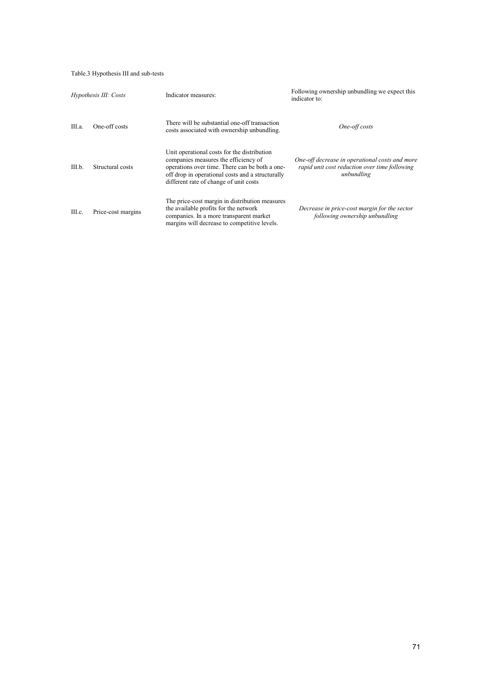# Table.3 Hypothesis III and sub-tests

| Hypothesis III: Costs |                    | Indicator measures:                                                                                                                                                                                                                 | Following ownership unbundling we expect this<br>indicator to:                                                |  |
|-----------------------|--------------------|-------------------------------------------------------------------------------------------------------------------------------------------------------------------------------------------------------------------------------------|---------------------------------------------------------------------------------------------------------------|--|
| III.a.                | One-off costs      | There will be substantial one-off transaction<br>costs associated with ownership unbundling.                                                                                                                                        | One-off costs                                                                                                 |  |
| III.b.                | Structural costs   | Unit operational costs for the distribution<br>companies measures the efficiency of<br>operations over time. There can be both a one-<br>off drop in operational costs and a structurally<br>different rate of change of unit costs | One-off decrease in operational costs and more<br>rapid unit cost reduction over time following<br>unbundling |  |
| III.c.                | Price-cost margins | The price-cost margin in distribution measures<br>the available profits for the network<br>companies. In a more transparent market<br>margins will decrease to competitive levels.                                                  | Decrease in price-cost margin for the sector<br>following ownership unbundling                                |  |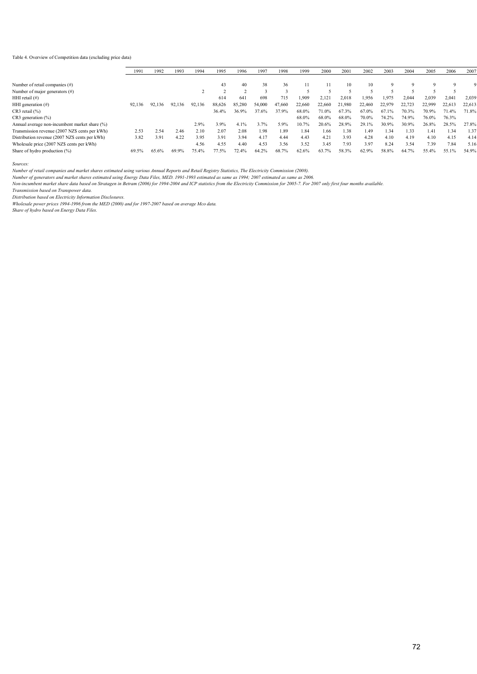#### Table 4. Overview of Competition data (excluding price data)

|                                                | 1991   | 1992   | 1993   | 1994   | 1995   | 1996   |        |        |        |        |        |        |        |        |             |        |        |
|------------------------------------------------|--------|--------|--------|--------|--------|--------|--------|--------|--------|--------|--------|--------|--------|--------|-------------|--------|--------|
|                                                |        |        |        |        |        |        | 1997   | 1998   | 1999   | 2000   | 2001   | 2002   | 2003   | 2004   | 2005        | 2006   | 2007   |
| Number of retail companies $(\#)$              |        |        |        |        | 43     | 40     | 38     | 36     |        |        | 10     | 10     | Q      |        | $\mathbf Q$ |        |        |
| Number of major generators $(\#)$              |        |        |        |        |        |        |        |        |        |        |        |        |        |        |             |        |        |
| HHI retail $(\#)$                              |        |        |        |        | 614    | 641    | 698    | 715    | 1.909  | 2,121  | 2.018  | 1.956  | 1,975  | 2.044  | 2,039       | 2,04   | 2,039  |
| HHI generation $(\#)$                          | 92,136 | 92,136 | 92,136 | 92,136 | 88,626 | 85,280 | 54,000 | 47,660 | 22,660 | 22,660 | 21.980 | 22.460 | 22,979 | 22,723 | 22,999      | 22,613 | 22,613 |
| $CR3$ retail $(\% )$                           |        |        |        |        | 36.4%  | 36.9%  | 37.6%  | 37.9%  | 68.0%  | 71.0%  | 67.3%  | 67.0%  | 67.1%  | 70.3%  | 70.9%       | 71.4%  | 71.8%  |
| $CR3$ generation $(\% )$                       |        |        |        |        |        |        |        |        | 68.0%  | 68.0%  | 68.0%  | 70.0%  | 74.2%  | 74.9%  | 76.0%       | 76.3%  |        |
| Annual average non-incumbent market share (%)  |        |        |        | 2.9%   | 3.9%   | 4.1%   | 3.7%   | 5.9%   | 10.7%  | 20.6%  | 28.9%  | 29.1%  | 30.9%  | 30.9%  | 26.8%       | 28.5%  | 27.8%  |
| Transmission revenue (2007 NZ\$ cents per kWh) | 2.53   | 2.54   | 2.46   | 2.10   | 2.07   | 2.08   | 1.98   | 1.89   | 1.84   | 1.66   | 1.38   | 1.49   | 1.34   | 1.33   | 1.41        | 1.34   | 1.37   |
| Distribution revenue (2007 NZ\$ cents per kWh) | 3.82   | 3.91   | 4.22   | 3.95   | 3.91   | 3.94   | 4.17   | 4.44   | 4.43   | 4.21   | 3.93   | 4.28   | 4 1 0  | 4.19   | 4.10        | 4.15   | 4.14   |
| Wholesale price (2007 NZ\$ cents per kWh)      |        |        |        | 4.56   | 4.55   | 4.40   | 4.53   | 3.56   | 3.52   | 3.45   | 7.93   | 3.97   | 8.24   | 3.54   | 7.39        | 7.84   | 5.16   |
| Share of hydro production (%)                  | 69.5%  | 65.6%  | 69.9%  | 75.4%  | 77.5%  | 72.4%  | 64.2%  | 68.7%  | 62.6%  | 63.7%  | 58.3%  | 62.9%  | 58.8%  | 64.7%  | 55.4%       | 55.1%  | 54.9%  |

*Sources:*

*Number of retail companies and market shares estimated using various Annual Reports and Retail Registry Statistics, The Electricity Commission (2008).*

*Number of generators and market shares estimated using Energy Data Files, MED. 1991-1993 estimated as same as 1994; 2007 estimated as same as 2006.*

*Non-incumbent market share data based on Stratagen in Betram (2006) for 1994-2004 and ICP statistics from the Electricity Commission for 2005-7. For 2007 only first four months available.*

*Transmission based on Transpower data.*

*Distribution based on Electricity Information Disclosures.*

*Wholesale power prices 1994-1996 from the MED (2000) and for 1997-2007 based on average Mco data.*

*Share of hydro based on Energy Data Files.*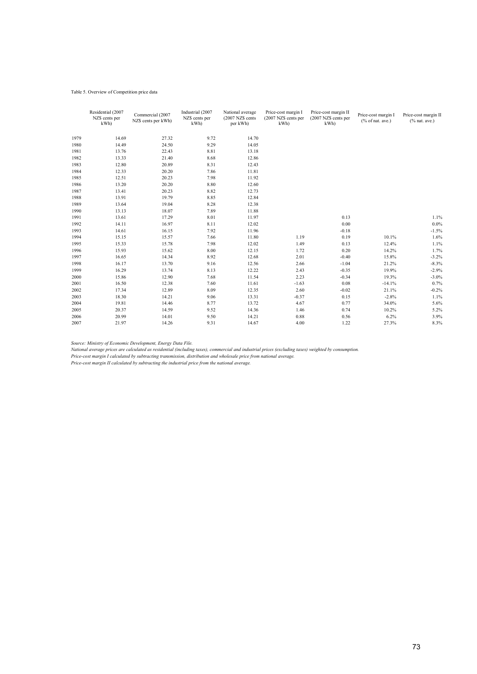### Table 5. Overview of Competition price data

|      | Residential (2007<br>NZ\$ cents per<br>kWh | Commercial (2007<br>NZ\$ cents per kWh) | Industrial (2007<br>NZ\$ cents per<br>kWh | National average<br>(2007 NZ\$ cents<br>per kWh) | Price-cost margin I<br>(2007 NZ\$ cents per<br>kWh | Price-cost margin II<br>(2007 NZ\$ cents per<br>kWh | Price-cost margin I<br>% of nat. ave.) | Price-cost margin II<br>$(%$ $%$ nat. ave.) |
|------|--------------------------------------------|-----------------------------------------|-------------------------------------------|--------------------------------------------------|----------------------------------------------------|-----------------------------------------------------|----------------------------------------|---------------------------------------------|
| 1979 | 14.69                                      | 27.32                                   | 9.72                                      | 14.70                                            |                                                    |                                                     |                                        |                                             |
| 1980 | 14.49                                      | 24.50                                   | 9.29                                      | 14.05                                            |                                                    |                                                     |                                        |                                             |
| 1981 | 13.76                                      | 22.43                                   | 8.81                                      | 13.18                                            |                                                    |                                                     |                                        |                                             |
| 1982 | 13.33                                      | 21.40                                   | 8.68                                      | 12.86                                            |                                                    |                                                     |                                        |                                             |
| 1983 | 12.80                                      | 20.89                                   | 8.31                                      | 12.43                                            |                                                    |                                                     |                                        |                                             |
| 1984 | 12.33                                      | 20.20                                   | 7.86                                      | 11.81                                            |                                                    |                                                     |                                        |                                             |
| 1985 | 12.51                                      | 20.23                                   | 7.98                                      | 11.92                                            |                                                    |                                                     |                                        |                                             |
| 1986 | 13.20                                      | 20.20                                   | 8.80                                      | 12.60                                            |                                                    |                                                     |                                        |                                             |
| 1987 | 13.41                                      | 20.23                                   | 8.82                                      | 12.73                                            |                                                    |                                                     |                                        |                                             |
| 1988 | 13.91                                      | 19.79                                   | 8.85                                      | 12.84                                            |                                                    |                                                     |                                        |                                             |
| 1989 | 13.64                                      | 19.04                                   | 8.28                                      | 12.38                                            |                                                    |                                                     |                                        |                                             |
| 1990 | 13.13                                      | 18.07                                   | 7.89                                      | 11.88                                            |                                                    |                                                     |                                        |                                             |
| 1991 | 13.61                                      | 17.29                                   | 8.01                                      | 11.97                                            |                                                    | 0.13                                                |                                        | 1.1%                                        |
| 1992 | 14.11                                      | 16.97                                   | 8.11                                      | 12.02                                            |                                                    | 0.00                                                |                                        | $0.0\%$                                     |
| 1993 | 14.61                                      | 16.15                                   | 7.92                                      | 11.96                                            |                                                    | $-0.18$                                             |                                        | $-1.5%$                                     |
| 1994 | 15.15                                      | 15.57                                   | 7.66                                      | 11.80                                            | 1.19                                               | 0.19                                                | 10.1%                                  | 1.6%                                        |
| 1995 | 15.33                                      | 15.78                                   | 7.98                                      | 12.02                                            | 1.49                                               | 0.13                                                | 12.4%                                  | 1.1%                                        |
| 1996 | 15.93                                      | 15.62                                   | 8.00                                      | 12.15                                            | 1.72                                               | 0.20                                                | 14.2%                                  | 1.7%                                        |
| 1997 | 16.65                                      | 14.34                                   | 8.92                                      | 12.68                                            | 2.01                                               | $-0.40$                                             | 15.8%                                  | $-3.2%$                                     |
| 1998 | 16.17                                      | 13.70                                   | 9.16                                      | 12.56                                            | 2.66                                               | $-1.04$                                             | 21.2%                                  | $-8.3%$                                     |
| 1999 | 16.29                                      | 13.74                                   | 8.13                                      | 12.22                                            | 2.43                                               | $-0.35$                                             | 19.9%                                  | $-2.9%$                                     |
| 2000 | 15.86                                      | 12.90                                   | 7.68                                      | 11.54                                            | 2.23                                               | $-0.34$                                             | 19.3%                                  | $-3.0\%$                                    |
| 2001 | 16.50                                      | 12.38                                   | 7.60                                      | 11.61                                            | $-1.63$                                            | 0.08                                                | $-14.1%$                               | 0.7%                                        |
| 2002 | 17.34                                      | 12.89                                   | 8.09                                      | 12.35                                            | 2.60                                               | $-0.02$                                             | 21.1%                                  | $-0.2%$                                     |
| 2003 | 18.30                                      | 14.21                                   | 9.06                                      | 13.31                                            | $-0.37$                                            | 0.15                                                | $-2.8%$                                | 1.1%                                        |
| 2004 | 19.81                                      | 14.46                                   | 8.77                                      | 13.72                                            | 4.67                                               | 0.77                                                | 34.0%                                  | 5.6%                                        |
| 2005 | 20.37                                      | 14.59                                   | 9.52                                      | 14.36                                            | 1.46                                               | 0.74                                                | 10.2%                                  | 5.2%                                        |
| 2006 | 20.99                                      | 14.01                                   | 9.50                                      | 14.21                                            | 0.88                                               | 0.56                                                | 6.2%                                   | 3.9%                                        |
| 2007 | 21.97                                      | 14.26                                   | 9.31                                      | 14.67                                            | 4.00                                               | 1.22                                                | 27.3%                                  | 8.3%                                        |

*Source: Ministry of Economic Development, Energy Data File.*

*National average prices are calculated as residential (including taxes), commercial and industrial prices (excluding taxes) weighted by consumption.*

*Price-cost margin I calculated by subtracting transmission, distribution and wholesale price from national average.*

*Price-cost margin II calculated by subtracting the industrial price from the national average.*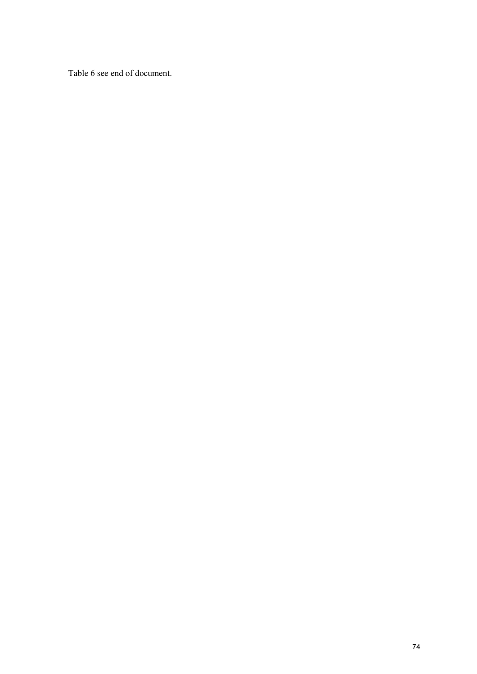Table 6 see end of document.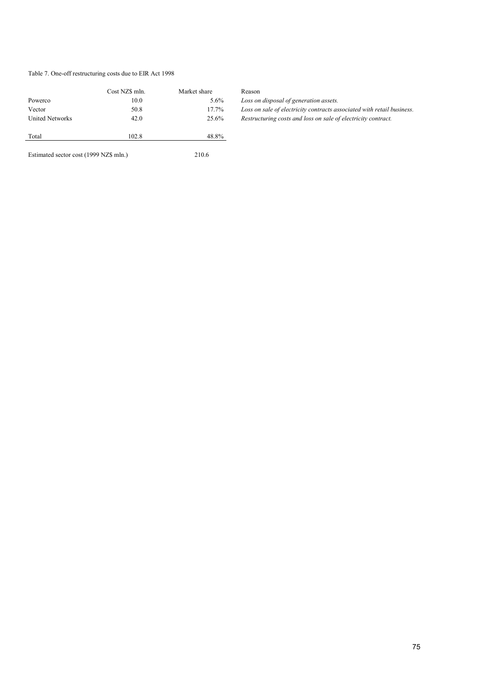# Table 7. One-off restructuring costs due to EIR Act 1998

|                                                  | Cost NZ\$ mln. | Market share | Reason                                                                 |
|--------------------------------------------------|----------------|--------------|------------------------------------------------------------------------|
| Powerco                                          | 10.0           | $5.6\%$      | Loss on disposal of generation assets.                                 |
| Vector                                           | 50.8           | 17.7%        | Loss on sale of electricity contracts associated with retail business. |
| <b>United Networks</b><br>42.0<br>Total<br>102.8 |                | 25.6%        | Restructuring costs and loss on sale of electricity contract.          |
|                                                  |                | 48.8%        |                                                                        |
| Estimated sector cost (1999 NZ\$ mln.)           |                | 210.6        |                                                                        |

| Reason                                                                 |
|------------------------------------------------------------------------|
| Loss on disposal of generation assets.                                 |
| Loss on sale of electricity contracts associated with retail business. |
| Restructuring costs and loss on sale of electricity contract.          |
|                                                                        |

75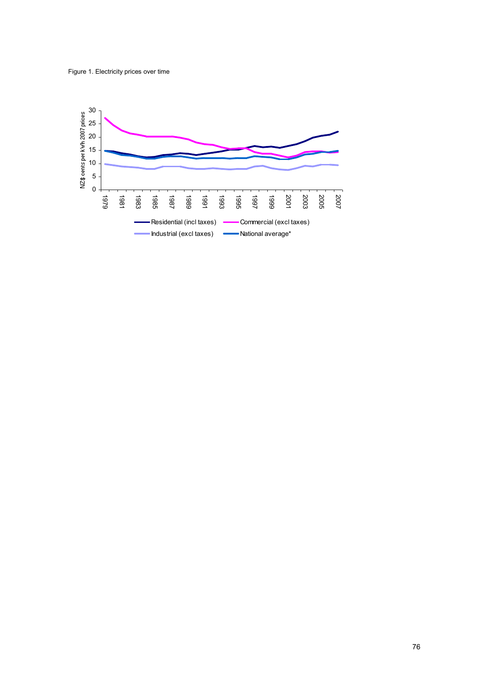

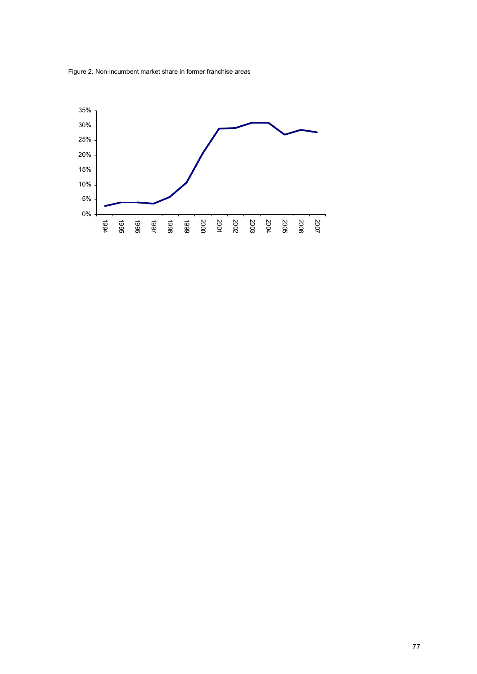

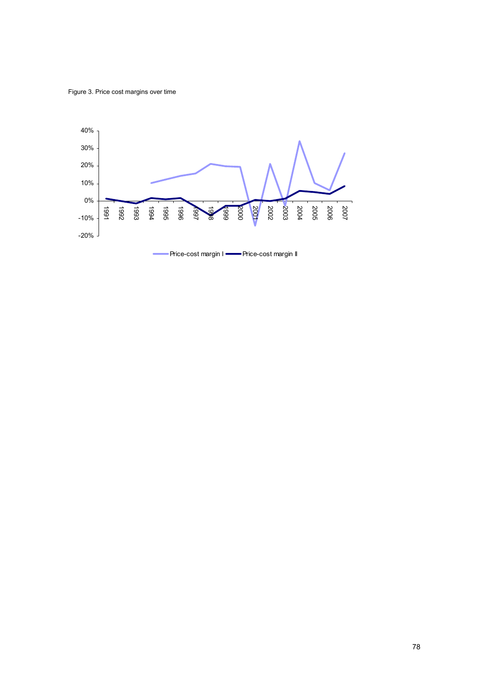Figure 3. Price cost margins over time

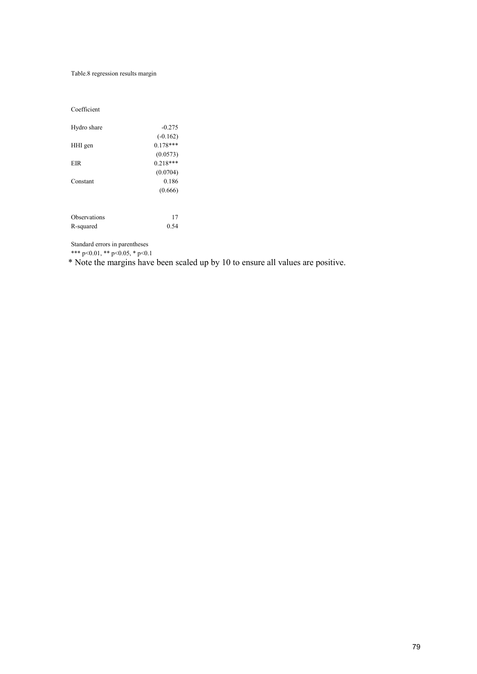Table.8 regression results margin

Coefficient

| Hydro share  | $-0.275$   |
|--------------|------------|
|              | $(-0.162)$ |
| HHI gen      | $0.178***$ |
|              | (0.0573)   |
| <b>EIR</b>   | $0.218***$ |
|              | (0.0704)   |
| Constant     | 0.186      |
|              | (0.666)    |
|              |            |
| Observations | 17         |
| R-squared    | 0.54       |

Standard errors in parentheses

\*\*\* p<0.01, \*\* p<0.05, \* p<0.1

\* Note the margins have been scaled up by 10 to ensure all values are positive.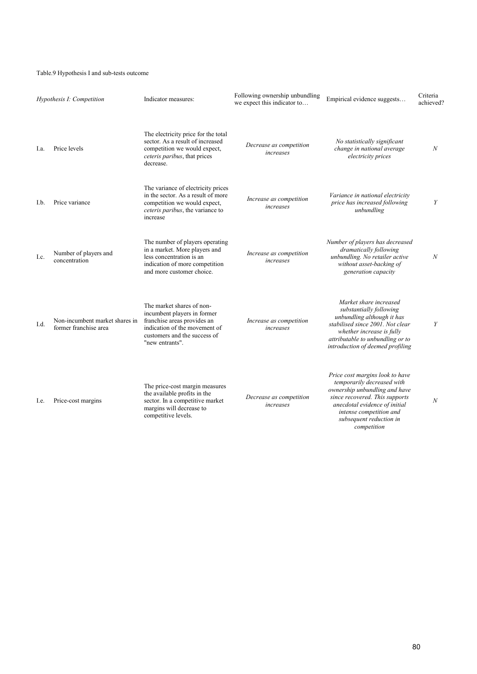## Table.9 Hypothesis I and sub-tests outcome

|      | Hypothesis I: Competition                               | Indicator measures:                                                                                                                                                         | Following ownership unbundling<br>we expect this indicator to | Empirical evidence suggests                                                                                                                                                                                                            | Criteria<br>achieved? |
|------|---------------------------------------------------------|-----------------------------------------------------------------------------------------------------------------------------------------------------------------------------|---------------------------------------------------------------|----------------------------------------------------------------------------------------------------------------------------------------------------------------------------------------------------------------------------------------|-----------------------|
| La.  | Price levels                                            | The electricity price for the total<br>sector. As a result of increased<br>competition we would expect,<br>ceteris paribus, that prices<br>decrease.                        | Decrease as competition<br>increases                          | No statistically significant<br>change in national average<br>electricity prices                                                                                                                                                       | N                     |
| I.b. | Price variance                                          | The variance of electricity prices<br>in the sector. As a result of more<br>competition we would expect,<br>ceteris paribus, the variance to<br>increase                    | Increase as competition<br>increases                          | Variance in national electricity<br>price has increased following<br>unbundling                                                                                                                                                        | Y                     |
| Lc.  | Number of players and<br>concentration                  | The number of players operating<br>in a market. More players and<br>less concentration is an<br>indication of more competition<br>and more customer choice.                 | Increase as competition<br>increases                          | Number of players has decreased<br>dramatically following<br>unbundling. No retailer active<br>without asset-backing of<br>generation capacity                                                                                         | N                     |
| Ld.  | Non-incumbent market shares in<br>former franchise area | The market shares of non-<br>incumbent players in former<br>franchise areas provides an<br>indication of the movement of<br>customers and the success of<br>"new entrants". | Increase as competition<br>increases                          | Market share increased<br>substantially following<br>unbundling although it has<br>stabilised since 2001. Not clear<br>whether increase is fully<br>attributable to unbundling or to<br>introduction of deemed profiling               | Y                     |
| I.e. | Price-cost margins                                      | The price-cost margin measures<br>the available profits in the<br>sector. In a competitive market<br>margins will decrease to<br>competitive levels.                        | Decrease as competition<br>increases                          | Price cost margins look to have<br>temporarily decreased with<br>ownership unbundling and have<br>since recovered. This supports<br>anecdotal evidence of initial<br>intense competition and<br>subsequent reduction in<br>competition | $\boldsymbol{N}$      |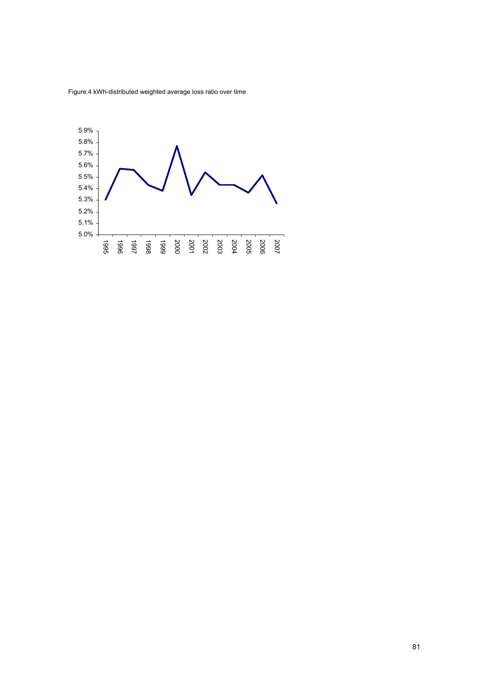Figure.4 kWh-distributed weighted average loss ratio over time

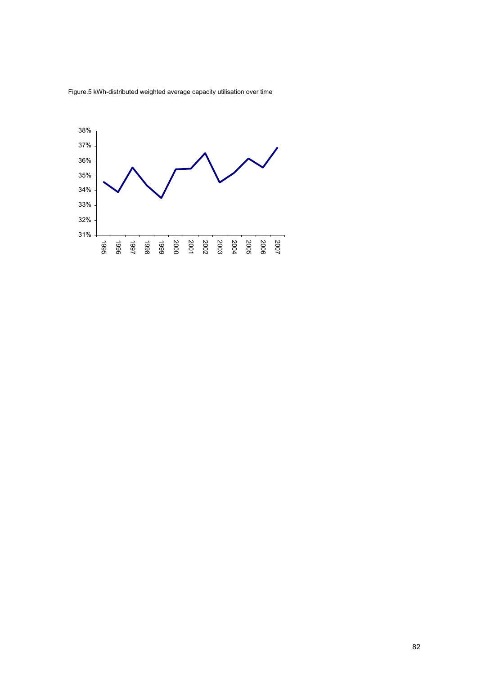

Figure.5 kWh-distributed weighted average capacity utilisation over time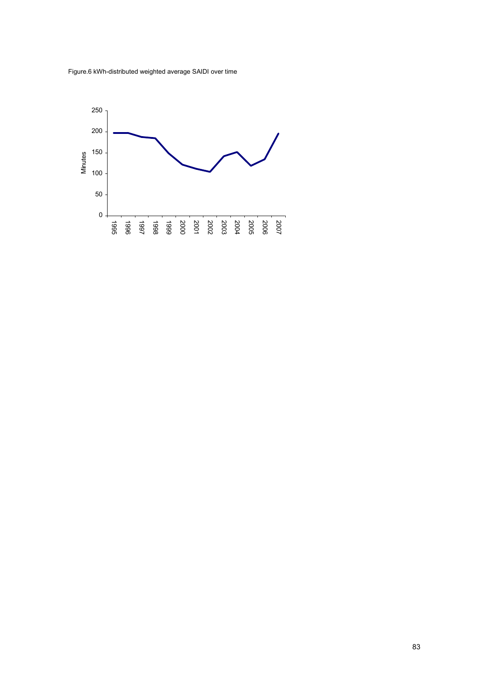Figure.6 kWh-distributed weighted average SAIDI over time

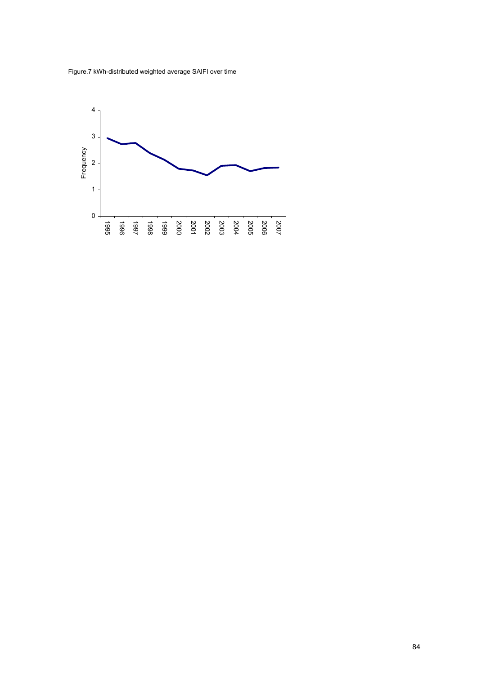Figure.7 kWh-distributed weighted average SAIFI over time

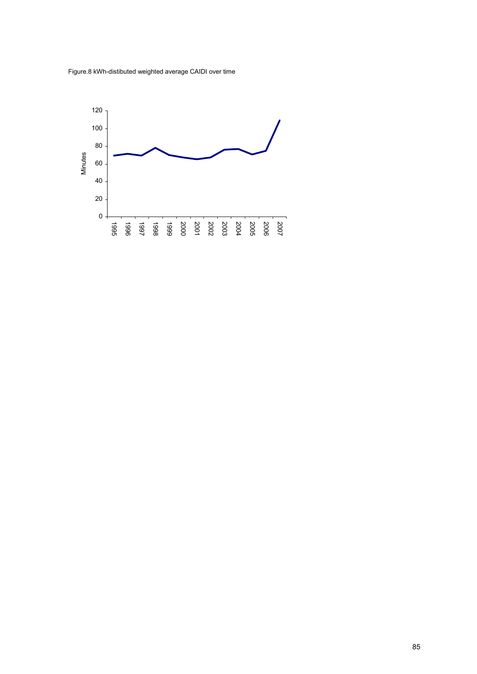Figure.8 kWh-distibuted weighted average CAIDI over time

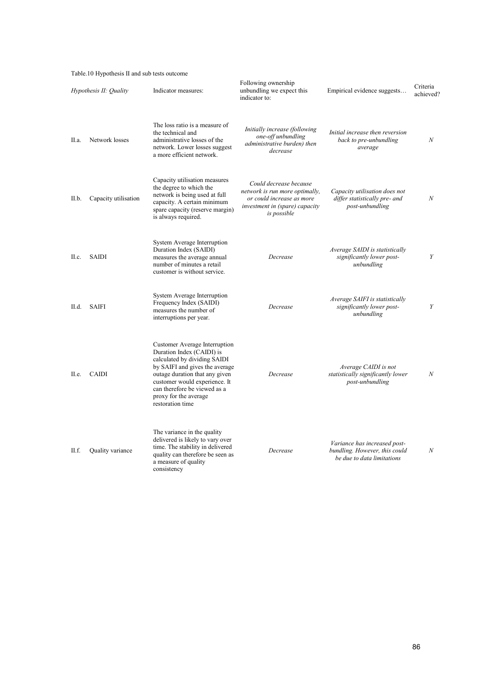Table.10 Hypothesis II and sub tests outcome

| Hypothesis II: Quality |                      | Indicator measures:                                                                                                                                                                                                                                                          | Following ownership<br>unbundling we expect this<br>indicator to:                                                                      | Empirical evidence suggests                                                                 | Criteria<br>achieved? |
|------------------------|----------------------|------------------------------------------------------------------------------------------------------------------------------------------------------------------------------------------------------------------------------------------------------------------------------|----------------------------------------------------------------------------------------------------------------------------------------|---------------------------------------------------------------------------------------------|-----------------------|
| II.a.                  | Network losses       | The loss ratio is a measure of<br>the technical and<br>administrative losses of the<br>network. Lower losses suggest<br>a more efficient network.                                                                                                                            | Initially increase (following<br>one-off unbundling<br>administrative burden) then<br>decrease                                         | Initial increase then reversion<br>back to pre-unbundling<br>average                        | $\boldsymbol{N}$      |
| II.b.                  | Capacity utilisation | Capacity utilisation measures<br>the degree to which the<br>network is being used at full<br>capacity. A certain minimum<br>spare capacity (reserve margin)<br>is always required.                                                                                           | Could decrease because<br>network is run more optimally,<br>or could increase as more<br>investment in (spare) capacity<br>is possible | Capacity utilisation does not<br>differ statistically pre- and<br>post-unbundling           | $\mathcal N$          |
| II.c.                  | <b>SAIDI</b>         | System Average Interruption<br>Duration Index (SAIDI)<br>measures the average annual<br>number of minutes a retail<br>customer is without service.                                                                                                                           | Decrease                                                                                                                               | <i>Average SAIDI is statistically</i><br>significantly lower post-<br>unbundling            | Y                     |
| II.d.                  | <b>SAIFI</b>         | System Average Interruption<br>Frequency Index (SAIDI)<br>measures the number of<br>interruptions per year.                                                                                                                                                                  | Decrease                                                                                                                               | Average SAIFI is statistically<br>significantly lower post-<br>unbundling                   | Y                     |
| II.e.                  | <b>CAIDI</b>         | Customer Average Interruption<br>Duration Index (CAIDI) is<br>calculated by dividing SAIDI<br>by SAIFI and gives the average<br>outage duration that any given<br>customer would experience. It<br>can therefore be viewed as a<br>proxy for the average<br>restoration time | Decrease                                                                                                                               | Average CAIDI is not<br>statistically significantly lower<br>post-unbundling                | N                     |
| II.f.                  | Quality variance     | The variance in the quality<br>delivered is likely to vary over<br>time. The stability in delivered<br>quality can therefore be seen as<br>a measure of quality<br>consistency                                                                                               | Decrease                                                                                                                               | Variance has increased post-<br>bundling. However, this could<br>be due to data limitations | N                     |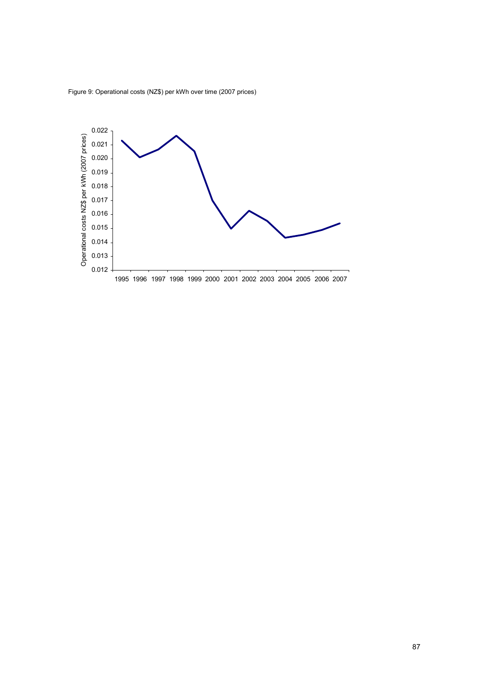

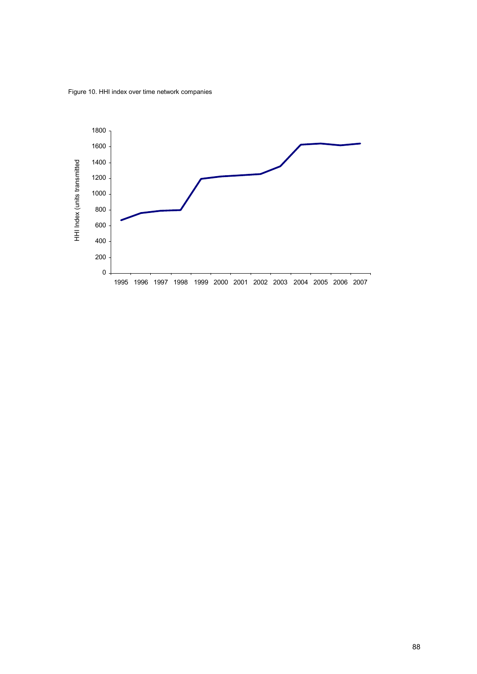Figure 10. HHI index over time network companies

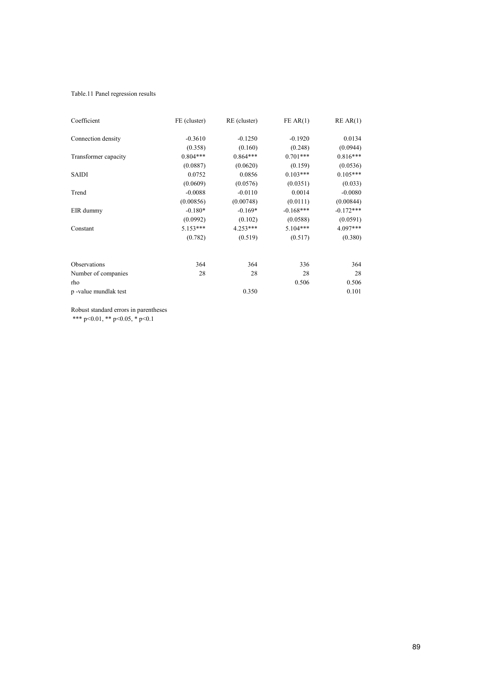## Table.11 Panel regression results

| Coefficient          | FE (cluster) | RE (cluster) | FEAR(1)     | REAR(1)     |
|----------------------|--------------|--------------|-------------|-------------|
| Connection density   | $-0.3610$    | $-0.1250$    | $-0.1920$   | 0.0134      |
|                      | (0.358)      | (0.160)      | (0.248)     | (0.0944)    |
| Transformer capacity | $0.804***$   | $0.864***$   | $0.701***$  | $0.816***$  |
|                      | (0.0887)     | (0.0620)     | (0.159)     | (0.0536)    |
| <b>SAIDI</b>         | 0.0752       | 0.0856       | $0.103***$  | $0.105***$  |
|                      | (0.0609)     | (0.0576)     | (0.0351)    | (0.033)     |
| Trend                | $-0.0088$    | $-0.0110$    | 0.0014      | $-0.0080$   |
|                      | (0.00856)    | (0.00748)    | (0.0111)    | (0.00844)   |
| EIR dummy            | $-0.180*$    | $-0.169*$    | $-0.168***$ | $-0.172***$ |
|                      | (0.0992)     | (0.102)      | (0.0588)    | (0.0591)    |
| Constant             | $5.153***$   | 4.253***     | $5.104***$  | 4.097***    |
|                      | (0.782)      | (0.519)      | (0.517)     | (0.380)     |
| Observations         | 364          | 364          | 336         | 364         |
| Number of companies  | 28           | 28           | 28          | 28          |
| rho                  |              |              | 0.506       | 0.506       |
| p-value mundlak test |              | 0.350        |             | 0.101       |

Robust standard errors in parentheses \*\*\* p<0.01, \*\* p<0.05, \* p<0.1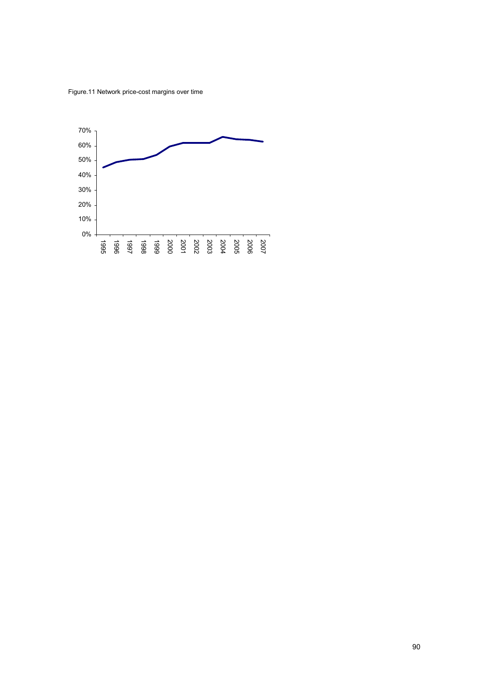Figure.11 Network price-cost margins over time

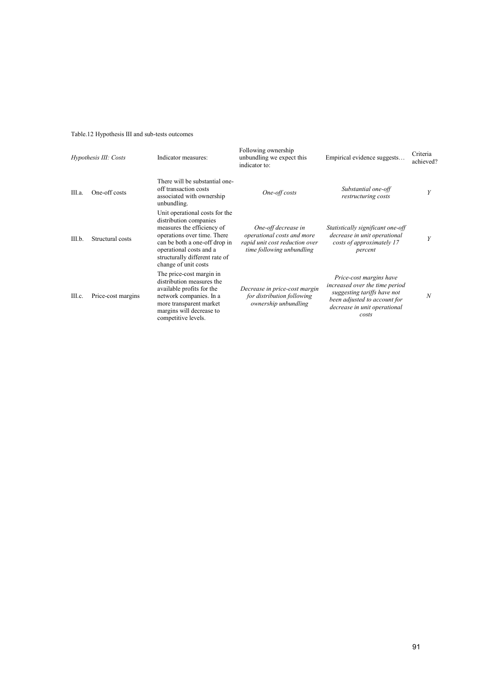# Table.12 Hypothesis III and sub-tests outcomes

| Hypothesis III: Costs |                    | Indicator measures:                                                                                                                                                                                                                         | Following ownership<br>unbundling we expect this<br>indicator to:                                                | Empirical evidence suggests                                                                                                                                       | Criteria<br>achieved? |
|-----------------------|--------------------|---------------------------------------------------------------------------------------------------------------------------------------------------------------------------------------------------------------------------------------------|------------------------------------------------------------------------------------------------------------------|-------------------------------------------------------------------------------------------------------------------------------------------------------------------|-----------------------|
| III.a.                | One-off costs      | There will be substantial one-<br>off transaction costs<br>associated with ownership<br>unbundling.                                                                                                                                         | One-off costs                                                                                                    | Substantial one-off<br>restructuring costs                                                                                                                        | Y                     |
| III.b.                | Structural costs   | Unit operational costs for the<br>distribution companies<br>measures the efficiency of<br>operations over time. There<br>can be both a one-off drop in<br>operational costs and a<br>structurally different rate of<br>change of unit costs | One-off decrease in<br>operational costs and more<br>rapid unit cost reduction over<br>time following unbundling | Statistically significant one-off<br>decrease in unit operational<br>costs of approximately 17<br>percent                                                         | Y                     |
| III.c.                | Price-cost margins | The price-cost margin in<br>distribution measures the<br>available profits for the<br>network companies. In a<br>more transparent market<br>margins will decrease to<br>competitive levels.                                                 | Decrease in price-cost margin<br>for distribution following<br>ownership unbundling                              | Price-cost margins have<br>increased over the time period<br>suggesting tariffs have not<br>been adjusted to account for<br>decrease in unit operational<br>costs | $\boldsymbol{N}$      |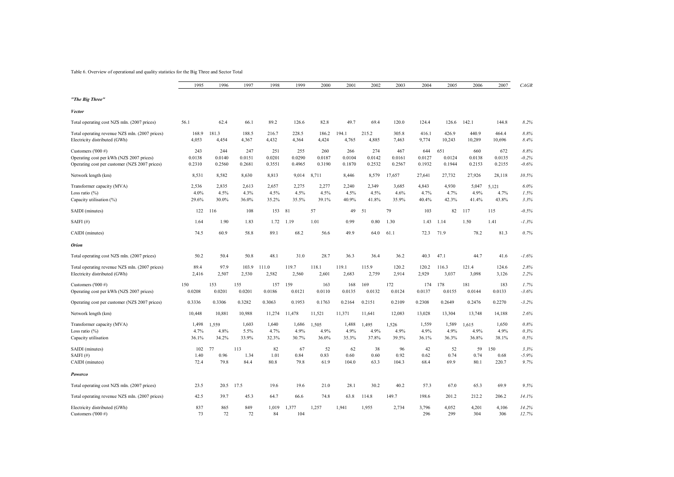Table 6. Overview of operational and quality statistics for the Big Three and Sector Total

|                                                                                                                   | 1995                    | 1996                    | 1997                    | 1998                    | 1999                    | 2000                    | 2001                    | 2002                    | 2003                    | 2004                    | 2005                    | 2006                    | 2007                    | CAGR                       |
|-------------------------------------------------------------------------------------------------------------------|-------------------------|-------------------------|-------------------------|-------------------------|-------------------------|-------------------------|-------------------------|-------------------------|-------------------------|-------------------------|-------------------------|-------------------------|-------------------------|----------------------------|
| "The Big Three"                                                                                                   |                         |                         |                         |                         |                         |                         |                         |                         |                         |                         |                         |                         |                         |                            |
| Vector                                                                                                            |                         |                         |                         |                         |                         |                         |                         |                         |                         |                         |                         |                         |                         |                            |
| Total operating cost NZ\$ mln. (2007 prices)                                                                      | 56.1                    | 62.4                    | 66.1                    | 89.2                    | 126.6                   | 82.8                    | 49.7                    | 69.4                    | 120.0                   | 124.4                   | 126.6                   | 142.1                   | 144.8                   | 8.2%                       |
| Total operating revenue NZ\$ mln. (2007 prices)<br>Electricity distributed (GWh)                                  | 168.9<br>4,053          | 181.3<br>4,454          | 188.5<br>4,367          | 216.7<br>4,432          | 228.5<br>4,364          | 186.2<br>4,424          | 1941<br>4,765           | 215.2<br>4,885          | 305.8<br>7,463          | 416.1<br>9,774          | 426.9<br>10,243         | 440.9<br>10,289         | 464.4<br>10,696         | 8.8%<br>8.4%               |
| Customers ('000 #)<br>Operating cost per kWh (NZ\$ 2007 prices)<br>Operating cost per customer (NZ\$ 2007 prices) | 243<br>0.0138<br>0.2310 | 244<br>0.0140<br>0.2560 | 247<br>0.0151<br>0.2681 | 251<br>0.0201<br>0.3551 | 255<br>0.0290<br>0.4965 | 260<br>0.0187<br>0.3190 | 266<br>0.0104<br>0.1870 | 274<br>0.0142<br>0.2532 | 467<br>0.0161<br>0.2567 | 644<br>0.0127<br>0.1932 | 651<br>0.0124<br>0.1944 | 660<br>0.0138<br>0.2153 | 672<br>0.0135<br>0.2155 | 8.8%<br>$-0.2%$<br>$-0.6%$ |
| Network length (km)                                                                                               | 8,531                   | 8,582                   | 8,630                   | 8,813                   | 9,014                   | 8,711                   | 8,446                   | 8,579                   | 17,657                  | 27,641                  | 27,732                  | 27,926                  | 28,118                  | 10.5%                      |
| Transformer capacity (MVA)<br>Loss ratio $(\%)$<br>Capacity utilisation (%)                                       | 2,536<br>4.0%<br>29.6%  | 2,835<br>4.5%<br>30.0%  | 2,613<br>4.3%<br>36.0%  | 2,657<br>4.5%<br>35.2%  | 2,275<br>4.5%<br>35.5%  | 2,277<br>4.5%<br>39.1%  | 2,240<br>4.5%<br>40.9%  | 2,349<br>4.5%<br>41.8%  | 3,685<br>4.6%<br>35.9%  | 4,843<br>4.7%<br>40.4%  | 4,930<br>4.7%<br>42.3%  | 5,047<br>4.9%<br>41.4%  | 5,121<br>4.7%<br>43.8%  | 6.0%<br>1.5%<br>3.3%       |
| SAIDI (minutes)                                                                                                   | 122                     | 116                     | 108                     | 153                     | 81                      | 57                      | 49                      | 51                      | 79                      | 103                     | 82                      | 117                     | 115                     | $-0.5%$                    |
| SAIFI $(H)$                                                                                                       | 1.64                    | 1.90                    | 1.83                    | 1.72                    | 1.19                    | 1.01                    | 0.99                    | 0.80                    | 1.30                    | 1.43                    | 1.14                    | 1.50                    | 1.41                    | $-1.3%$                    |
| CAIDI (minutes)                                                                                                   | 74.5                    | 60.9                    | 58.8                    | 89.1                    | 68.2                    | 56.6                    | 49.9                    | 64.0                    | 61.1                    | 72.3                    | 71.9                    | 78.2                    | 81.3                    | 0.7%                       |
| <b>Orion</b>                                                                                                      |                         |                         |                         |                         |                         |                         |                         |                         |                         |                         |                         |                         |                         |                            |
| Total operating cost NZ\$ mln. (2007 prices)                                                                      | 50.2                    | 50.4                    | 50.8                    | 48.1                    | 31.0                    | 28.7                    | 36.3                    | 36.4                    | 36.2                    | 40.3                    | 47.1                    | 44.7                    | 41.6                    | $-1.6%$                    |
| Total operating revenue NZ\$ mln. (2007 prices)<br>Electricity distributed (GWh)                                  | 89.4<br>2,416           | 97.9<br>2,507           | 103.9<br>2,530          | 111.0<br>2,582          | 119.7<br>2,560          | 118.1<br>2,601          | 119.1<br>2,683          | 115.9<br>2,759          | 120.2<br>2,914          | 120.2<br>2,929          | 116.3<br>3,037          | 121.4<br>3,098          | 124.6<br>3,126          | 2.8%<br>2.2%               |
| Customers ('000 #)<br>Operating cost per kWh (NZ\$ 2007 prices)                                                   | 150<br>0.0208           | 153<br>0.0201           | 155<br>0.0201           | 157<br>0.0186           | 159<br>0.0121           | 163<br>0.0110           | 168<br>0.0135           | 169<br>0.0132           | 172<br>0.0124           | 174<br>0.0137           | 178<br>0.0155           | 181<br>0.0144           | 183<br>0.0133           | 1.7%<br>$-3.6%$            |
| Operating cost per customer (NZ\$ 2007 prices)                                                                    | 0.3336                  | 0.3306                  | 0.3282                  | 0.3063                  | 0.1953                  | 0.1763                  | 0.2164                  | 0.2151                  | 0.2109                  | 0.2308                  | 0.2649                  | 0.2476                  | 0.2270                  | $-3.2%$                    |
| Network length (km)                                                                                               | 10,448                  | 10,881                  | 10,988                  | 11,274                  | 11,478                  | 11,521                  | 11,371                  | 11,641                  | 12,083                  | 13,028                  | 13,304                  | 13,748                  | 14,188                  | 2.6%                       |
| Transformer capacity (MVA)<br>Loss ratio $(\%)$<br>Capacity utilisation                                           | 1,498<br>4.7%<br>36.1%  | 1,559<br>4.8%<br>34.2%  | 1,603<br>5.5%<br>33.9%  | 1,640<br>4.7%<br>32.3%  | 1,686<br>4.9%<br>30.7%  | 1,505<br>4.9%<br>36.0%  | 1,488<br>4.9%<br>35.3%  | 1,495<br>4.9%<br>37.8%  | 1,526<br>4.9%<br>39.5%  | 1,559<br>4.9%<br>36.1%  | 1,589<br>4.9%<br>36.3%  | 1,615<br>4.9%<br>36.8%  | 1,650<br>4.9%<br>38.1%  | $0.8\%$<br>0.3%<br>0.5%    |
| SAIDI (minutes)<br>SAIFI $(H)$<br>CAIDI (minutes)                                                                 | 102<br>1.40<br>72.4     | 77<br>0.96<br>79.8      | 113<br>1.34<br>84.4     | 82<br>1.01<br>80.8      | 67<br>0.84<br>79.8      | 52<br>0.83<br>61.9      | 62<br>0.60<br>104.0     | 38<br>0.60<br>63.3      | 96<br>0.92<br>104.3     | 42<br>0.62<br>68.4      | 52<br>0.74<br>69.9      | 59<br>0.74<br>80.1      | 150<br>0.68<br>220.7    | 3.3%<br>$-5.9%$<br>9.7%    |
| Powerco                                                                                                           |                         |                         |                         |                         |                         |                         |                         |                         |                         |                         |                         |                         |                         |                            |
| Total operating cost NZ\$ mln. (2007 prices)                                                                      | 23.5                    | 20.5                    | 17.5                    | 19.6                    | 19.6                    | 21.0                    | 28.1                    | 30.2                    | 40.2                    | 57.3                    | 67.0                    | 65.3                    | 69.9                    | 9.5%                       |
| Total operating revenue NZ\$ mln. (2007 prices)                                                                   | 42.5                    | 39.7                    | 45.3                    | 64.7                    | 66.6                    | 74.8                    | 63.8                    | 114.8                   | 149.7                   | 198.6                   | 201.2                   | 212.2                   | 206.2                   | 14.1%                      |
| Electricity distributed (GWh)<br>Customers ('000 #)                                                               | 837<br>73               | 865<br>72               | 849<br>72               | 1,019<br>84             | 1,377<br>104            | 1,257                   | 1,941                   | 1,955                   | 2,734                   | 3,796<br>296            | 4,052<br>299            | 4,201<br>304            | 4,106<br>306            | 14.2%<br>12.7%             |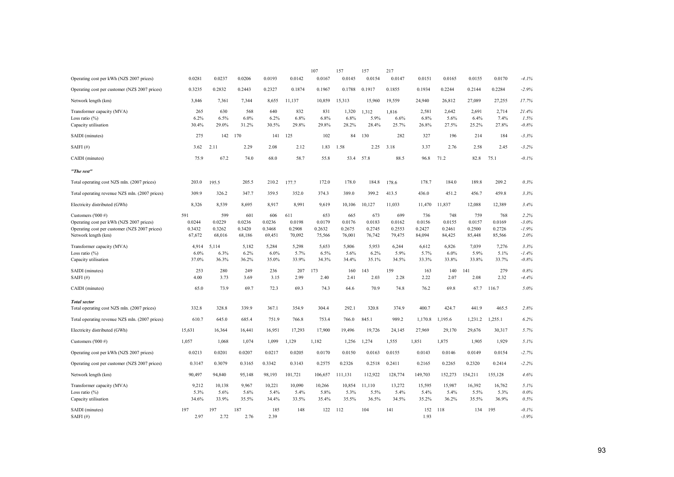|                                                                                                                                          |                                   |                                   |                                   |                                   |                                   | 107                               | 157                               | 157                               | 217                               |                                   |                                   |                                   |                                   |                                     |
|------------------------------------------------------------------------------------------------------------------------------------------|-----------------------------------|-----------------------------------|-----------------------------------|-----------------------------------|-----------------------------------|-----------------------------------|-----------------------------------|-----------------------------------|-----------------------------------|-----------------------------------|-----------------------------------|-----------------------------------|-----------------------------------|-------------------------------------|
| Operating cost per kWh (NZ\$ 2007 prices)                                                                                                | 0.0281                            | 0.0237                            | 0.0206                            | 0.0193                            | 0.0142                            | 0.0167                            | 0.0145                            | 0.0154                            | 0.0147                            | 0.0151                            | 0.0165                            | 0.0155                            | 0.0170                            | $-4.1%$                             |
| Operating cost per customer (NZ\$ 2007 prices)                                                                                           | 0.3235                            | 0.2832                            | 0.2443                            | 0.2327                            | 0.1874                            | 0.1967                            | 0.1788                            | 0.1917                            | 0.1855                            | 0.1934                            | 0.2244                            | 0.2144                            | 0.2284                            | $-2.9%$                             |
| Network length (km)                                                                                                                      | 3,846                             | 7,361                             | 7,344                             | 8,655                             | 11,137                            | 10,859                            | 15,313                            | 15,960                            | 19,559                            | 24,940                            | 26,812                            | 27,089                            | 27,255                            | 17.7%                               |
| Transformer capacity (MVA)<br>Loss ratio (%)<br>Capacity utilisation                                                                     | 265<br>6.2%<br>30.4%              | 630<br>6.5%<br>29.0%              | 568<br>6.0%<br>31.2%              | 640<br>6.2%<br>30.5%              | 832<br>6.8%<br>29.8%              | 831<br>6.8%<br>29.8%              | 1,320<br>6.8%<br>28.2%            | 1,312<br>5.9%<br>28.4%            | 1,816<br>6.6%<br>25.7%            | 2,581<br>6.8%<br>26.8%            | 2,642<br>5.6%<br>27.5%            | 2,691<br>6.4%<br>25.2%            | 2,714<br>7.4%<br>27.8%            | 21.4%<br>1.5%<br>$-0.8%$            |
| SAIDI (minutes)                                                                                                                          | 275                               | 142                               | 170                               | 141                               | 125                               | 102                               | 84                                | 130                               | 282                               | 327                               | 196                               | 214                               | 184                               | $-3.3%$                             |
| SAIFI $(\#)$                                                                                                                             | 3.62                              | 2.11                              | 2.29                              | 2.08                              | 2.12                              | 1.83                              | 1.58                              | 2.25                              | 3.18                              | 3.37                              | 2.76                              | 2.58                              | 2.45                              | $-3.2%$                             |
| CAIDI (minutes)                                                                                                                          | 75.9                              | 67.2                              | 74.0                              | 68.0                              | 58.7                              | 55.8                              | 53.4                              | 57.8                              | 88.5                              | 96.8                              | 71.2                              | 82.8                              | 75.1                              | $-0.1%$                             |
| "The rest"                                                                                                                               |                                   |                                   |                                   |                                   |                                   |                                   |                                   |                                   |                                   |                                   |                                   |                                   |                                   |                                     |
| Total operating cost NZ\$ mln. (2007 prices)                                                                                             | 203.0                             | 195.5                             | 205.5                             | 210.2                             | 177.7                             | 172.0                             | 178.0                             | 184.8                             | 178.6                             | 178.7                             | 184.0                             | 189.8                             | 209.2                             | 0.3%                                |
| Total operating revenue NZ\$ mln. (2007 prices)                                                                                          | 309.9                             | 326.2                             | 347.7                             | 359.5                             | 352.0                             | 374.3                             | 389.0                             | 399.2                             | 413.5                             | 436.0                             | 451.2                             | 456.7                             | 459.8                             | 3.3%                                |
| Electricity distributed (GWh)                                                                                                            | 8,326                             | 8,539                             | 8,695                             | 8,917                             | 8,991                             | 9,619                             | 10,106                            | 10,127                            | 11,033                            | 11,470                            | 11,837                            | 12,088                            | 12,389                            | 3.4%                                |
| Customers ('000 #)<br>Operating cost per kWh (NZ\$ 2007 prices)<br>Operating cost per customer (NZ\$ 2007 prices)<br>Network length (km) | 591<br>0.0244<br>0.3432<br>67,672 | 599<br>0.0229<br>0.3262<br>68,016 | 601<br>0.0236<br>0.3420<br>68,186 | 606<br>0.0236<br>0.3468<br>69,451 | 611<br>0.0198<br>0.2908<br>70,092 | 653<br>0.0179<br>0.2632<br>75,566 | 665<br>0.0176<br>0.2675<br>76,001 | 673<br>0.0183<br>0.2745<br>76,742 | 699<br>0.0162<br>0.2553<br>79,475 | 736<br>0.0156<br>0.2427<br>84,094 | 748<br>0.0155<br>0.2461<br>84,425 | 759<br>0.0157<br>0.2500<br>85,448 | 768<br>0.0169<br>0.2726<br>85,566 | 2.2%<br>$-3.0\%$<br>$-1.9%$<br>2.0% |
| Transformer capacity (MVA)<br>Loss ratio $(\%)$<br>Capacity utilisation                                                                  | 4,914<br>6.0%<br>37.0%            | 5,114<br>6.3%<br>36.3%            | 5,182<br>6.2%<br>36.2%            | 5,284<br>$6.0\%$<br>35.0%         | 5,298<br>5.7%<br>33.9%            | 5,653<br>6.5%<br>34.3%            | 5,806<br>5.6%<br>34.4%            | 5,953<br>6.2%<br>35.1%            | 6,244<br>5.9%<br>34.5%            | 6,612<br>5.7%<br>33.3%            | 6,826<br>6.0%<br>33.8%            | 7,039<br>5.9%<br>33.8%            | 7,276<br>5.1%<br>33.7%            | 3.3%<br>$-1.4%$<br>$-0.8%$          |
| SAIDI (minutes)<br>SAIFI $(#)$                                                                                                           | 253<br>4.00                       | 280<br>3.73                       | 249<br>3.69                       | 236<br>3.15                       | 207<br>2.99                       | 173<br>2.40                       | 160<br>2.41                       | 143<br>2.03                       | 159<br>2.28                       | 163<br>2.22                       | 140<br>2.07                       | 141<br>2.08                       | 279<br>2.32                       | 0.8%<br>$-4.4%$                     |
| CAIDI (minutes)                                                                                                                          | 65.0                              | 73.9                              | 69.7                              | 72.3                              | 69.3                              | 74.3                              | 64.6                              | 70.9                              | 74.8                              | 76.2                              | 69.8                              | 67.7                              | 116.7                             | 5.0%                                |
| <b>Total</b> sector<br>Total operating cost NZ\$ mln. (2007 prices)                                                                      | 332.8                             | 328.8                             | 339.9                             | 367.1                             | 354.9                             | 304.4                             | 292.1                             | 320.8                             | 374.9                             | 400.7                             | 424.7                             | 441.9                             | 465.5                             | 2.8%                                |
| Total operating revenue NZ\$ mln. (2007 prices)                                                                                          | 610.7                             | 645.0                             | 685.4                             | 751.9                             | 766.8                             | 753.4                             | 766.0                             | 845.1                             | 989.2                             | 1,170.8                           | 1,195.6                           | 1,231.2                           | 1,255.1                           | 6.2%                                |
| Electricity distributed (GWh)                                                                                                            | 15.631                            | 16,364                            | 16,441                            | 16,951                            | 17,293                            | 17,900                            | 19,496                            | 19,726                            | 24,145                            | 27,969                            | 29,170                            | 29,676                            | 30.317                            | 5.7%                                |
| Customers ('000 #)                                                                                                                       | 1,057                             | 1,068                             | 1,074                             | 1,099                             | 1,129                             | 1,182                             | 1,256                             | 1,274                             | 1,555                             | 1,851                             | 1,875                             | 1,905                             | 1,929                             | 5.1%                                |
| Operating cost per kWh (NZ\$ 2007 prices)                                                                                                | 0.0213                            | 0.0201                            | 0.0207                            | 0.0217                            | 0.0205                            | 0.0170                            | 0.0150                            | 0.0163                            | 0.0155                            | 0.0143                            | 0.0146                            | 0.0149                            | 0.0154                            | $-2.7%$                             |
| Operating cost per customer (NZ\$ 2007 prices)                                                                                           | 0.3147                            | 0.3079                            | 0.3165                            | 0.3342                            | 0.3143                            | 0.2575                            | 0.2326                            | 0.2518                            | 0.2411                            | 0.2165                            | 0.2265                            | 0.2320                            | 0.2414                            | $-2.2%$                             |
| Network length (km)                                                                                                                      | 90,497                            | 94,840                            | 95,148                            | 98,193                            | 101,721                           | 106,657                           | 111,131                           | 112,922                           | 128,774                           | 149,703                           | 152,273                           | 154,211                           | 155,128                           | 4.6%                                |
| Transformer capacity (MVA)<br>Loss ratio (%)<br>Capacity utilisation                                                                     | 9,212<br>5.3%<br>34.6%            | 10,138<br>5.6%<br>33.9%           | 9,967<br>5.6%<br>35.5%            | 10,221<br>5.4%<br>34.4%           | 10,090<br>5.4%<br>33.5%           | 10,266<br>5.8%<br>35.4%           | 10,854<br>5.3%<br>35.5%           | 11,110<br>5.5%<br>36.5%           | 13,272<br>5.4%<br>34.5%           | 15,595<br>5.4%<br>35.2%           | 15,987<br>5.4%<br>36.2%           | 16,392<br>5.5%<br>35.5%           | 16,762<br>5.3%<br>36.9%           | 5.1%<br>0.0%<br>0.5%                |
| SAIDI (minutes)<br>SAIFI $(H)$                                                                                                           | 197<br>2.97                       | 197<br>2.72                       | 187<br>2.76                       | 185<br>2.39                       | 148                               | 122                               | 112                               | 104                               | 141                               | 152<br>1.93                       | 118                               | 134                               | 195                               | $-0.1%$<br>$-3.9%$                  |